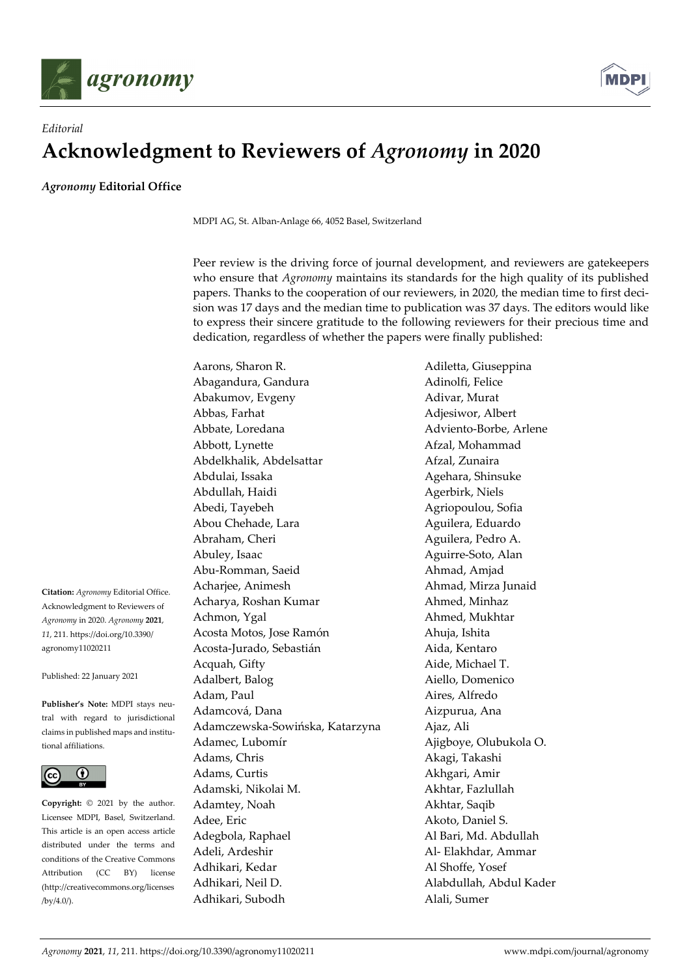



## *Editorial*  **Acknowledgment to Reviewers of** *Agronomy* **in 2020**

*Agronomy* **Editorial Office** 

MDPI AG, St. Alban-Anlage 66, 4052 Basel, Switzerland

Peer review is the driving force of journal development, and reviewers are gatekeepers who ensure that *Agronomy* maintains its standards for the high quality of its published papers. Thanks to the cooperation of our reviewers, in 2020, the median time to first decision was 17 days and the median time to publication was 37 days. The editors would like to express their sincere gratitude to the following reviewers for their precious time and dedication, regardless of whether the papers were finally published:

**Citation:** *Agronomy* Editorial Office. Acknowledgment to Reviewers of *Agronomy* in 2020. *Agronomy* **2021**, *11*, 211. https://doi.org/10.3390/ agronomy11020211

Published: 22 January 2021

**Publisher's Note:** MDPI stays neutral with regard to jurisdictional claims in published maps and institutional affiliations.



**Copyright:** © 2021 by the author. Licensee MDPI, Basel, Switzerland. This article is an open access article distributed under the terms and conditions of the Creative Commons Attribution (CC BY) license (http://creativecommons.org/licenses /by/4.0/).

Abagandura, Gandura **Adinolfi**, Felice Abakumov, Evgeny **Adivar, Murat** Abbas, Farhat **Adjesiwor**, Albert Abbate, Loredana **Adviento-Borbe**, Arlene Abbott, Lynette **Afzal**, Mohammad Abdelkhalik, Abdelsattar **Afzal, Zunaira** Abdulai, Issaka Agehara, Shinsuke Abdullah, Haidi Agerbirk, Niels Abedi, Tayebeh Agriopoulou, Sofia Abou Chehade, Lara **Aguilera**, Eduardo Abraham, Cheri **Aguilera**, Pedro A. Abuley, Isaac Aguirre-Soto, Alan Abu-Romman, Saeid Ahmad, Amjad Acharjee, Animesh Ahmad, Mirza Junaid Acharya, Roshan Kumar **Ahmed, Minhaz** Achmon, Ygal Ahmed, Mukhtar Acosta Motos, Jose Ramón **Ahuja, Ishita** Acosta-Jurado, Sebastián **Aida**, Kentaro Acquah, Gifty **Aide**, Michael T. Adalbert, Balog Aiello, Domenico Adam, Paul **Aires**, Alfredo Adamcová, Dana **Aizpurua**, Ana Adamczewska-Sowińska, Katarzyna Ajaz, Ali Adamec, Lubomír Ajigboye, Olubukola O. Adams, Chris **Akagi, Takashi** Adams, Curtis **Akhgari**, Amir Adamski, Nikolai M. Akhtar, Fazlullah Adamtey, Noah Akhtar, Saqib Adee, Eric Akoto, Daniel S. Adegbola, Raphael **Al Bari**, Md. Abdullah Adeli, Ardeshir **Al- Elakhdar, Ammar** Adhikari, Kedar Al Shoffe, Yosef Adhikari, Neil D. Alabdullah, Abdul Kader Adhikari, Subodh Alali, Sumer

Aarons, Sharon R. Adiletta, Giuseppina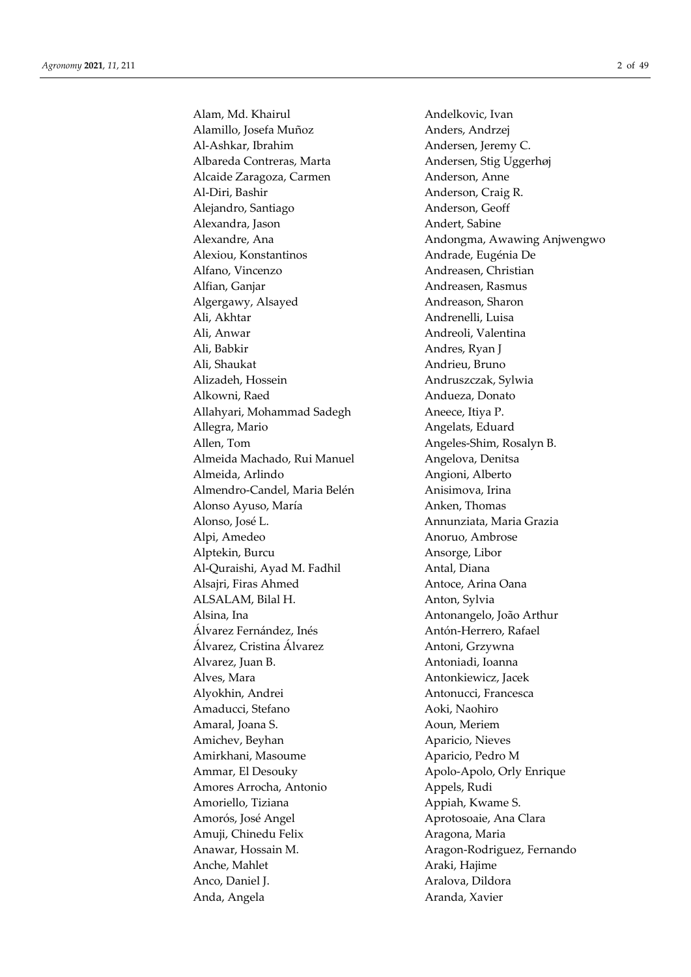Alam, Md. Khairul **Andelkovic**, Ivan Alamillo, Josefa Muñoz **Anders**, Andrzej Al-Ashkar, Ibrahim Andersen, Jeremy C. Albareda Contreras, Marta Andersen, Stig Uggerhøj Alcaide Zaragoza, Carmen Anderson, Anne Al-Diri, Bashir **Anderson**, Craig R. Alejandro, Santiago Anderson, Geoff Alexandra, Jason Andert, Sabine Alexiou, Konstantinos **Andrade**, Eugénia De Alfano, Vincenzo Andreasen, Christian Alfian, Ganjar **Andreasen**, Rasmus Algergawy, Alsayed Andreason, Sharon Ali, Akhtar **Andrenelli**, Luisa Ali, Anwar Andreoli, Valentina Ali, Babkir Andres, Ryan J Ali, Shaukat Andrieu, Bruno Alizadeh, Hossein Andruszczak, Sylwia Alkowni, Raed Andueza, Donato Allahyari, Mohammad Sadegh Aneece, Itiya P. Allegra, Mario **Angelats, Eduard** Allen, Tom **Angeles-Shim, Rosalyn B.** Almeida Machado, Rui Manuel **Angelova**, Denitsa Almeida, Arlindo Angioni, Alberto Almendro-Candel, Maria Belén Anisimova, Irina Alonso Ayuso, María **Anken**, Thomas Alonso, José L. Annunziata, Maria Grazia Alpi, Amedeo Anoruo, Ambrose Alptekin, Burcu Ansorge, Libor Al-Quraishi, Ayad M. Fadhil Antal, Diana Alsajri, Firas Ahmed Antoce, Arina Oana ALSALAM, Bilal H. Anton, Sylvia Alsina, Ina Antonangelo, João Arthur Álvarez Fernández, Inés Antón-Herrero, Rafael Álvarez, Cristina Álvarez Antoni, Grzywna Alvarez, Juan B. (2008) Antoniadi, Ioanna Alves, Mara **Antonkiewicz**, Jacek Alyokhin, Andrei **Antonucci**, Francesca Amaducci, Stefano Aoki, Naohiro Amaral, Joana S. **Amaral**, Joana S. **A** Aoun, Meriem Amichev, Beyhan Aparicio, Nieves Amirkhani, Masoume Aparicio, Pedro M Ammar, El Desouky Apolo-Apolo, Orly Enrique Amores Arrocha, Antonio <sup>Appels</sup>, Rudi Amoriello, Tiziana **Australia Appiah, Kwame S.** Amorós, José Angel Aprotosoaie, Ana Clara Amuji, Chinedu Felix Aragona, Maria Anawar, Hossain M. Aragon-Rodriguez, Fernando Anche, Mahlet Araki, Hajime Anco, Daniel J. Aralova, Dildora

Alexandre, Ana **Analysis and Andongma**, Awawing Anjwengwo Anda, Angela **Aranda**, Xavier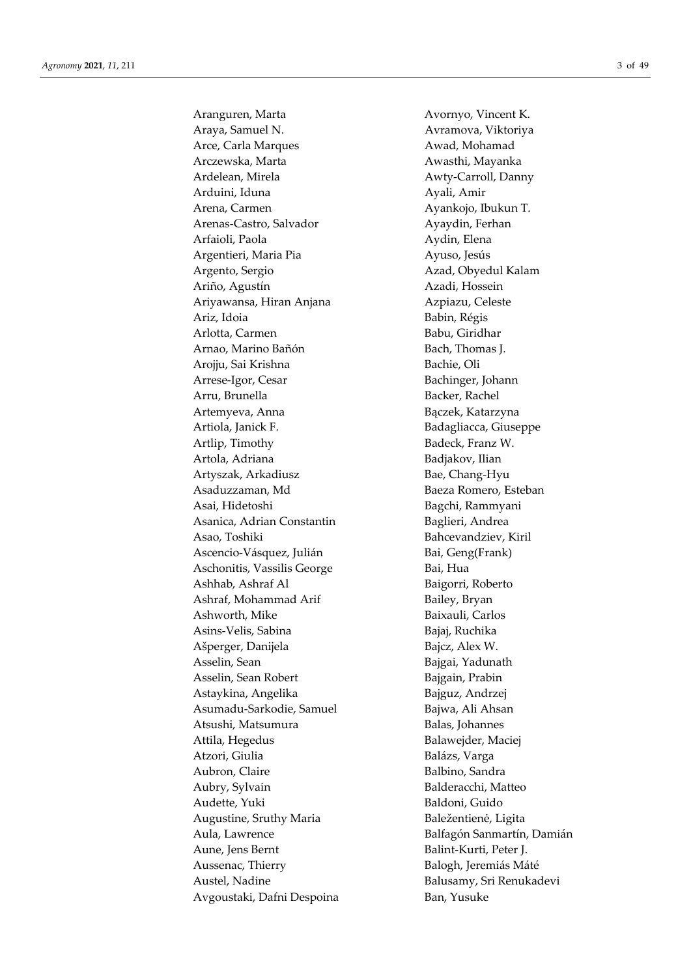Aranguren, Marta **Avornyo**, Vincent K. Araya, Samuel N. Avramova, Viktoriya Arce, Carla Marques **Awad, Mohamad** Arczewska, Marta **Awasthi, Mayanka** Ardelean, Mirela **Awty-Carroll**, Danny Arduini, Iduna **Ayali**, Amir Arena, Carmen Ayankojo, Ibukun T. Arenas-Castro, Salvador Ayaydin, Ferhan Arfaioli, Paola **Aydin**, Elena Argentieri, Maria Pia **Argentieri**, Maria Pia Argento, Sergio **Azad, Obyedul Kalam** Ariño, Agustín Azadi, Hossein Ariyawansa, Hiran Anjana **Azpiazu, Celeste** Ariz, Idoia Babin, Régis Arlotta, Carmen Babu, Giridhar Arnao, Marino Bañón Bach, Thomas J. Arojju, Sai Krishna Bachie, Oli Arrese-Igor, Cesar Bachinger, Johann Arru, Brunella Backer, Rachel Artemyeva, Anna Bączek, Katarzyna Artiola, Janick F. **Badagliacca**, Giuseppe Artlip, Timothy Badeck, Franz W. Artola, Adriana **Badjakov**, Ilian Artyszak, Arkadiusz **Bae**, Chang-Hyu Asaduzzaman, Md Baeza Romero, Esteban Asai, Hidetoshi **Bagchi**, Rammyani Asanica, Adrian Constantin Baglieri, Andrea Asao, Toshiki Bahcevandziev, Kiril Ascencio-Vásquez, Julián Bai, Geng(Frank) Aschonitis, Vassilis George Bai, Hua Ashhab, Ashraf Al Baigorri, Roberto Ashraf, Mohammad Arif Bailey, Bryan Ashworth, Mike Baixauli, Carlos Asins-Velis, Sabina Bajaj, Ruchika Ašperger, Danijela Bajcz, Alex W. Asselin, Sean Bajgai, Yadunath Asselin, Sean Robert **Bajgain**, Prabin Astaykina, Angelika Bajguz, Andrzej Asumadu-Sarkodie, Samuel Bajwa, Ali Ahsan Atsushi, Matsumura **Balas**, Johannes Attila, Hegedus **Balawejder**, Maciej Atzori, Giulia Balázs, Varga Aubron, Claire **Balbino**, Sandra Aubry, Sylvain Balderacchi, Matteo Audette, Yuki Baldoni, Guido Augustine, Sruthy Maria Baležentienė, Ligita Aula, Lawrence Balfagón Sanmartín, Damián Aune, Jens Bernt **Balint-Kurti**, Peter J. Aussenac, Thierry Balogh, Jeremiás Máté Austel, Nadine Balusamy, Sri Renukadevi Avgoustaki, Dafni Despoina Ban, Yusuke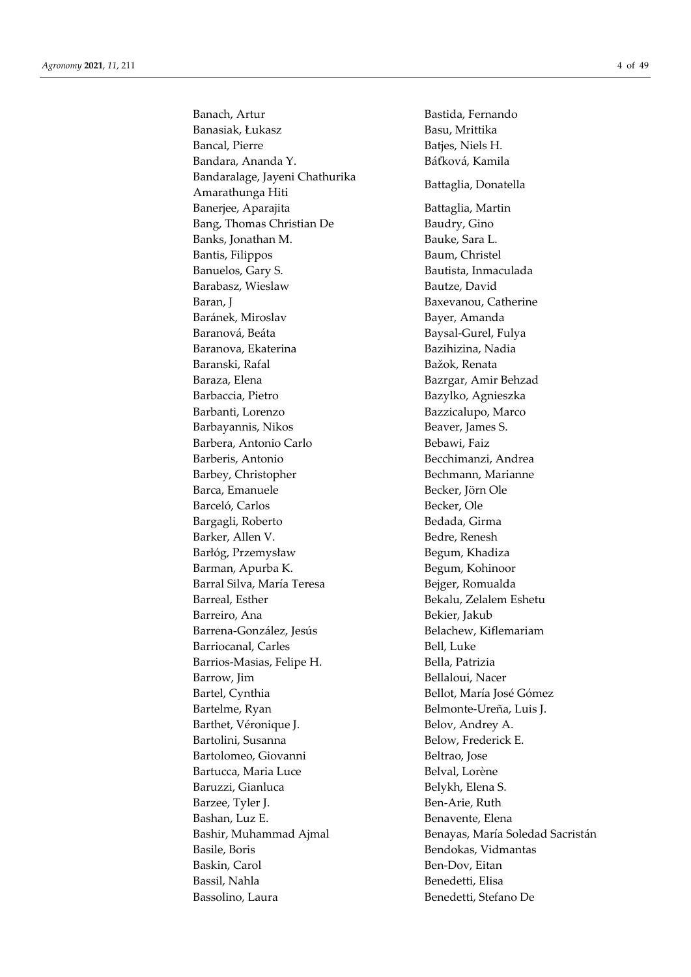Banach, Artur **Bastida**, Fernando Banasiak, Łukasz Basu, Mrittika Bancal, Pierre Batjes, Niels H. Bandara, Ananda Y. Báťková, Kamila Bandaralage, Jayeni Chathurika Amarathunga Hiti Battaglia, Donatella Banerjee, Aparajita Battaglia, Martin Bang, Thomas Christian De Baudry, Gino Banks, Jonathan M. **Bauke**, Sara L. Bantis, Filippos Baum, Christel Banuelos, Gary S. Santista, Inmaculada Barabasz, Wieslaw Bautze, David Baran, J<br>Baxevanou, Catherine Baránek, Miroslav Bayer, Amanda Baranová, Beáta Baysal-Gurel, Fulya Baranova, Ekaterina **Bazilizina**, Nadia Baranski, Rafal Bažok, Renata Baraza, Elena Bazrgar, Amir Behzad Barbaccia, Pietro **Bazylko, Agnieszka** Barbanti, Lorenzo Bazzicalupo, Marco Barbayannis, Nikos Beaver, James S. Barbera, Antonio Carlo **Bebawi**, Faiz Barberis, Antonio Becchimanzi, Andrea Barbey, Christopher Bechmann, Marianne Barca, Emanuele Becker, Jörn Ole Barceló, Carlos Becker, Ole Bargagli, Roberto Bedada, Girma Barker, Allen V. Santa Bedre, Renesh Barłóg, Przemysław Begum, Khadiza Barman, Apurba K. Begum, Kohinoor Barral Silva, María Teresa Bejger, Romualda Barreal, Esther Bekalu, Zelalem Eshetu Barreiro, Ana Bekier, Jakub Barrena-González, Jesús Belachew, Kiflemariam Barriocanal, Carles Bell, Luke Barrios-Masias, Felipe H. Bella, Patrizia Barrow, Jim Bellaloui, Nacer Bartel, Cynthia Bellot, María José Gómez Bartelme, Ryan Belmonte-Ureña, Luis J. Barthet, Véronique J. Belov, Andrey A. Bartolini, Susanna Below, Frederick E. Bartolomeo, Giovanni alla alla personale Beltrao, Jose Bartucca, Maria Luce **Belval, Lorène** Baruzzi, Gianluca Belykh, Elena S. Barzee, Tyler J. Ben-Arie, Ruth Bashan, Luz E. Benavente, Elena Bashir, Muhammad Ajmal Benayas, María Soledad Sacristán Basile, Boris Bendokas, Vidmantas Baskin, Carol Ben-Dov, Eitan Bassil, Nahla Benedetti, Elisa Bassolino, Laura Benedetti, Stefano De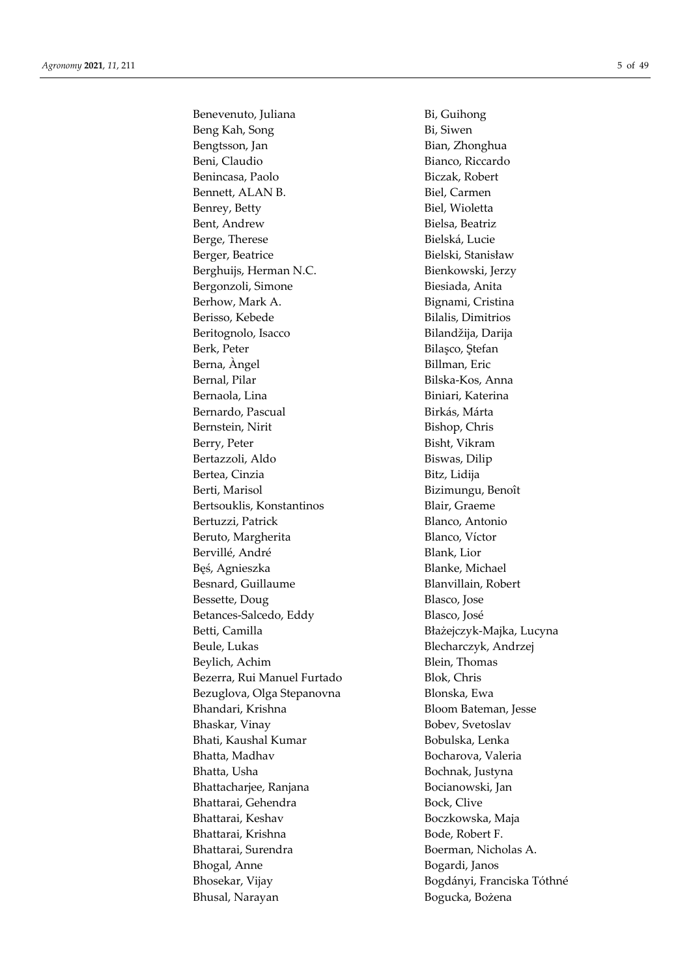Benevenuto, Juliana Bi, Guihong Beng Kah, Song Bi, Siwen Bengtsson, Jan Bian, Zhonghua Beni, Claudio Bianco, Riccardo Benincasa, Paolo Biczak, Robert Bennett, ALAN B. Biel, Carmen Benrey, Betty Biel, Wioletta Bent, Andrew Bielsa, Beatriz Berge, Therese Bielská, Lucie Berger, Beatrice Bielski, Stanisław Berghuijs, Herman N.C. Bienkowski, Jerzy Bergonzoli, Simone Biesiada, Anita Berhow, Mark A. Bignami, Cristina Berisso, Kebede Bilalis, Dimitrios Beritognolo, Isacco Bilandžija, Darija Berk, Peter Bilaşco, Ştefan Berna, Àngel Billman, Eric Bernal, Pilar Bilska-Kos, Anna Bernaola, Lina **Biniari**, Katerina Bernardo, Pascual **Birkás**, Márta Bernstein, Nirit Bishop, Chris Berry, Peter Bisht, Vikram Bertazzoli, Aldo Biswas, Dilip Bertea, Cinzia **Bitz**, Lidija Berti, Marisol Bizimungu, Benoît Bertsouklis, Konstantinos Blair, Graeme Bertuzzi, Patrick Blanco, Antonio Beruto, Margherita Blanco, Víctor Bervillé, André Blank, Lior Bęś, Agnieszka Blanke, Michael Besnard, Guillaume Blanvillain, Robert Bessette, Doug Blasco, Jose Betances-Salcedo, Eddy Blasco, José Betti, Camilla Błażejczyk-Majka, Lucyna Beule, Lukas Blecharczyk, Andrzej Beylich, Achim Blein, Thomas Bezerra, Rui Manuel Furtado Blok, Chris Bezuglova, Olga Stepanovna Blonska, Ewa Bhandari, Krishna Bloom Bateman, Jesse Bhaskar, Vinay Bobev, Svetoslav Bhati, Kaushal Kumar Bobulska, Lenka Bhatta, Madhav Bocharova, Valeria Bhatta, Usha **Bochnak**, Justyna Bhattacharjee, Ranjana Bocianowski, Jan Bhattarai, Gehendra Bock, Clive Bhattarai, Keshav Boczkowska, Maja Bhattarai, Krishna Bode, Robert F. Bhattarai, Surendra **Boerman**, Nicholas A. Bhogal, Anne Bogardi, Janos Bhosekar, Vijay Bogdányi, Franciska Tóthné Bhusal, Narayan Bogucka, Bożena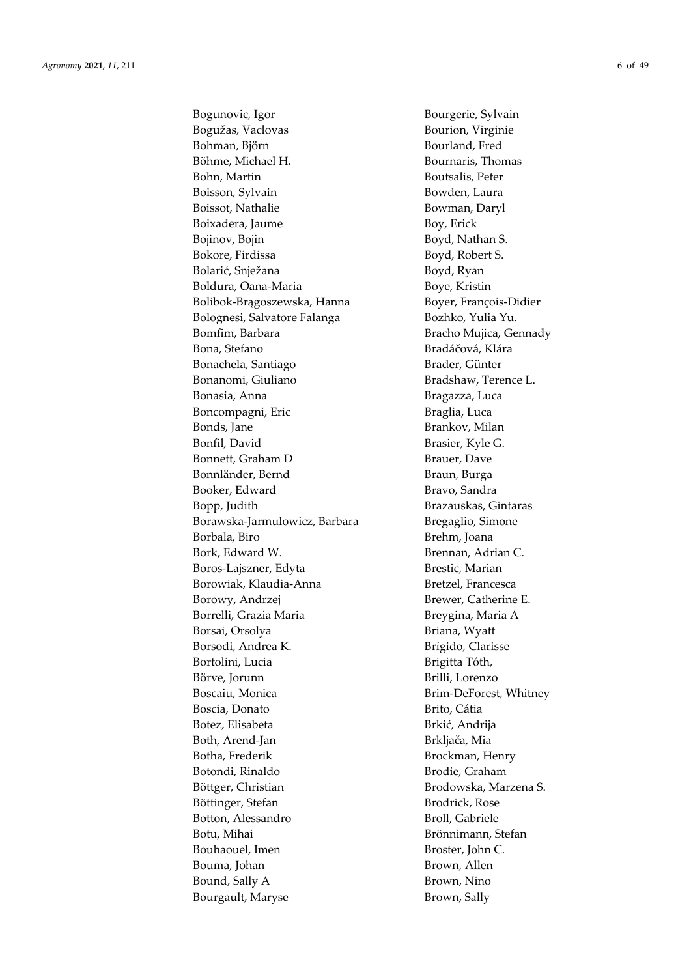Bogunovic, Igor Bourgerie, Sylvain Bogužas, Vaclovas **Bourion**, Virginie Bohman, Björn Bourland, Fred Böhme, Michael H. Bournaris, Thomas Bohn, Martin Boutsalis, Peter Boisson, Sylvain Bowden, Laura Boissot, Nathalie Bowman, Daryl Boixadera, Jaume Boy, Erick Bojinov, Bojin Boyd, Nathan S. Bokore, Firdissa Boyd, Robert S. Bolarić, Snježana Boyd, Ryan Boldura, Oana-Maria Boye, Kristin Bolibok-Brągoszewska, Hanna Boyer, François-Didier Bolognesi, Salvatore Falanga Bozhko, Yulia Yu. Bomfim, Barbara **Bracho Mujica**, Gennady Bona, Stefano Bradáčová, Klára Bonachela, Santiago Brader, Günter Bonanomi, Giuliano Bradshaw, Terence L. Bonasia, Anna **Bragazza**, Luca Boncompagni, Eric Braglia, Luca Bonds, Jane Brankov, Milan Bonfil, David Brasier, Kyle G. Bonnett, Graham D Brauer, Dave Bonnländer, Bernd Braun, Burga Booker, Edward Bravo, Sandra Bopp, Judith Brazauskas, Gintaras Borawska-Jarmulowicz, Barbara Bregaglio, Simone Borbala, Biro Brehm, Joana Bork, Edward W. Brennan, Adrian C. Boros-Lajszner, Edyta Brestic, Marian Borowiak, Klaudia-Anna Bretzel, Francesca Borowy, Andrzej Brewer, Catherine E. Borrelli, Grazia Maria **Breygina**, Maria A Borsai, Orsolya Briana, Wyatt Borsodi, Andrea K. Brígido, Clarisse Bortolini, Lucia Brigitta Tóth, Börve, Jorunn Brilli, Lorenzo Boscaiu, Monica Brim-DeForest, Whitney Boscia, Donato **Brito, Cátia** Botez, Elisabeta Brkić, Andrija Both, Arend-Jan Brkljača, Mia Botha, Frederik Brockman, Henry Botondi, Rinaldo Brodie, Graham Böttger, Christian Brodowska, Marzena S. Böttinger, Stefan Brodrick, Rose Botton, Alessandro Broll, Gabriele Botu, Mihai Brönnimann, Stefan Bouhaouel, Imen Broster, John C.

Bouma, Johan Brown, Allen Bound, Sally A Brown, Nino Bourgault, Maryse Brown, Sally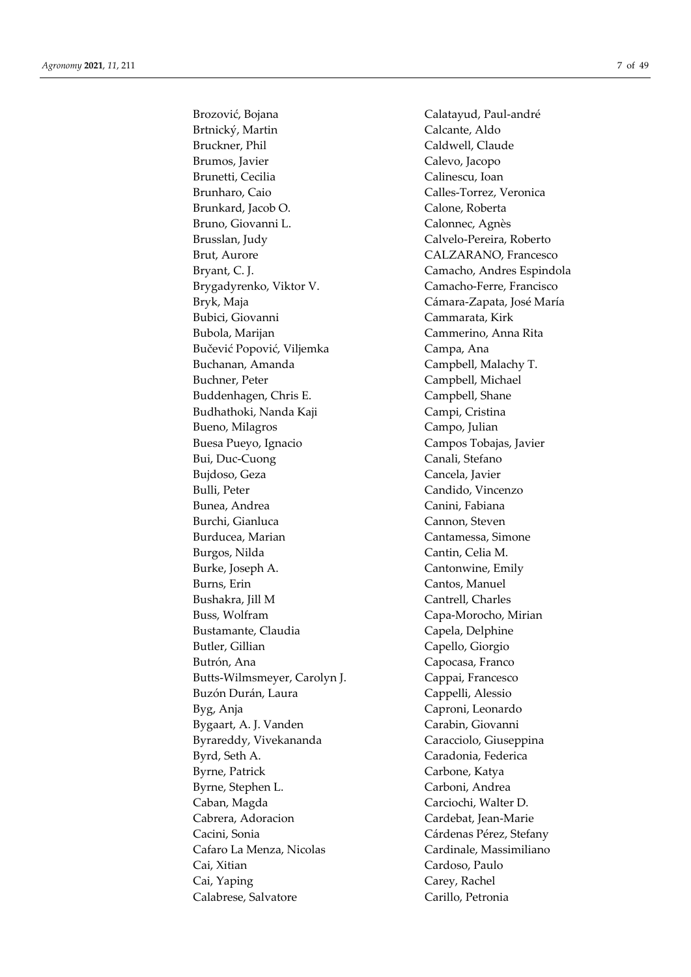Brozović, Bojana Calatayud, Paul-andré Brtnický, Martin Calcante, Aldo Bruckner, Phil Caldwell, Claude Brumos, Javier Calevo, Jacopo Brunetti, Cecilia Calinescu, Ioan Brunharo, Caio Calles-Torrez, Veronica Brunkard, Jacob O. Calone, Roberta Bruno, Giovanni L. Calonnec, Agnès Brusslan, Judy Calvelo-Pereira, Roberto Brut, Aurore CALZARANO, Francesco Bryant, C. J. Camacho, Andres Espindola Brygadyrenko, Viktor V. Camacho-Ferre, Francisco Bryk, Maja Cámara-Zapata, José María Bubici, Giovanni Cammarata, Kirk Bubola, Marijan Cammerino, Anna Rita Bučević Popović, Viljemka Campa, Ana Buchanan, Amanda Campbell, Malachy T. Buchner, Peter **Campbell**, Michael Buddenhagen, Chris E. Campbell, Shane Budhathoki, Nanda Kaji **Campi**, Cristina Bueno, Milagros Campo, Julian Buesa Pueyo, Ignacio Campos Tobajas, Javier Bui, Duc-Cuong Canali, Stefano Bujdoso, Geza Cancela, Javier Bulli, Peter Candido, Vincenzo Bunea, Andrea Canini, Fabiana Burchi, Gianluca Cannon, Steven Burducea, Marian **Cantamessa**, Simone Burgos, Nilda Cantin, Celia M. Burke, Joseph A. Cantonwine, Emily Burns, Erin Cantos, Manuel Bushakra, Jill M Cantrell, Charles Buss, Wolfram Capa-Morocho, Mirian Bustamante, Claudia Capela, Delphine Butler, Gillian Capello, Giorgio Butrón, Ana **Capocasa**, Franco Butts-Wilmsmeyer, Carolyn J. Cappai, Francesco Buzón Durán, Laura **Cappelli**, Alessio Byg, Anja Caproni, Leonardo Bygaart, A. J. Vanden Carabin, Giovanni Byrareddy, Vivekananda Caracciolo, Giuseppina Byrd, Seth A. Caradonia, Federica Byrne, Patrick Carbone, Katya Byrne, Stephen L. Carboni, Andrea Caban, Magda Carciochi, Walter D. Cabrera, Adoracion Cardebat, Jean-Marie Cacini, Sonia Cárdenas Pérez, Stefany Cafaro La Menza, Nicolas Cardinale, Massimiliano Cai, Xitian Cardoso, Paulo Cai, Yaping Carey, Rachel

Calabrese, Salvatore Carillo, Petronia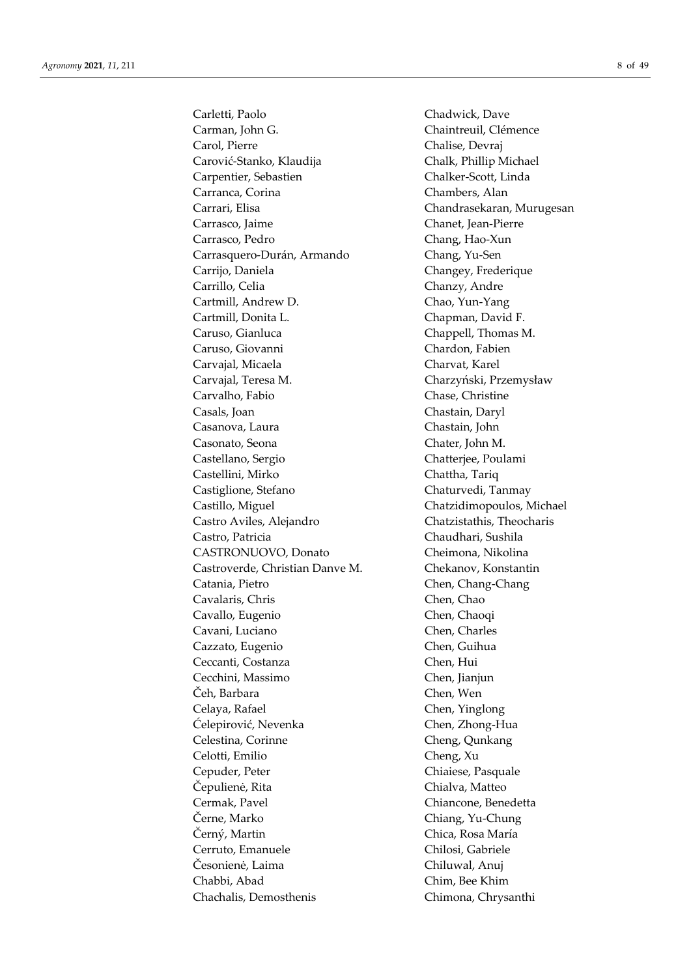Carletti, Paolo Chadwick, Dave Carman, John G. Chaintreuil, Clémence Carol, Pierre Chalise, Devraj Carović-Stanko, Klaudija Chalk, Phillip Michael Carpentier, Sebastien Chalker-Scott, Linda Carranca, Corina Chambers, Alan Carrari, Elisa Chandrasekaran, Murugesan Carrasco, Jaime Chanet, Jean-Pierre Carrasco, Pedro Chang, Hao-Xun Carrasquero-Durán, Armando Chang, Yu-Sen Carrijo, Daniela **Changey**, Frederique Carrillo, Celia Chanzy, Andre Cartmill, Andrew D. Chao, Yun-Yang Cartmill, Donita L. Chapman, David F. Caruso, Gianluca Chappell, Thomas M. Caruso, Giovanni Chardon, Fabien Carvajal, Micaela Charvat, Karel Carvajal, Teresa M. Charzyński, Przemysław Carvalho, Fabio Chase, Christine Casals, Joan Chastain, Daryl Casanova, Laura Chastain, John Casonato, Seona Chater, John M. Castellano, Sergio Chatterjee, Poulami Castellini, Mirko Chattha, Tariq Castiglione, Stefano Chaturvedi, Tanmay Castillo, Miguel Chatzidimopoulos, Michael Castro Aviles, Alejandro Chatzistathis, Theocharis Castro, Patricia Chaudhari, Sushila CASTRONUOVO, Donato Cheimona, Nikolina Castroverde, Christian Danve M. Chekanov, Konstantin Catania, Pietro Chen, Chang-Chang Cavalaris, Chris Chen, Chao Cavallo, Eugenio Chen, Chaoqi Cavani, Luciano Chen, Charles Cazzato, Eugenio Chen, Guihua Ceccanti, Costanza Chen, Hui Cecchini, Massimo Chen, Jianjun Čeh, Barbara Chen, Wen Celaya, Rafael **Chen**, Yinglong Ćelepirović, Nevenka Chen, Zhong-Hua Celestina, Corinne Cheng, Qunkang Celotti, Emilio Cheng, Xu Cepuder, Peter Chiaiese, Pasquale Čepulienė, Rita Chialva, Matteo Cermak, Pavel Chiancone, Benedetta Černe, Marko Chiang, Yu-Chung Černý, Martin Chica, Rosa María Cerruto, Emanuele Chilosi, Gabriele Česonienė, Laima Chiluwal, Anuj Chabbi, Abad Chim, Bee Khim Chachalis, Demosthenis Chimona, Chrysanthi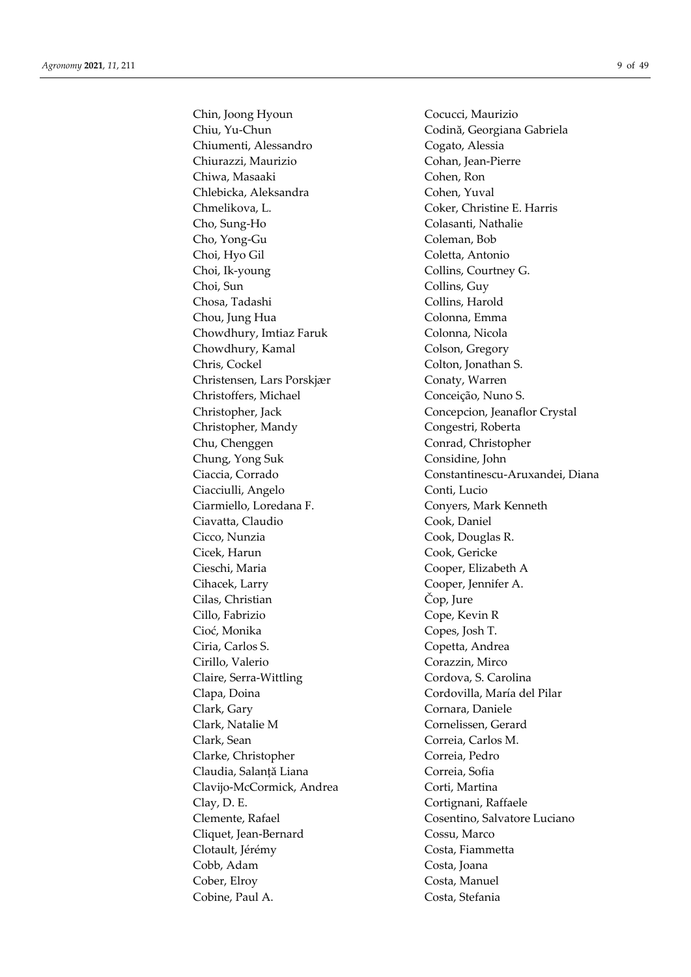Chin, Joong Hyoun Cocucci, Maurizio Chiu, Yu-Chun Codină, Georgiana Gabriela Chiumenti, Alessandro Cogato, Alessia Chiurazzi, Maurizio Cohan, Jean-Pierre Chiwa, Masaaki Cohen, Ron Chlebicka, Aleksandra Cohen, Yuval Chmelikova, L. Coker, Christine E. Harris Cho, Sung-Ho Colasanti, Nathalie Cho, Yong-Gu Coleman, Bob Choi, Hyo Gil Coletta, Antonio Choi, Ik-young Collins, Courtney G. Choi, Sun Collins, Guy Chosa, Tadashi Collins, Harold Chou, Jung Hua Colonna, Emma Chowdhury, Imtiaz Faruk Colonna, Nicola Chowdhury, Kamal Colson, Gregory Chris, Cockel Colton, Jonathan S. Christensen, Lars Porskjær Conaty, Warren Christoffers, Michael Conceição, Nuno S. Christopher, Jack Concepcion, Jeanaflor Crystal Christopher, Mandy Congestri, Roberta Chu, Chenggen Conrad, Christopher Chung, Yong Suk Considine, John Ciacciulli, Angelo Conti, Lucio Ciarmiello, Loredana F. Conyers, Mark Kenneth Ciavatta, Claudio Cook, Daniel Cicco, Nunzia Cook, Douglas R. Cicek, Harun Cook, Gericke Cieschi, Maria Cooper, Elizabeth A Cihacek, Larry Cooper, Jennifer A. Cilas, Christian Čop, Jure Cillo, Fabrizio Cope, Kevin R Cioć, Monika Copes, Josh T. Ciria, Carlos S. Copetta, Andrea Cirillo, Valerio Corazzin, Mirco Claire, Serra-Wittling Cordova, S. Carolina Clapa, Doina Cordovilla, María del Pilar Clark, Gary Cornara, Daniele Clark, Natalie M Cornelissen, Gerard Clark, Sean Correia, Carlos M. Clarke, Christopher Correia, Pedro Claudia, Salanță Liana Correia, Sofia Clavijo-McCormick, Andrea Corti, Martina Clay, D. E. Cortignani, Raffaele Clemente, Rafael Cosentino, Salvatore Luciano Cliquet, Jean-Bernard Cossu, Marco Clotault, Jérémy Costa, Fiammetta Cobb, Adam Costa, Joana Cober, Elroy Costa, Manuel Cobine, Paul A. Costa, Stefania

Ciaccia, Corrado Constantinescu-Aruxandei, Diana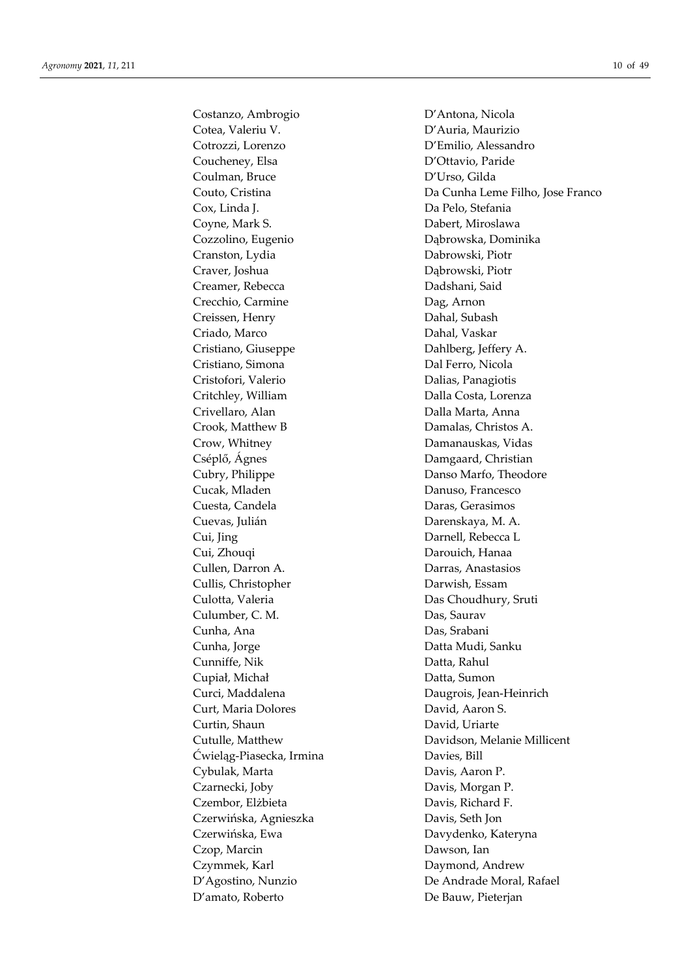Costanzo, Ambrogio D'Antona, Nicola Cotea, Valeriu V. D'Auria, Maurizio Cotrozzi, Lorenzo D'Emilio, Alessandro Coucheney, Elsa D'Ottavio, Paride Coulman, Bruce D'Urso, Gilda Cox, Linda J. Da Pelo, Stefania Coyne, Mark S. Dabert, Miroslawa Cozzolino, Eugenio Dąbrowska, Dominika Cranston, Lydia Dabrowski, Piotr Craver, Joshua Dąbrowski, Piotr Creamer, Rebecca Dadshani, Said Crecchio, Carmine Dag, Arnon Creissen, Henry Dahal, Subash Criado, Marco Dahal, Vaskar Cristiano, Giuseppe Dahlberg, Jeffery A. Cristiano, Simona Dal Ferro, Nicola Cristofori, Valerio Dalias, Panagiotis Critchley, William Dalla Costa, Lorenza Crivellaro, Alan Dalla Marta, Anna Crook, Matthew B Damalas, Christos A. Crow, Whitney Damanauskas, Vidas Cséplő, Ágnes **Damgaard**, Christian Cubry, Philippe Danso Marfo, Theodore Cucak, Mladen Danuso, Francesco Cuesta, Candela Daras, Gerasimos Cuevas, Julián Darenskaya, M. A. Cui, Jing Darnell, Rebecca L Cui, Zhouqi Darouich, Hanaa Cullen, Darron A. Darras, Anastasios Cullis, Christopher Darwish, Essam Culotta, Valeria **Das Choudhury**, Sruti Culumber, C. M. Das, Saurav Cunha, Ana Das, Srabani Cunha, Jorge Datta Mudi, Sanku Cunniffe, Nik Datta, Rahul Cupiał, Michał Datta, Sumon Curt, Maria Dolores David, Aaron S. Curtin, Shaun David, Uriarte Ćwieląg-Piasecka, Irmina Davies, Bill Cybulak, Marta Davis, Aaron P. Czarnecki, Joby Davis, Morgan P. Czembor, Elżbieta Davis, Richard F. Czerwińska, Agnieszka Davis, Seth Jon Czerwińska, Ewa **Davydenko, Kateryna** Czop, Marcin Dawson, Ian Czymmek, Karl Daymond, Andrew D'amato, Roberto De Bauw, Pieterjan

Couto, Cristina Da Cunha Leme Filho, Jose Franco Curci, Maddalena Daugrois, Jean-Heinrich Cutulle, Matthew Davidson, Melanie Millicent D'Agostino, Nunzio De Andrade Moral, Rafael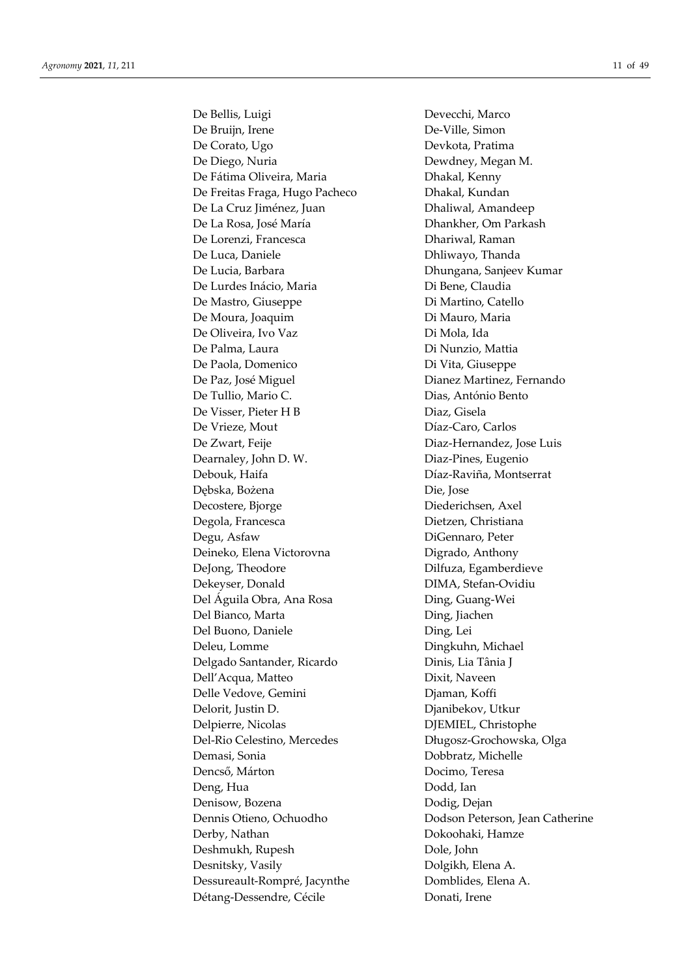De Bellis, Luigi Devecchi, Marco De Bruijn, Irene De-Ville, Simon De Corato, Ugo Devkota, Pratima De Diego, Nuria Dewdney, Megan M. De Fátima Oliveira, Maria **Dhakal, Kenny** De Freitas Fraga, Hugo Pacheco Dhakal, Kundan De La Cruz Jiménez, Juan Dhaliwal, Amandeep De La Rosa, José María **Dhankher**, Om Parkash De Lorenzi, Francesca Dhariwal, Raman De Luca, Daniele **Dhliwayo**, Thanda De Lucia, Barbara **Dhungana**, Sanjeev Kumar De Lurdes Inácio, Maria Di Bene, Claudia De Mastro, Giuseppe Di Martino, Catello De Moura, Joaquim Di Mauro, Maria De Oliveira, Ivo Vaz Di Mola, Ida De Palma, Laura **Di Nunzio**, Mattia De Paola, Domenico Di Vita, Giuseppe De Paz, José Miguel Dianez Martinez, Fernando De Tullio, Mario C. Dias, António Bento De Visser, Pieter H B Diaz, Gisela De Vrieze, Mout Díaz-Caro, Carlos De Zwart, Feije **Diaz-Hernandez**, Jose Luis Dearnaley, John D. W. Diaz-Pines, Eugenio Debouk, Haifa **Díaz-Raviña**, Montserrat Dębska, Bożena Die, Jose Decostere, Bjorge Diederichsen, Axel Degola, Francesca Dietzen, Christiana Degu, Asfaw DiGennaro, Peter Deineko, Elena Victorovna Digrado, Anthony DeJong, Theodore Dilfuza, Egamberdieve Dekeyser, Donald DIMA, Stefan-Ovidiu Del Águila Obra, Ana Rosa **Ding, Guang-Wei** Del Bianco, Marta **Ding**, Jiachen Del Buono, Daniele Ding, Lei Deleu, Lomme Dingkuhn, Michael Delgado Santander, Ricardo Dinis, Lia Tânia J Dell'Acqua, Matteo Dixit, Naveen Delle Vedove, Gemini Djaman, Koffi Delorit, Justin D. Djanibekov, Utkur Delpierre, Nicolas DJEMIEL, Christophe Del-Rio Celestino, Mercedes Długosz-Grochowska, Olga Demasi, Sonia Dobbratz, Michelle Dencső, Márton Docimo, Teresa Deng, Hua Dodd, Ian Denisow, Bozena Dodig, Dejan Dennis Otieno, Ochuodho Dodson Peterson, Jean Catherine Derby, Nathan Dokoohaki, Hamze Deshmukh, Rupesh Dole, John Desnitsky, Vasily Dolgikh, Elena A. Dessureault-Rompré, Jacynthe Domblides, Elena A. Détang-Dessendre, Cécile Donati, Irene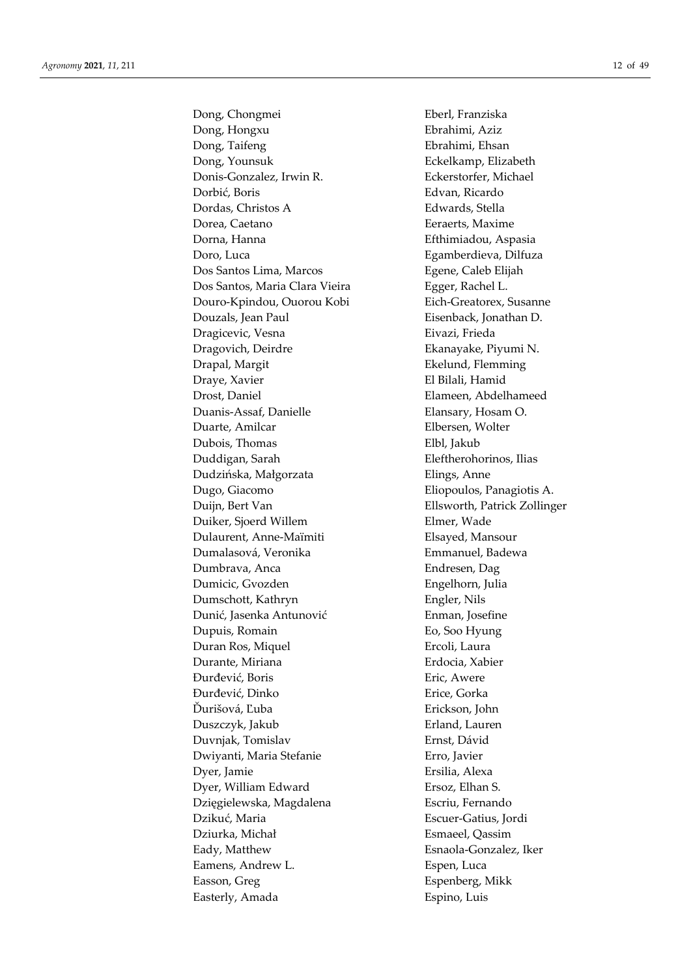Dong, Chongmei Eberl, Franziska Dong, Hongxu Ebrahimi, Aziz Dong, Taifeng **Ebrahimi**, Ehsan Dong, Younsuk Eckelkamp, Elizabeth Donis-Gonzalez, Irwin R. Eckerstorfer, Michael Dorbić, Boris Edvan, Ricardo Dordas, Christos A Edwards, Stella Dorea, Caetano **Eeraerts**, Maxime Dorna, Hanna Efthimiadou, Aspasia Doro, Luca Egamberdieva, Dilfuza Dos Santos Lima, Marcos Egene, Caleb Elijah Dos Santos, Maria Clara Vieira **Egger**, Rachel L. Douro-Kpindou, Ouorou Kobi Eich-Greatorex, Susanne Douzals, Jean Paul Eisenback, Jonathan D. Dragicevic, Vesna **Eivazi**, Frieda Dragovich, Deirdre Ekanayake, Piyumi N. Drapal, Margit **Ekelund, Flemming** Draye, Xavier **El Bilali**, Hamid Drost, Daniel Elameen, Abdelhameed Duanis-Assaf, Danielle Elansary, Hosam O. Duarte, Amilcar Elbersen, Wolter Dubois, Thomas Elbl, Jakub Duddigan, Sarah Eleftherohorinos, Ilias Dudzińska, Małgorzata Elings, Anne Dugo, Giacomo Eliopoulos, Panagiotis A. Duijn, Bert Van Ellsworth, Patrick Zollinger Duiker, Sjoerd Willem Elmer, Wade Dulaurent, Anne-Maïmiti Elsayed, Mansour Dumalasová, Veronika Emmanuel, Badewa Dumbrava, Anca Endresen, Dag Dumicic, Gvozden Engelhorn, Julia Dumschott, Kathryn Engler, Nils Dunić, Jasenka Antunović Enman, Josefine Dupuis, Romain Eo, Soo Hyung Duran Ros, Miquel **Ercoli**, Laura Durante, Miriana Erdocia, Xabier Đurđević, Boris Eric, Awere Đurđević, Dinko Erice, Gorka Ďurišová, Ľuba Erickson, John Duszczyk, Jakub Erland, Lauren Duvnjak, Tomislav Ernst, Dávid Dwiyanti, Maria Stefanie Erro, Javier Dyer, Jamie Ersilia, Alexa Dyer, William Edward Ersoz, Elhan S. Dzięgielewska, Magdalena Escriu, Fernando Dzikuć, Maria Escuer-Gatius, Jordi Dziurka, Michał Esmaeel, Qassim Eady, Matthew Esnaola-Gonzalez, Iker Eamens, Andrew L. Espen, Luca Easson, Greg **Espenberg**, Mikk Easterly, Amada Espino, Luis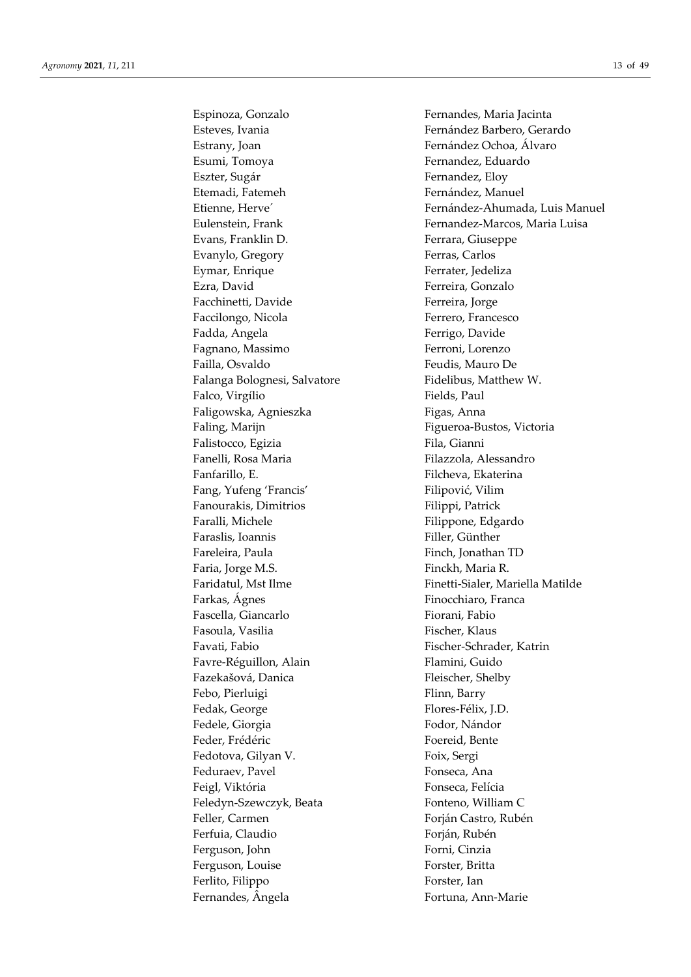Espinoza, Gonzalo **Fernandes**, Maria Jacinta Esteves, Ivania **Fernández Barbero, Gerardo** Estrany, Joan **Fernández Ochoa, Álvaro** Esumi, Tomoya **Fernandez**, Eduardo Eszter, Sugár Fernandez, Eloy Etemadi, Fatemeh Fernández, Manuel Evans, Franklin D. Ferrara, Giuseppe Evanylo, Gregory Ferras, Carlos Eymar, Enrique **Ferrater**, Jedeliza Ezra, David Ferreira, Gonzalo Facchinetti, Davide Ferreira, Jorge Faccilongo, Nicola Ferrero, Francesco Fadda, Angela **Ferrigo**, Davide Fagnano, Massimo Ferroni, Lorenzo Failla, Osvaldo Feudis, Mauro De Falanga Bolognesi, Salvatore Fidelibus, Matthew W. Falco, Virgílio Fields, Paul Faligowska, Agnieszka Figas, Anna Faling, Marijn Faling, Marijn Figueroa-Bustos, Victoria Falistocco, Egizia Fila, Gianni Fanelli, Rosa Maria **Filazzola, Alessandro** Fanfarillo, E. **Filcheva**, Ekaterina Fang, Yufeng 'Francis' Filipović, Vilim Fanourakis, Dimitrios Filippi, Patrick Faralli, Michele Filippone, Edgardo Faraslis, Ioannis Filler, Günther Fareleira, Paula Finch, Jonathan TD Faria, Jorge M.S. **Finckh**, Maria R. Farkas, Ágnes Finocchiaro, Franca Fascella, Giancarlo Fiorani, Fabio Fasoula, Vasilia Fischer, Klaus Favati, Fabio Fischer-Schrader, Katrin Favre-Réguillon, Alain Flamini, Guido Fazekašová, Danica Fleischer, Shelby Febo, Pierluigi Febo, Pierluigi Flinn, Barry Fedak, George Felix, J.D. Fedele, Giorgia **Fodor**, Nándor Feder, Frédéric Foereid, Bente Fedotova, Gilyan V. Foix, Sergi Feduraev, Pavel **Fonseca**, Ana Feigl, Viktória **Fonseca**, Felícia Feledyn-Szewczyk, Beata Fonteno, William C Feller, Carmen Forján Castro, Rubén Ferfuia, Claudio **Fortagalaceae** Forján, Rubén Ferguson, John Forni, Cinzia Ferguson, Louise Forster, Britta Ferlito, Filippo Forster, Ian Fernandes, Ângela Fortuna, Ann-Marie

Etienne, Herve<sup>´</sup> Fernández-Ahumada, Luis Manuel Eulenstein, Frank Fernandez-Marcos, Maria Luisa Faridatul, Mst Ilme Finetti-Sialer, Mariella Matilde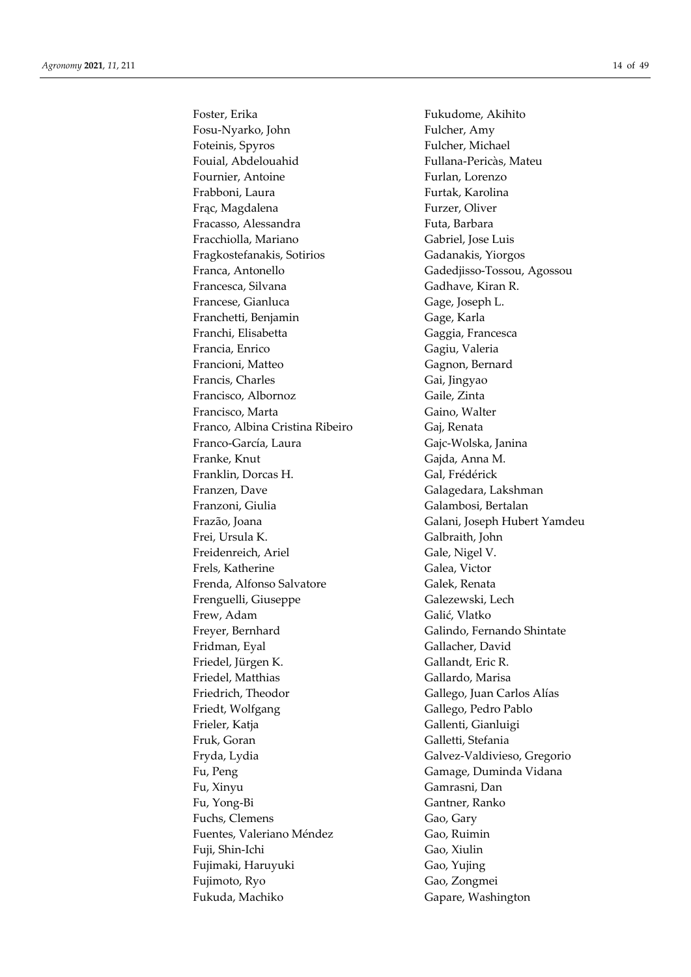Fosu-Nyarko, John Fulcher, Amy Foteinis, Spyros Fulcher, Michael Fouial, Abdelouahid Fullana-Pericàs, Mateu Fournier, Antoine Furlan, Lorenzo Frabboni, Laura **Furtak, Karolina** Frąc, Magdalena Furzer, Oliver Fracasso, Alessandra Futa, Barbara Fracchiolla, Mariano Gabriel, Jose Luis Fragkostefanakis, Sotirios Gadanakis, Yiorgos Franca, Antonello Gadedjisso-Tossou, Agossou Francesca, Silvana Gadhave, Kiran R. Francese, Gianluca Gage, Joseph L. Franchetti, Benjamin Gage, Karla Franchi, Elisabetta Gaggia, Francesca Francia, Enrico Gagiu, Valeria Francioni, Matteo Gagnon, Bernard Francis, Charles Gai, Jingyao Francisco, Albornoz Gaile, Zinta Francisco, Marta Gaino, Walter Franco, Albina Cristina Ribeiro Gaj, Renata Franco-García, Laura Gajc-Wolska, Janina Franke, Knut Gajda, Anna M. Franklin, Dorcas H. Gal, Frédérick Franzen, Dave Galagedara, Lakshman Franzoni, Giulia Galambosi, Bertalan Frazão, Joana Galani, Joseph Hubert Yamdeu Frei, Ursula K. Galbraith, John Freidenreich, Ariel Gale, Nigel V. Frels, Katherine Galea, Victor Frenda, Alfonso Salvatore Galek, Renata Frenguelli, Giuseppe Galezewski, Lech Frew, Adam Galić, Vlatko Freyer, Bernhard Galindo, Fernando Shintate Fridman, Eyal Gallacher, David Friedel, Jürgen K. Gallandt, Eric R. Friedel, Matthias Gallardo, Marisa Friedrich, Theodor Gallego, Juan Carlos Alías Friedt, Wolfgang Gallego, Pedro Pablo Frieler, Katja Gallenti, Gianluigi Fruk, Goran Galletti, Stefania Fryda, Lydia Galvez-Valdivieso, Gregorio Fu, Peng Gamage, Duminda Vidana Fu, Xinyu Gamrasni, Dan Fu, Yong-Bi Gantner, Ranko Fuchs, Clemens Gao, Gary Fuentes, Valeriano Méndez **Gao, Ruimin** Fuji, Shin-Ichi Gao, Xiulin Fujimaki, Haruyuki Gao, Yujing Fujimoto, Ryo Gao, Zongmei Fukuda, Machiko Gapare, Washington

Foster, Erika Fukudome, Akihito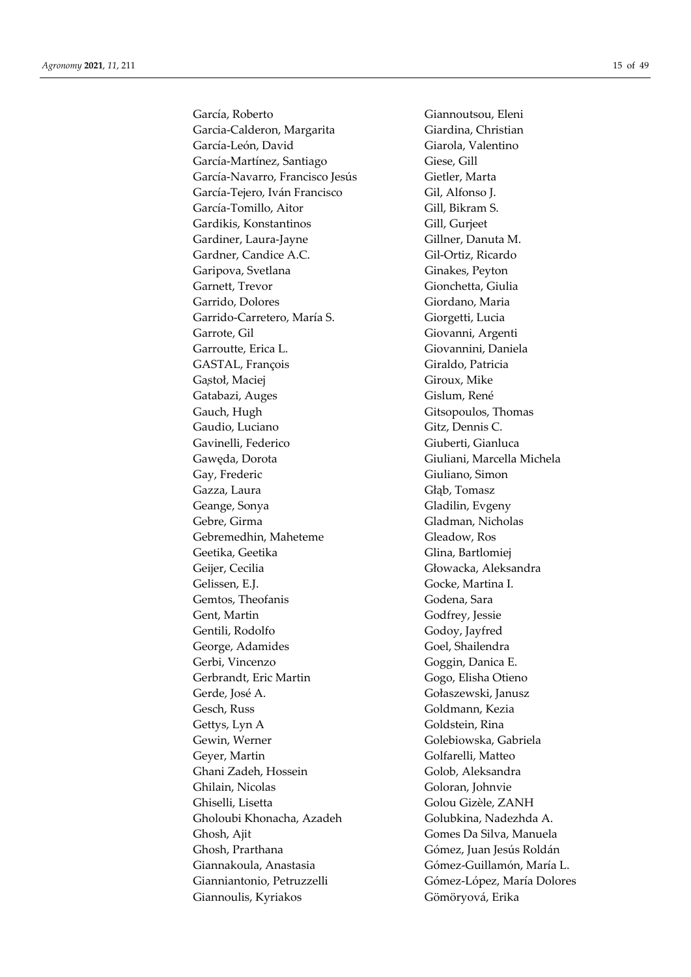García, Roberto Giannoutsou, Eleni Garcia-Calderon, Margarita Giardina, Christian García-León, David Giarola, Valentino García-Martínez, Santiago Giese, Gill García-Navarro, Francisco Jesús Gietler, Marta García-Tejero, Iván Francisco Gil, Alfonso J. García-Tomillo, Aitor Gill, Bikram S. Gardikis, Konstantinos Gill, Gurjeet Gardiner, Laura-Jayne Gillner, Danuta M. Gardner, Candice A.C. Gil-Ortiz, Ricardo Garipova, Svetlana Ginakes, Peyton Garnett, Trevor Gionchetta, Giulia Garrido, Dolores Giordano, Maria Garrido-Carretero, María S. Giorgetti, Lucia Garrote, Gil Giovanni, Argenti Garroutte, Erica L. Giovannini, Daniela GASTAL, François Giraldo, Patricia Gastoł, Maciej Giroux, Mike Gatabazi, Auges Gislum, René Gauch, Hugh Gitsopoulos, Thomas Gaudio, Luciano Gitz, Dennis C. Gavinelli, Federico **Giuberti**, Gianluca Gawęda, Dorota Giuliani, Marcella Michela Gay, Frederic Giuliano, Simon Gazza, Laura Głąb, Tomasz Geange, Sonya Gladilin, Evgeny Gebre, Girma Gladman, Nicholas Gebremedhin, Maheteme Gleadow, Ros Geetika, Geetika Geetika Glina, Bartlomiej Geijer, Cecilia Głowacka, Aleksandra Gelissen, E.J. Gocke, Martina I. Gemtos, Theofanis Godena, Sara Gent, Martin Godfrey, Jessie Gentili, Rodolfo Godoy, Jayfred George, Adamides Goel, Shailendra Gerbi, Vincenzo Goggin, Danica E. Gerbrandt, Eric Martin Gogo, Elisha Otieno Gerde, José A. Gołaszewski, Janusz Gesch, Russ Goldmann, Kezia Gettys, Lyn A Goldstein, Rina Gewin, Werner Golebiowska, Gabriela Geyer, Martin Golfarelli, Matteo Ghani Zadeh, Hossein Golob, Aleksandra Ghilain, Nicolas Goloran, Johnvie Ghiselli, Lisetta Golou Gizèle, ZANH Gholoubi Khonacha, Azadeh Golubkina, Nadezhda A. Ghosh, Ajit Gomes Da Silva, Manuela Ghosh, Prarthana Gómez, Juan Jesús Roldán Giannakoula, Anastasia Gómez-Guillamón, María L. Gianniantonio, Petruzzelli Gómez-López, María Dolores Giannoulis, Kyriakos Gömöryová, Erika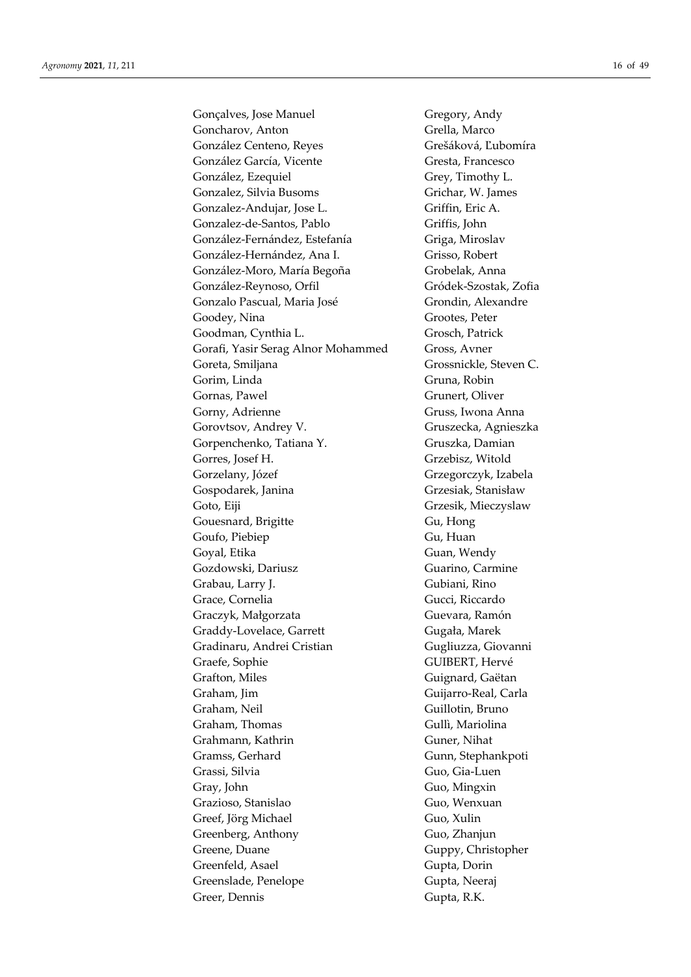Gonçalves, Jose Manuel Gregory, Andy Goncharov, Anton Grella, Marco González Centeno, Reyes Grešáková, Ľubomíra González García, Vicente Gresta, Francesco González, Ezequiel Grey, Timothy L. Gonzalez, Silvia Busoms Grichar, W. James Gonzalez-Andujar, Jose L. Griffin, Eric A. Gonzalez-de-Santos, Pablo Griffis, John González-Fernández, Estefanía Griga, Miroslav González-Hernández, Ana I. Grisso, Robert González-Moro, María Begoña Grobelak, Anna González-Reynoso, Orfil Gródek-Szostak, Zofia Gonzalo Pascual, Maria José Grondin, Alexandre Goodey, Nina Grootes, Peter Goodman, Cynthia L. Grosch, Patrick Gorafi, Yasir Serag Alnor Mohammed Gross, Avner Goreta, Smiljana Grossnickle, Steven C. Gorim, Linda Gruna, Robin Gornas, Pawel Grunert, Oliver Gorny, Adrienne Gruss, Iwona Anna Gorovtsov, Andrey V. Gruszecka, Agnieszka Gorpenchenko, Tatiana Y. Gruszka, Damian Gorres, Josef H. Grzebisz, Witold Gorzelany, Józef Grzegorczyk, Izabela Gospodarek, Janina Grzesiak, Stanisław Goto, Eiji Grzesik, Mieczyslaw Gouesnard, Brigitte Gu, Hong Goufo, Piebiep Gu, Huan Goyal, Etika Guan, Wendy Gozdowski, Dariusz Guarino, Carmine Grabau, Larry J. Gubiani, Rino Grace, Cornelia Gucci, Riccardo Graczyk, Małgorzata Guevara, Ramón Graddy-Lovelace, Garrett Gugała, Marek Gradinaru, Andrei Cristian Gugliuzza, Giovanni Graefe, Sophie GUIBERT, Hervé Grafton, Miles Guignard, Gaëtan Graham, Jim Guijarro-Real, Carla Graham, Neil Guillotin, Bruno Graham, Thomas Gullì, Mariolina Grahmann, Kathrin Guner, Nihat Gramss, Gerhard Gunn, Stephankpoti Grassi, Silvia Guo, Gia-Luen Gray, John Guo, Mingxin Grazioso, Stanislao Guo, Wenxuan Greef, Jörg Michael Guo, Xulin Greenberg, Anthony Guo, Zhanjun Greene, Duane Guppy, Christopher Greenfeld, Asael Gupta, Dorin Greenslade, Penelope Gupta, Neeraj Greer, Dennis Gupta, R.K.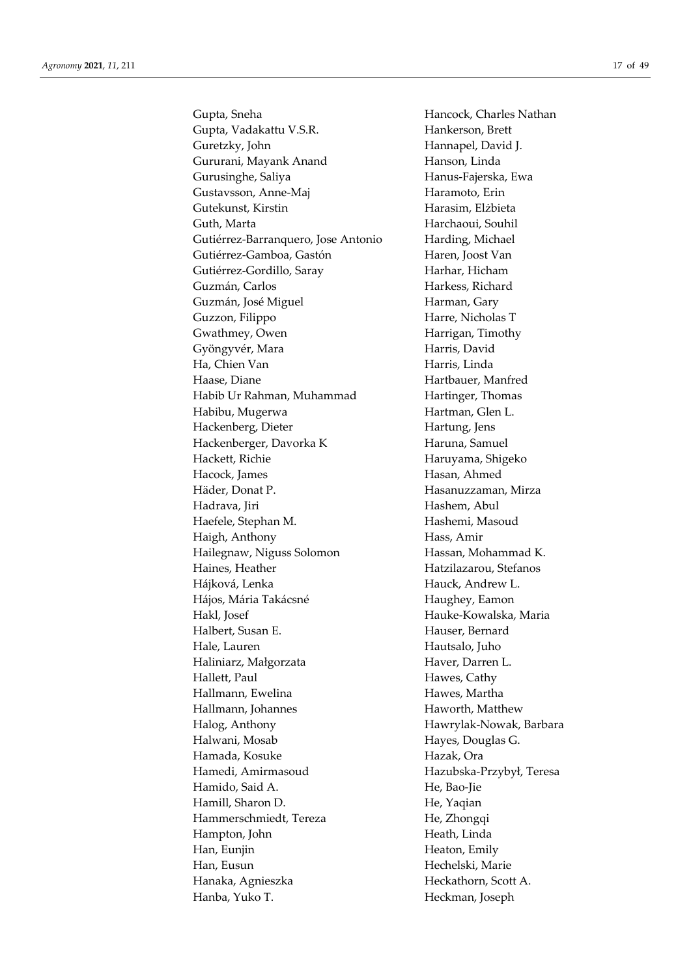Gupta, Sneha **Hancock**, Charles Nathan Gupta, Vadakattu V.S.R. Hankerson, Brett Guretzky, John Hannapel, David J. Gururani, Mayank Anand Hanson, Linda Gurusinghe, Saliya **Hanus-Fajerska**, Ewa Gustavsson, Anne-Maj Haramoto, Erin Gutekunst, Kirstin Harasim, Elżbieta Guth, Marta **Harchaoui**, Souhil Gutiérrez-Barranquero, Jose Antonio Harding, Michael Gutiérrez-Gamboa, Gastón Haren, Joost Van Gutiérrez-Gordillo, Saray Harhar, Hicham Guzmán, Carlos **Harkess**, Richard Guzmán, José Miguel **Harman**, Gary Guzzon, Filippo Harre, Nicholas T Gwathmey, Owen Harrigan, Timothy Gyöngyvér, Mara **Harris**, David Ha, Chien Van **Harris**, Linda Haase, Diane **Hartbauer**, Manfred Habib Ur Rahman, Muhammad Hartinger, Thomas Habibu, Mugerwa **Hartman**, Glen L. Hackenberg, Dieter Hartung, Jens Hackenberger, Davorka K Haruna, Samuel Hackett, Richie **Haruyama**, Shigeko Hacock, James **Hasan**, Ahmed Häder, Donat P. **Hasanuzzaman**, Mirza Hadrava, Jiri **Hashem**, Abul Haefele, Stephan M. Hashemi, Masoud Haigh, Anthony Hass, Amir Hailegnaw, Niguss Solomon Hassan, Mohammad K. Haines, Heather Hatzilazarou, Stefanos Hájková, Lenka Hauck, Andrew L. Hájos, Mária Takácsné **Haughey, Eamon** Hakl, Josef Hauke-Kowalska, Maria Halbert, Susan E. Hauser, Bernard Hale, Lauren Hautsalo, Juho Haliniarz, Małgorzata **Haver**, Darren L. Hallett, Paul Hawes, Cathy Hallmann, Ewelina **Hawes**, Martha Hallmann, Johannes Haworth, Matthew Halog, Anthony Hawrylak-Nowak, Barbara Halwani, Mosab **Hayes**, Douglas G. Hamada, Kosuke **Hazak, Ora** Hamedi, Amirmasoud Hazubska-Przybył, Teresa Hamido, Said A. He, Bao-Jie Hamill, Sharon D. He, Yaqian Hammerschmiedt, Tereza He, Zhongqi Hampton, John Heath, Linda Han, Euniin Heaton, Emily Han, Eusun Hechelski, Marie Hanaka, Agnieszka Heckathorn, Scott A. Hanba, Yuko T. **Heckman**, Joseph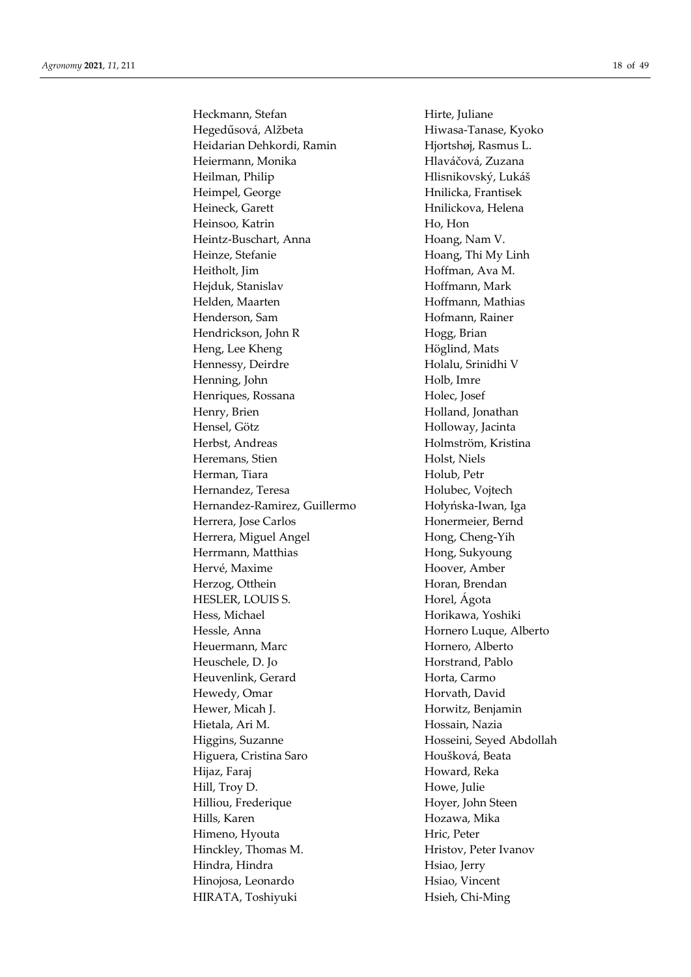Heckmann, Stefan Hirte, Juliane Hegedűsová, Alžbeta Hiwasa-Tanase, Kyoko Heidarian Dehkordi, Ramin Hjortshøj, Rasmus L. Heiermann, Monika Hlaváčová, Zuzana Heilman, Philip Hlisnikovský, Lukáš Heimpel, George Hnilicka, Frantisek Heineck, Garett Hnilickova, Helena Heinsoo, Katrin Ho, Hon Heintz-Buschart, Anna Hoang, Nam V. Heinze, Stefanie Hoang, Thi My Linh Heitholt, Jim Hoffman, Ava M. Hejduk, Stanislav Hoffmann, Mark Helden, Maarten Hoffmann, Mathias Henderson, Sam Hofmann, Rainer Hendrickson, John R Hogg, Brian Heng, Lee Kheng **Höglind**, Mats Hennessy, Deirdre Holalu, Srinidhi V Henning, John Holb, Imre Henriques, Rossana **Holec**, Josef Henry, Brien **Holland**, Jonathan Hensel, Götz Holloway, Jacinta Herbst, Andreas **Holmström, Kristina** Heremans, Stien Holst, Niels Herman, Tiara **Holub**, Petr Hernandez, Teresa Holubec, Vojtech Hernandez-Ramirez, Guillermo Hołyńska-Iwan, Iga Herrera, Jose Carlos **Honermeier**, Bernd Herrera, Miguel Angel **Hong**, Cheng-Yih Herrmann, Matthias Hong, Sukyoung Hervé, Maxime Hoover, Amber Herzog, Otthein Horan, Brendan HESLER, LOUIS S. Horel, Ágota Hess, Michael **Horikawa**, Yoshiki Hessle, Anna **Hornero Luque, Alberto** Heuermann, Marc **Hornero**, Alberto Heuschele, D. Jo Horstrand, Pablo Heuvenlink, Gerard Horta, Carmo Hewedy, Omar Horvath, David Hewer, Micah J. **Horwitz**, Benjamin Hietala, Ari M. Hossain, Nazia Higgins, Suzanne Hosseini, Seyed Abdollah Higuera, Cristina Saro Houšková, Beata Hijaz, Faraj **Howard**, Reka Hill, Troy D. Howe, Julie Hilliou, Frederique Hoyer, John Steen Hills, Karen **Hozawa**, Mika Himeno, Hyouta Hric, Peter Hinckley, Thomas M. **Heristov**, Peter Ivanov Hindra, Hindra **Hindra** Hsiao, Jerry Hinojosa, Leonardo Hsiao, Vincent HIRATA, Toshiyuki Hsieh, Chi-Ming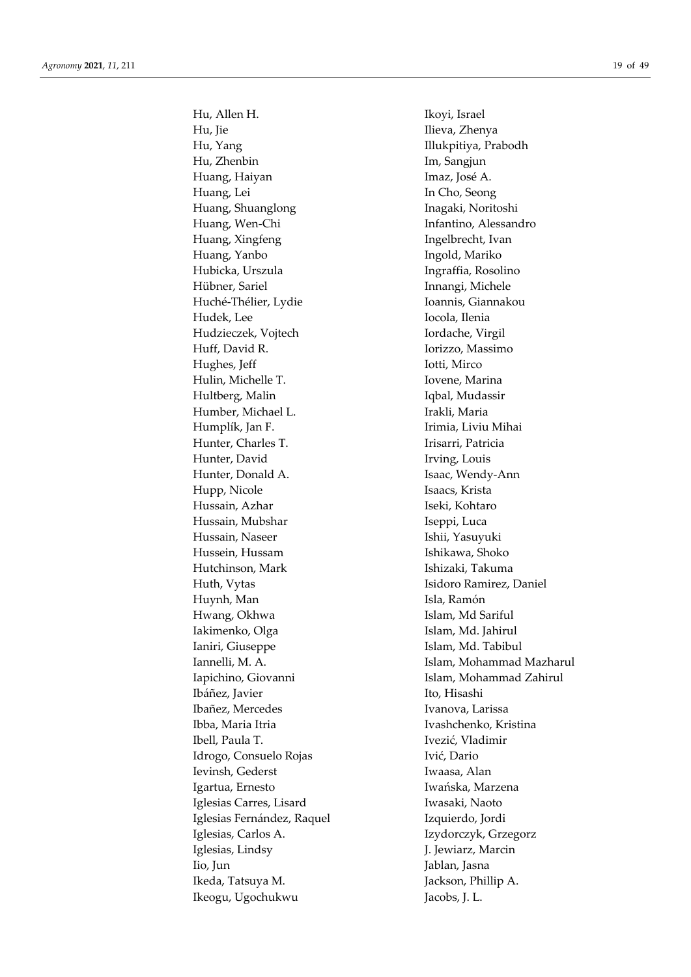Hu, Allen H. Ikoyi, Israel Hu, Jie Ilieva, Zhenya Hu, Yang **Illukpitiya**, Prabodh Hu, Zhenbin Im, Sangjun Huang, Haiyan **Imaz**, José A. Huang, Lei In Cho, Seong Huang, Shuanglong Inagaki, Noritoshi Huang, Wen-Chi Infantino, Alessandro Huang, Xingfeng **Ingelbrecht**, Ivan Huang, Yanbo **Ingold**, Mariko Hubicka, Urszula **Ingraffia**, Rosolino Hübner, Sariel Innangi, Michele Huché-Thélier, Lydie **Ioannis**, Giannakou Hudek, Lee Iocola, Ilenia Hudzieczek, Vojtech **Iordache**, Virgil Huff, David R. **Iorizzo**, Massimo Hughes, Jeff Iotti, Mirco Hulin, Michelle T. **Iovene**, Marina Hultberg, Malin Iqbal, Mudassir Humber, Michael L. **Irakli**, Maria Humplík, Jan F. Irimia, Liviu Mihai Hunter, Charles T. Irisarri, Patricia Hunter, David Irving, Louis Hunter, Donald A. Isaac, Wendy-Ann Hupp, Nicole Isaacs, Krista Hussain, Azhar **Iseki, Kohtaro** Hussain, Mubshar **Iseppi, Luca** Hussain, Naseer **Ishii**, Yasuyuki Hussein, Hussam Ishikawa, Shoko Hutchinson, Mark Ishizaki, Takuma Huth, Vytas Isidoro Ramirez, Daniel Huynh, Man **Isla**, Ramón Hwang, Okhwa Islam, Md Sariful Iakimenko, Olga Islam, Md. Jahirul Ianiri, Giuseppe **Islam**, Md. Tabibul Ibáñez, Javier Ito, Hisashi Ibañez, Mercedes Ivanova, Larissa Ibba, Maria Itria **Ivashchenko**, Kristina Ibell, Paula T. Ivezić, Vladimir Idrogo, Consuelo Rojas Ivić, Dario Ievinsh, Gederst Iwaasa, Alan Igartua, Ernesto Iwańska, Marzena Iglesias Carres, Lisard Iwasaki, Naoto Iglesias Fernández, Raquel Izquierdo, Jordi Iglesias, Carlos A. Izydorczyk, Grzegorz Iglesias, Lindsy J. Jewiarz, Marcin Iio, Jun Jablan, Jasna Ikeda, Tatsuya M. Jackson, Phillip A. Ikeogu, Ugochukwu Jacobs, J. L.

Iannelli, M. A. Islam, Mohammad Mazharul Iapichino, Giovanni **Islam, Mohammad Zahirul**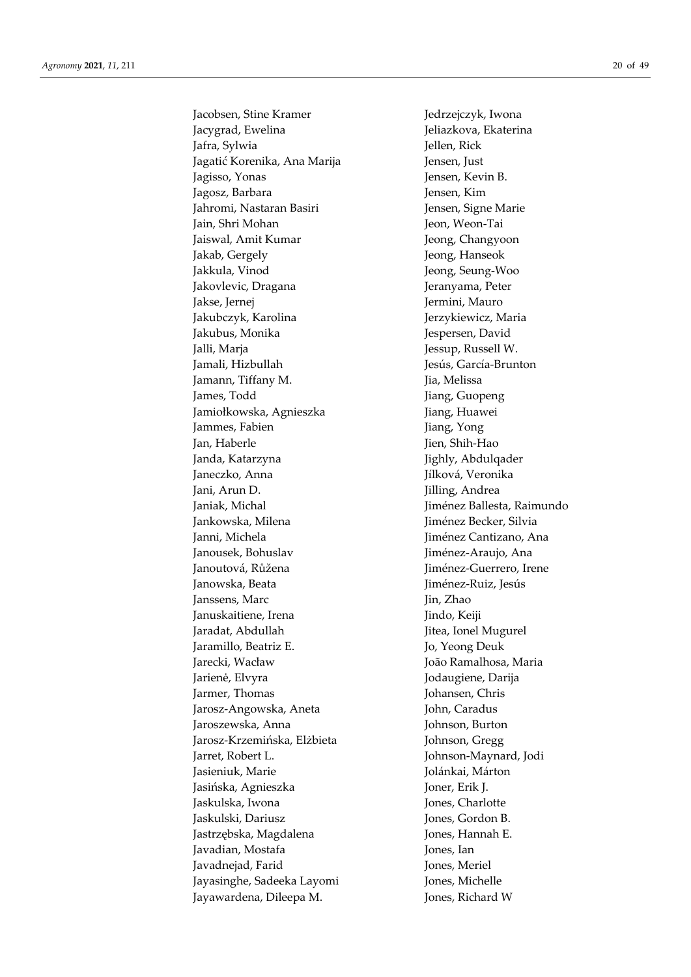, *11*, 211 20 of 49 Jacobsen, Stine Kramer Jedrzejczyk, Iwona Jacygrad, Ewelina Jeliazkova, Ekaterina Jafra, Sylwia Jellen, Rick Jagatić Korenika, Ana Marija Jensen, Just Jagisso, Yomas Jensen, Kurin Jensen, Kurin Jensen, Kurin Jensen, Kurin Jensen, Kurin Jasharan Basiri Jensen, Signe Maria Jashara Jami'a Jashara Jami'a Jashara Jami'a Jashari Jashari Jashari Jashar Jensen, Signe Maria Jasha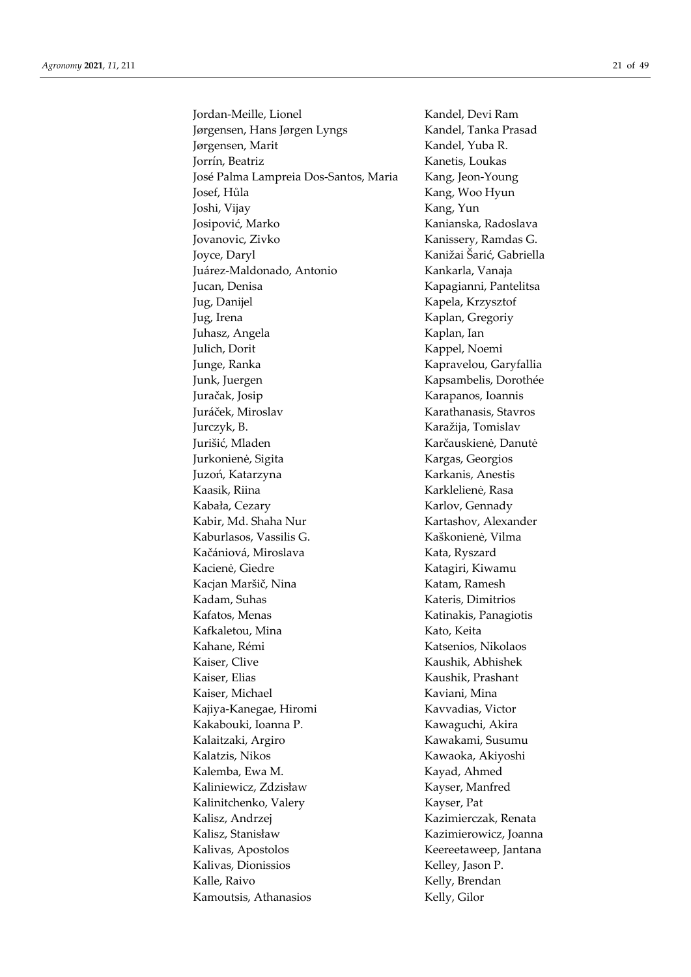Jordan-Meille, Lionel Kandel, Devi Ram Jørgensen, Hans Jørgen Lyngs Kandel, Tanka Prasad Jørgensen, Marit Kandel, Yuba R. Jorrín, Beatriz Kanetis, Loukas José Palma Lampreia Dos-Santos, Maria Kang, Jeon-Young Josef, Hůla Kang, Woo Hyun Joshi, Vijay Kang, Yun Josipović, Marko Kanianska, Radoslava Jovanovic, Zivko Kanissery, Ramdas G. Joyce, Daryl Kanižai Šarić, Gabriella Juárez-Maldonado, Antonio Kankarla, Vanaja Jucan, Denisa **Kapagianni**, Pantelitsa Jug, Danijel Kapela, Krzysztof Jug, Irena Kaplan, Gregoriy Juhasz, Angela Kaplan, Ian Julich, Dorit Kappel, Noemi Junge, Ranka Kapravelou, Garyfallia Junk, Juergen Kapsambelis, Dorothée Juračak, Josip Karapanos, Ioannis Juráček, Miroslav Karathanasis, Stavros Jurczyk, B. Karažija, Tomislav Jurišić, Mladen Karčauskienė, Danutė Jurkonienė, Sigita Kargas, Georgios Juzoń, Katarzyna **Karkanis**, Anestis Kaasik, Riina Karklelienė, Rasa Kabała, Cezary **Karlov**, Gennady Kabir, Md. Shaha Nur Kartashov, Alexander Kaburlasos, Vassilis G. Kaškonienė, Vilma Kačániová, Miroslava Kata, Ryszard Kacienė, Giedre Katagiri, Kiwamu Kacjan Maršič, Nina Katam, Ramesh Kadam, Suhas Kateris, Dimitrios Kafatos, Menas Katinakis, Panagiotis Kafkaletou, Mina Kato, Keita Kahane, Rémi Katsenios, Nikolaos Kaiser, Clive Kaushik, Abhishek Kaiser, Elias Kaushik, Prashant Kaiser, Michael Kaviani, Mina Kajiya-Kanegae, Hiromi Kavvadias, Victor Kakabouki, Ioanna P. Kawaguchi, Akira Kalaitzaki, Argiro Kawakami, Susumu Kalatzis, Nikos Kawaoka, Akiyoshi Kalemba, Ewa M. Kayad, Ahmed Kaliniewicz, Zdzisław Kayser, Manfred Kalinitchenko, Valery Kayser, Pat Kalisz, Andrzej Kazimierczak, Renata Kalisz, Stanisław Kazimierowicz, Joanna Kalivas, Apostolos Keereetaweep, Jantana Kalivas, Dionissios Kelley, Jason P. Kalle, Raivo Kelly, Brendan Kamoutsis, Athanasios Kelly, Gilor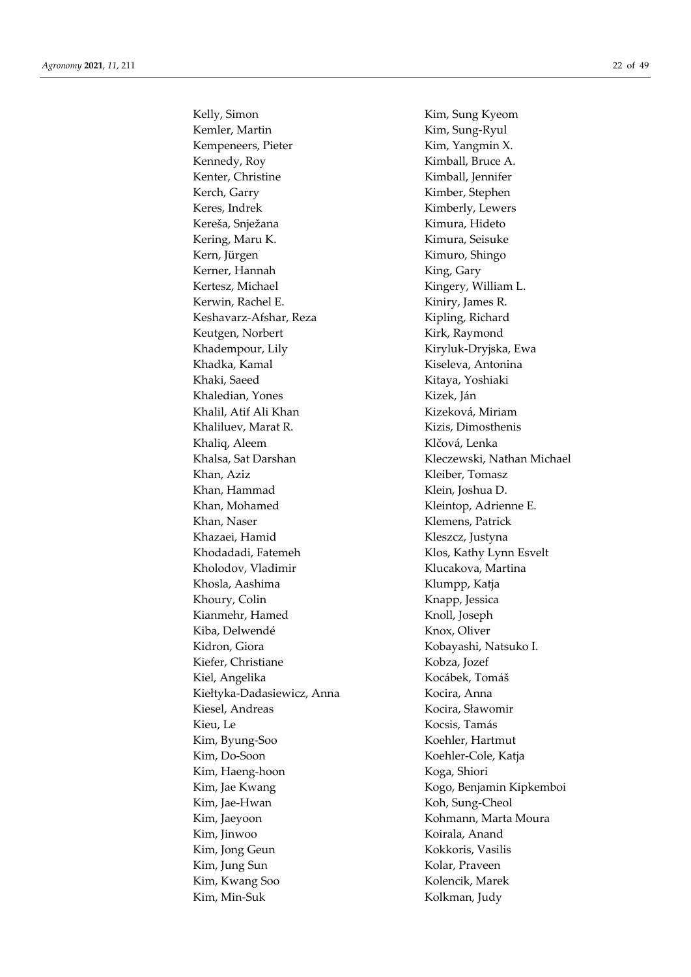Kelly, Simon Kim, Sung Kyeom Kemler, Martin **Kim**, Sung-Ryul Kempeneers, Pieter Kim, Yangmin X. Kennedy, Roy Kimball, Bruce A. Kenter, Christine Kimball, Jennifer Kerch, Garry **Kimber**, Stephen Keres, Indrek Kimberly, Lewers Kereša, Snježana Kimura, Hideto Kering, Maru K. Kimura, Seisuke Kern, Jürgen Kimuro, Shingo Kerner, Hannah King, Gary Kertesz, Michael Kingery, William L. Kerwin, Rachel E. Kiniry, James R. Keshavarz-Afshar, Reza Kipling, Richard Keutgen, Norbert Kirk, Raymond Khadempour, Lily Kiryluk-Dryjska, Ewa Khadka, Kamal **Khadka, Kamal** Kiseleva, Antonina Khaki, Saeed Kitaya, Yoshiaki Khaledian, Yones Kizek, Ján Khalil, Atif Ali Khan Kizeková, Miriam Khaliluev, Marat R. Kizis, Dimosthenis Khaliq, Aleem Klčová, Lenka Khalsa, Sat Darshan Khalsa, Kleczewski, Nathan Michael Khan, Aziz Kleiber, Tomasz Khan, Hammad Klein, Joshua D. Khan, Mohamed Kleintop, Adrienne E. Khan, Naser Klemens, Patrick Khazaei, Hamid Kleszcz, Justyna Khodadadi, Fatemeh Klos, Kathy Lynn Esvelt Kholodov, Vladimir Klucakova, Martina Khosla, Aashima Klumpp, Katja Khoury, Colin Knapp, Jessica Kianmehr, Hamed Knoll, Joseph Kiba, Delwendé Knox, Oliver Kidron, Giora Kobayashi, Natsuko I. Kiefer, Christiane Kobza, Jozef Kiel, Angelika Kocábek, Tomáš Kiełtyka-Dadasiewicz, Anna Kocira, Anna Kiesel, Andreas Kocira, Sławomir Kieu, Le Kocsis, Tamás Kim, Byung-Soo Koehler, Hartmut Kim, Do-Soon Koehler-Cole, Katja Kim, Haeng-hoon Koga, Shiori Kim, Jae Kwang Kogo, Benjamin Kipkemboi Kim, Jae-Hwan Koh, Sung-Cheol Kim, Jaeyoon Kohmann, Marta Moura Kim, Jinwoo Koirala, Anand Kim, Jong Geun Kokkoris, Vasilis Kim, Jung Sun Kolar, Praveen Kim, Kwang Soo Kolencik, Marek Kim, Min-Suk Kolkman, Judy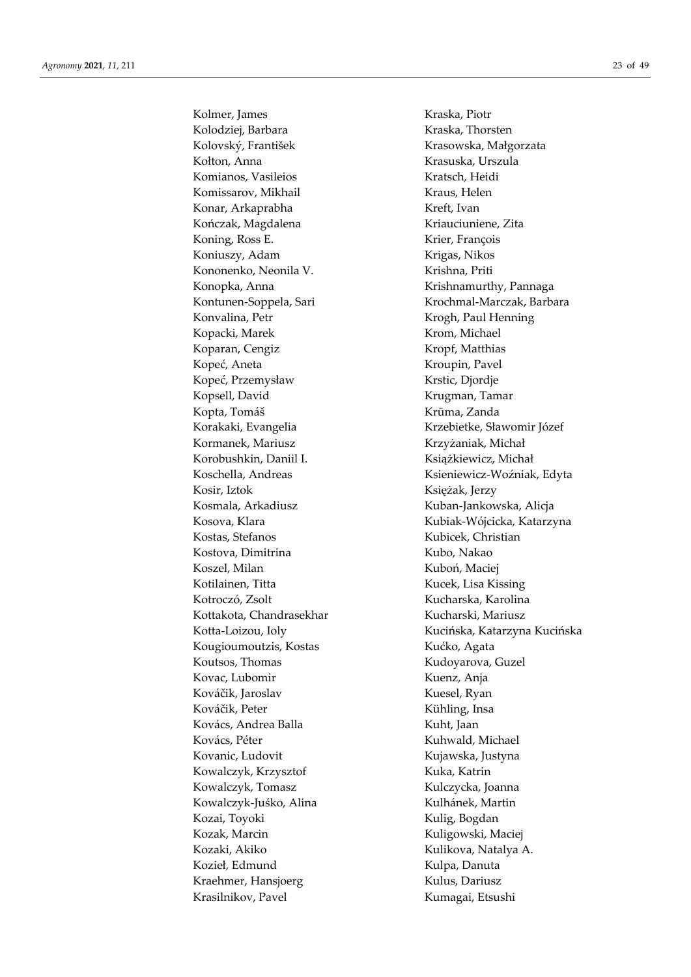Kolmer, James Kraska, Piotr Kolodziej, Barbara Kraska, Thorsten Kolovský, František Krasowska, Małgorzata Kołton, Anna Krasuska, Urszula Komianos, Vasileios Kratsch, Heidi Komissarov, Mikhail Kraus, Helen Konar, Arkaprabha Kreft, Ivan Kończak, Magdalena Kriauciuniene, Zita Koning, Ross E. Krier, François Koniuszy, Adam Krigas, Nikos Kononenko, Neonila V. Krishna, Priti Konopka, Anna **Krishnamurthy**, Pannaga Konvalina, Petr **Krogh, Paul Henning** Kopacki, Marek Krom, Michael Koparan, Cengiz Kropf, Matthias Kopeć, Aneta Kroupin, Pavel Kopeć, Przemysław Krstic, Djordje Kopsell, David Krugman, Tamar Kopta, Tomáš Krūma, Zanda Kormanek, Mariusz Krzyżaniak, Michał Korobushkin, Daniil I. Książkiewicz, Michał Kosir, Iztok Księżak, Jerzy Kosmala, Arkadiusz Kuban-Jankowska, Alicja Kostas, Stefanos Kubicek, Christian Kostova, Dimitrina Kubo, Nakao Koszel, Milan Kuboń, Maciej Kotilainen, Titta Kucek, Lisa Kissing Kotroczó, Zsolt Kucharska, Karolina Kottakota, Chandrasekhar Kucharski, Mariusz Kougioumoutzis, Kostas **Kućko, Agata** Koutsos, Thomas Kudoyarova, Guzel Kovac, Lubomir Kuenz, Anja Kováčik, Jaroslav Kuesel, Ryan Kováčik, Peter Kühling, Insa Kovács, Andrea Balla Kuht, Jaan Kovács, Péter Kuhwald, Michael Kovanic, Ludovit Kujawska, Justyna Kowalczyk, Krzysztof Kuka, Katrin Kowalczyk, Tomasz Kulczycka, Joanna Kowalczyk-Juśko, Alina Kulhánek, Martin Kozai, Toyoki Kulig, Bogdan Kozak, Marcin Kuligowski, Maciej Kozaki, Akiko Kulikova, Natalya A. Kozieł, Edmund Kulpa, Danuta Kraehmer, Hansjoerg Kulus, Dariusz Krasilnikov, Pavel Kumagai, Etsushi

Kontunen-Soppela, Sari Krochmal-Marczak, Barbara Korakaki, Evangelia Krzebietke, Sławomir Józef Koschella, Andreas Ksieniewicz-Woźniak, Edyta Kosova, Klara Kubiak-Wójcicka, Katarzyna Kotta-Loizou, Ioly **Kucińska, Katarzyna Kucińska**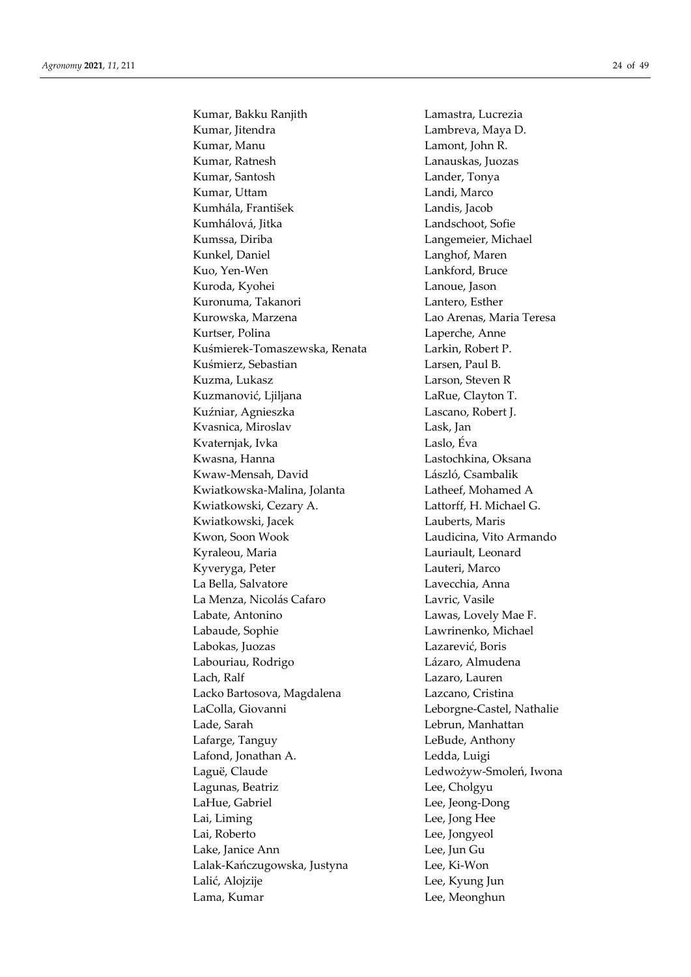Kumar, Bakku Ranjith Lamastra, Lucrezia Kumar, Jitendra **Lambreva**, Maya D. Kumar, Manu Lamont, John R. Kumar, Ratnesh Lanauskas, Juozas Kumar, Santosh Lander, Tonya Kumar, Uttam Landi, Marco Kumhála, František Landis, Jacob Kumhálová, Jitka **Landschoot**, Sofie Kumssa, Diriba **Langemeier**, Michael Kunkel, Daniel **Langhof**, Maren Kuo, Yen-Wen Lankford, Bruce Kuroda, Kyohei Lanoue, Jason Kuronuma, Takanori **Lantero**, Esther Kurowska, Marzena Lao Arenas, Maria Teresa Kurtser, Polina **Laperche**, Anne Kuśmierek-Tomaszewska, Renata Larkin, Robert P. Kuśmierz, Sebastian album Larsen, Paul B. Kuzma, Lukasz **Larson**, Steven R Kuzmanović, Ljiljana LaRue, Clayton T. Kuźniar, Agnieszka Lascano, Robert J. Kvasnica, Miroslav Lask, Jan Kvaternjak, Ivka Laslo, Éva Kwasna, Hanna Lastochkina, Oksana Kwaw-Mensah, David László, Csambalik Kwiatkowska-Malina, Jolanta Latheef, Mohamed A Kwiatkowski, Cezary A. Lattorff, H. Michael G. Kwiatkowski, Jacek Lauberts, Maris Kwon, Soon Wook Laudicina, Vito Armando Kyraleou, Maria **Lauriault**, Leonard Kyveryga, Peter **Lauteri**, Marco La Bella, Salvatore Lavecchia, Anna La Menza, Nicolás Cafaro Lavric, Vasile Labate, Antonino Lawas, Lovely Mae F. Labaude, Sophie Lawrinenko, Michael Labokas, Juozas Lazarević, Boris Labouriau, Rodrigo Lázaro, Almudena Lach, Ralf Lazaro, Lauren Lacko Bartosova, Magdalena Lazcano, Cristina LaColla, Giovanni Leborgne-Castel, Nathalie Lade, Sarah Lebrun, Manhattan Lafarge, Tanguy LeBude, Anthony Lafond, Jonathan A. Ledda, Luigi Laguë, Claude Ledwożyw-Smoleń, Iwona Lagunas, Beatriz **Lee**, Cholgyu LaHue, Gabriel **Lee**, Jeong-Dong Lai, Liming Lee, Jong Hee Lai, Roberto Lee, Jongyeol Lake, Janice Ann Lee, Jun Gu Lalak-Kańczugowska, Justyna Lee, Ki-Won Lalić, Alojzije Lee, Kyung Jun Lama, Kumar Lee, Meonghun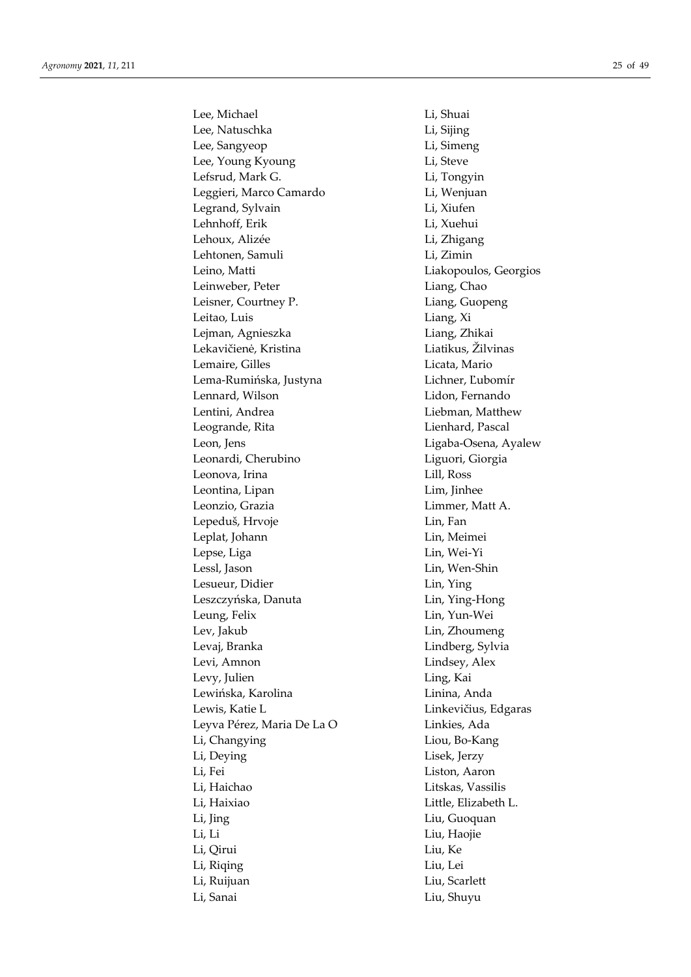Lee, Michael Li, Shuai Lee, Natuschka Li, Sijing Lee, Sangyeop Li, Simeng Lee, Young Kyoung Li, Steve Lefsrud, Mark G. Li, Tongyin Leggieri, Marco Camardo Li, Wenjuan Legrand, Sylvain Li, Xiufen Lehnhoff, Erik Li, Xuehui Lehoux, Alizée Li, Zhigang Lehtonen, Samuli Li, Zimin Leino, Matti **Liakopoulos**, Georgios Leinweber, Peter Liang, Chao Leisner, Courtney P. Liang, Guopeng Leitao, Luis Liang, Xi Lejman, Agnieszka Liang, Zhikai Lekavičienė, Kristina Liatikus, Žilvinas Lemaire, Gilles **Licata**, Mario Lema-Rumińska, Justyna Lichner, Ľubomír Lennard, Wilson Lidon, Fernando Lentini, Andrea **Liebman**, Matthew Leogrande, Rita **Lienhard**, Pascal Leon, Jens Ligaba-Osena, Ayalew Leonardi, Cherubino Liguori, Giorgia Leonova, Irina Lill, Ross Leontina, Lipan Lim, Jinhee Leonzio, Grazia Limmer, Matt A. Lepeduš, Hrvoje **Lin**, Fan Leplat, Johann Lin, Meimei Lepse, Liga Lin, Wei-Yi Lessl, Jason Lin, Wen-Shin Lesueur, Didier Lin, Ying Leszczyńska, Danuta Lin, Ying-Hong Leung, Felix Lin, Yun-Wei Lev, Jakub Lin, Zhoumeng Levaj, Branka Lindberg, Sylvia Levi, Amnon Lindsey, Alex Levy, Julien **Ling**, Kai Lewińska, Karolina Linina, Anda Lewis, Katie L<br>
Linkevičius, Edgaras Leyva Pérez, Maria De La O Linkies, Ada Li, Changying Liou, Bo-Kang Li, Deying Lisek, Jerzy Li, Fei Liston, Aaron Li, Haichao Litskas, Vassilis Li, Haixiao Little, Elizabeth L. Li, Jing Liu, Guoquan Li, Li Liu, Haojie Li, Qirui Liu, Ke Li, Riqing Liu, Lei Li, Ruijuan Liu, Scarlett Li, Sanai Liu, Shuyu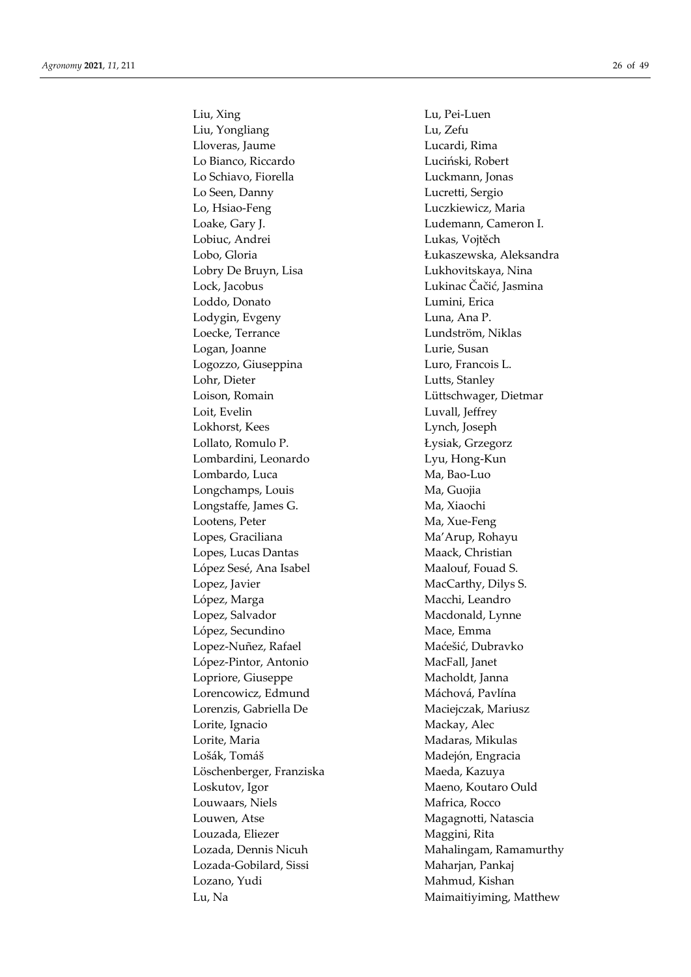Liu, Xing Lu, Pei-Luen Liu, Yongliang Lu, Zefu Lloveras, Jaume Lucardi, Rima Lo Bianco, Riccardo Luciński, Robert Lo Schiavo, Fiorella Luckmann, Jonas Lo Seen, Danny Lucretti, Sergio Lo, Hsiao-Feng Luczkiewicz, Maria Loake, Gary J. Ludemann, Cameron I. Lobiuc, Andrei Lukas, Vojtěch Lobry De Bruyn, Lisa **Lukhovitskaya**, Nina Lock, Jacobus Lukinac Čačić, Jasmina Loddo, Donato Lumini, Erica Lodygin, Evgeny Luna, Ana P. Loecke, Terrance Lundström, Niklas Logan, Joanne Lurie, Susan Logozzo, Giuseppina Luro, Francois L. Lohr, Dieter Lutts, Stanley Loison, Romain Lüttschwager, Dietmar Loit, Evelin Luvall, Jeffrey Lokhorst, Kees Lynch, Joseph Lollato, Romulo P. Łysiak, Grzegorz Lombardini, Leonardo Lyu, Hong-Kun Lombardo, Luca Ma, Bao-Luo Longchamps, Louis Ma, Guojia Longstaffe, James G. Ma, Xiaochi Lootens, Peter Ma, Xue-Feng Lopes, Graciliana Ma'Arup, Rohayu Lopes, Lucas Dantas Maack, Christian López Sesé, Ana Isabel Maalouf, Fouad S. Lopez, Javier MacCarthy, Dilys S. López, Marga **Macchi**, Leandro Lopez, Salvador Macdonald, Lynne López, Secundino Mace, Emma Lopez-Nuñez, Rafael Maćešić, Dubravko López-Pintor, Antonio MacFall, Janet Lopriore, Giuseppe Macholdt, Janna Lorencowicz, Edmund Máchová, Pavlína Lorenzis, Gabriella De Maciejczak, Mariusz Lorite, Ignacio Mackay, Alec Lorite, Maria Madaras, Mikulas Lošák, Tomáš Madejón, Engracia Löschenberger, Franziska Maeda, Kazuya Loskutov, Igor Maeno, Koutaro Ould Louwaars, Niels **Matrica**, Rocco Louwen, Atse Magagnotti, Natascia Louzada, Eliezer Maggini, Rita Lozada-Gobilard, Sissi Maharjan, Pankaj Lozano, Yudi Mahmud, Kishan

Lobo, Gloria Łukaszewska, Aleksandra Lozada, Dennis Nicuh Mahalingam, Ramamurthy Lu, Na Maimaitiyiming, Matthew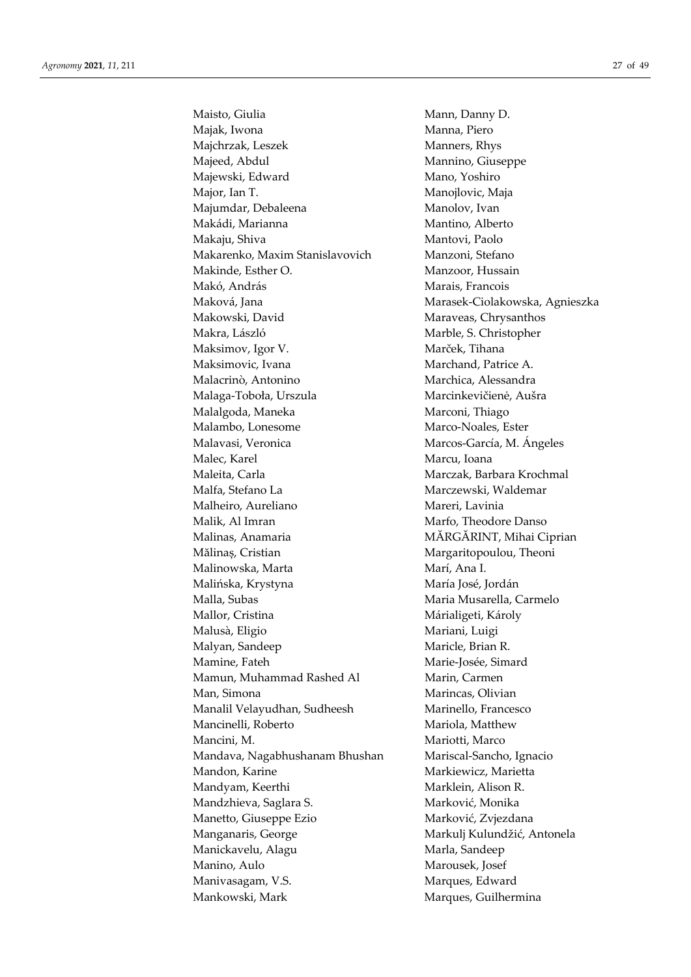Maisto, Giulia Mann, Danny D. Majak, Iwona **Manna**, Piero Majchrzak, Leszek Manners, Rhys Majeed, Abdul Mannino, Giuseppe Majewski, Edward Mano, Yoshiro Major, Ian T. Manojlovic, Maja Majumdar, Debaleena Manolov, Ivan Makádi, Marianna Mantino, Alberto Makaju, Shiva Mantovi, Paolo Makarenko, Maxim Stanislavovich Manzoni, Stefano Makinde, Esther O. Manzoor, Hussain Makó, András **Marais**, Francois Maková, Jana Marasek-Ciolakowska, Agnieszka Makowski, David Maraveas, Chrysanthos Makra, László Marble, S. Christopher Maksimov, Igor V. Marček, Tihana Maksimovic, Ivana Marchand, Patrice A. Malacrinò, Antonino Marchica, Alessandra Malaga-Toboła, Urszula Marcinkevičienė, Aušra Malalgoda, Maneka Marconi, Thiago Malambo, Lonesome Marco-Noales, Ester Malavasi, Veronica Marcos-García, M. Ángeles Malec, Karel Marcu, Ioana Maleita, Carla Marczak, Barbara Krochmal Malfa, Stefano La Marczewski, Waldemar Malheiro, Aureliano Mareri, Lavinia Malik, Al Imran Marfo, Theodore Danso Malinas, Anamaria **M**ĂRGĂRINT, Mihai Ciprian Mălinaș, Cristian Margaritopoulou, Theoni Malinowska, Marta Marí, Ana I. Malińska, Krystyna María José, Jordán Malla, Subas Maria Musarella, Carmelo Mallor, Cristina Márialigeti, Károly Malusà, Eligio Mariani, Luigi Malyan, Sandeep Maricle, Brian R. Mamine, Fateh Marie-Josée, Simard Mamun, Muhammad Rashed Al Marin, Carmen Man, Simona **Marincas**, Olivian Manalil Velayudhan, Sudheesh Marinello, Francesco Mancinelli, Roberto Mariola, Matthew Mancini, M. Mariotti, Marco Mandava, Nagabhushanam Bhushan Mariscal-Sancho, Ignacio Mandon, Karine **Markiewicz**, Markiewicz, Marietta Mandyam, Keerthi Marklein, Alison R. Mandzhieva, Saglara S. Marković, Monika Manetto, Giuseppe Ezio Marković, Zvjezdana Manganaris, George Markulj Kulundžić, Antonela Manickavelu, Alagu Marla, Sandeep Manino, Aulo Marousek, Josef Manivasagam, V.S. Marques, Edward Mankowski, Mark Margues, Guilhermina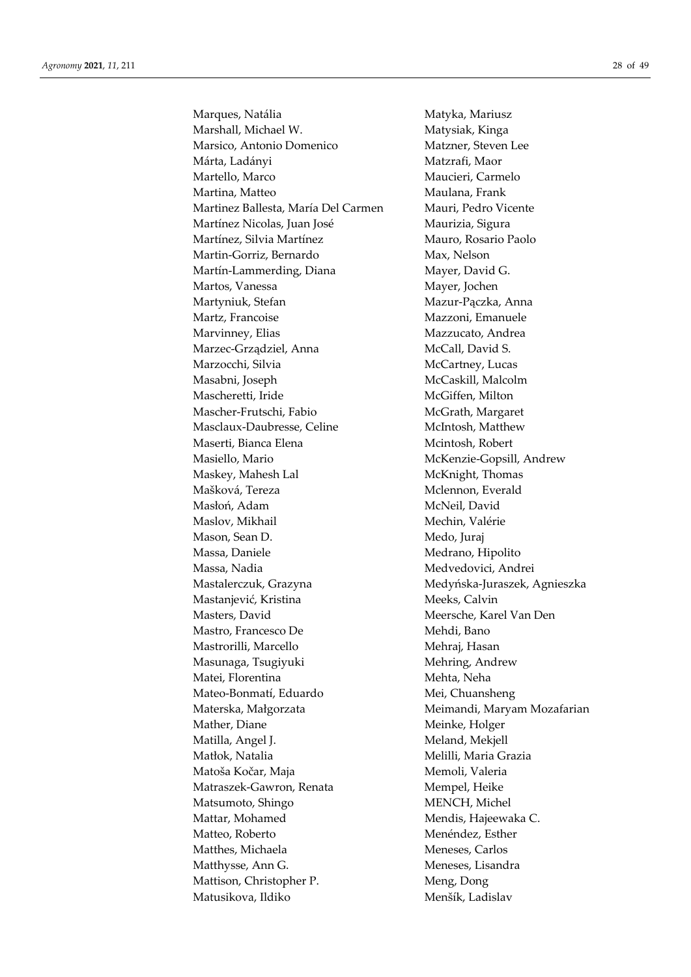Marques, Natália Matyka, Mariusz Marshall, Michael W. Matysiak, Kinga Marsico, Antonio Domenico Matzner, Steven Lee Márta, Ladányi Matzrafi, Maor Martello, Marco Maucieri, Carmelo Martina, Matteo **Maulana**, Frank Martinez Ballesta, María Del Carmen Mauri, Pedro Vicente Martínez Nicolas, Juan José Maurizia, Sigura Martínez, Silvia Martínez Mauro, Rosario Paolo Martin-Gorriz, Bernardo Max, Nelson Martín-Lammerding, Diana Mayer, David G. Martos, Vanessa Mayer, Jochen Martyniuk, Stefan Mazur-Pączka, Anna Martz, Francoise Mazzoni, Emanuele Marvinney, Elias Mazzucato, Andrea Marzec-Grządziel, Anna McCall, David S. Marzocchi, Silvia McCartney, Lucas Masabni, Joseph McCaskill, Malcolm Mascheretti, Iride McGiffen, Milton Mascher-Frutschi, Fabio McGrath, Margaret Masclaux-Daubresse, Celine McIntosh, Matthew Maserti, Bianca Elena Mcintosh, Robert Masiello, Mario McKenzie-Gopsill, Andrew Maskey, Mahesh Lal McKnight, Thomas Mašková, Tereza Mclennon, Everald Masłoń, Adam McNeil, David Maslov, Mikhail Mechin, Valérie Mason, Sean D. Medo, Juraj Massa, Daniele Medrano, Hipolito Massa, Nadia Medvedovici, Andrei Mastalerczuk, Grazyna Medyńska-Juraszek, Agnieszka Mastanjević, Kristina Meeks, Calvin Masters, David Meersche, Karel Van Den Mastro, Francesco De Mehdi, Bano Mastrorilli, Marcello Mehraj, Hasan Masunaga, Tsugiyuki Mehring, Andrew Matei, Florentina Mehta, Neha Mateo-Bonmatí, Eduardo Mei, Chuansheng Materska, Małgorzata Meimandi, Maryam Mozafarian Mather, Diane Meinke, Holger Matilla, Angel J. Matilla, Angel J. Meland, Mekjell Matłok, Natalia Melilli, Maria Grazia Matoša Kočar, Maja **Memoli**, Valeria Matraszek-Gawron, Renata Mempel, Heike Matsumoto, Shingo MENCH, Michel Mattar, Mohamed Mendis, Hajeewaka C. Matteo, Roberto Menéndez, Esther Matthes, Michaela Meneses, Carlos Matthysse, Ann G. Meneses, Lisandra Mattison, Christopher P. Meng, Dong Matusikova, Ildiko Menšík, Ladislav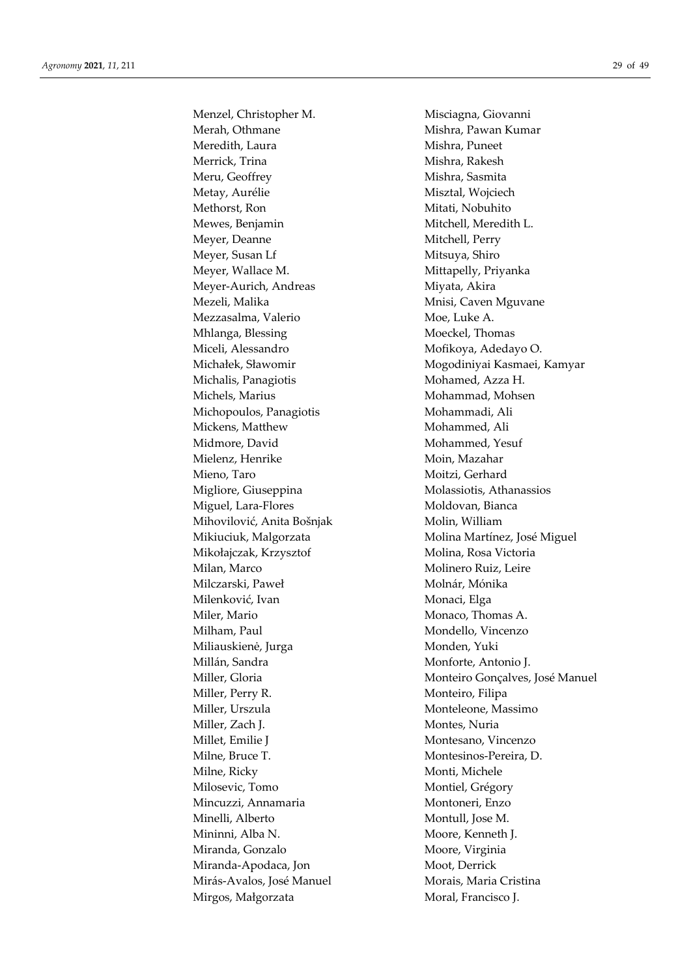Menzel, Christopher M. Misciagna, Giovanni Merah, Othmane Mishra, Pawan Kumar Meredith, Laura Mishra, Puneet Merrick, Trina Mishra, Rakesh Meru, Geoffrey Mishra, Sasmita Metay, Aurélie Misztal, Wojciech Methorst, Ron Mitati, Nobuhito Mewes, Benjamin Mitchell, Meredith L. Meyer, Deanne Mitchell, Perry Meyer, Susan Lf Mitsuya, Shiro Meyer, Wallace M. Mittapelly, Priyanka Meyer-Aurich, Andreas Miyata, Akira Mezeli, Malika Mnisi, Caven Mguvane Mezzasalma, Valerio Moe, Luke A. Mhlanga, Blessing Moeckel, Thomas Miceli, Alessandro Mofikoya, Adedayo O. Michalis, Panagiotis Mohamed, Azza H. Michels, Marius Mohammad, Mohsen Michopoulos, Panagiotis Mohammadi, Ali Mickens, Matthew Mohammed, Ali Midmore, David Mohammed, Yesuf Mielenz, Henrike Moin, Mazahar Mieno, Taro Moitzi, Gerhard Migliore, Giuseppina Molassiotis, Athanassios Miguel, Lara-Flores Moldovan, Bianca Mihovilović, Anita Bošnjak Molin, William Mikołajczak, Krzysztof Molina, Rosa Victoria Milan, Marco Molinero Ruiz, Leire Milczarski, Paweł Molnár, Mónika Milenković, Ivan Monaci, Elga Miler, Mario Monaco, Thomas A. Milham, Paul Mondello, Vincenzo Miliauskienė, Jurga Monden, Yuki Millán, Sandra Monforte, Antonio J. Miller, Perry R. Monteiro, Filipa Miller, Urszula Monteleone, Massimo Miller, Zach J. Montes, Nuria Millet, Emilie J<br>
Montesano, Vincenzo Milne, Bruce T. Montesinos-Pereira, D. Milne, Ricky Monti, Michele Milosevic, Tomo Montiel, Grégory Mincuzzi, Annamaria Montoneri, Enzo Minelli, Alberto Montull, Jose M. Mininni, Alba N. Moore, Kenneth J. Miranda, Gonzalo Moore, Virginia Miranda-Apodaca, Jon Moot, Derrick Mirás-Avalos, José Manuel Morais, Maria Cristina Mirgos, Małgorzata Moral, Francisco J.

Michałek, Sławomir Mogodiniyai Kasmaei, Kamyar Mikiuciuk, Malgorzata **Molina Martínez**, José Miguel Miller, Gloria **Monteiro Gonçalves**, José Manuel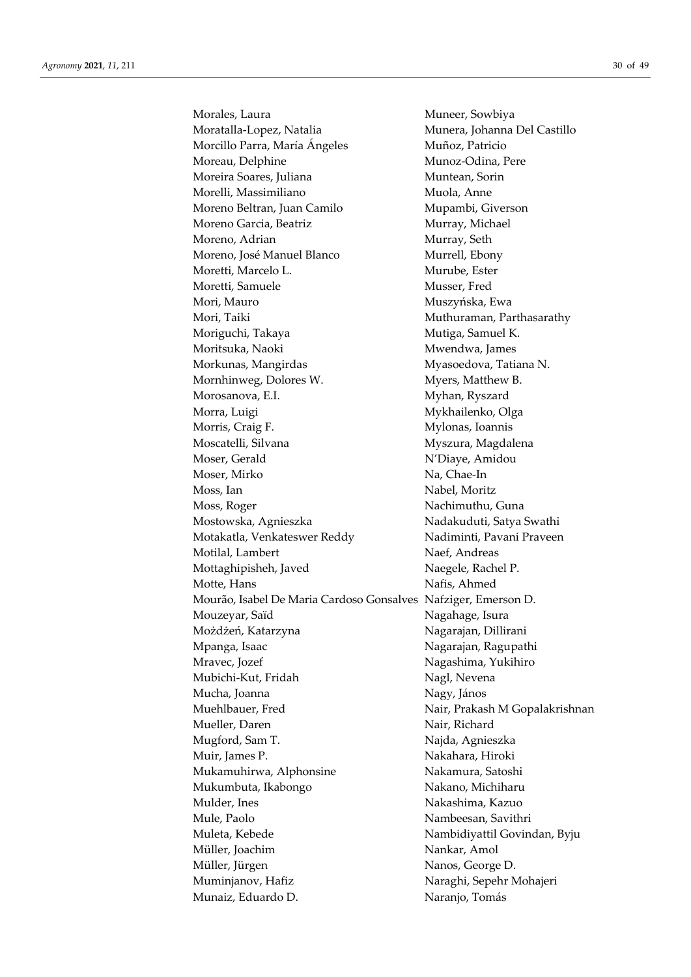Morales, Laura Muneer, Sowbiya Moratalla-Lopez, Natalia Munera, Johanna Del Castillo Morcillo Parra, María Ángeles Muñoz, Patricio Moreau, Delphine Munoz-Odina, Pere Moreira Soares, Juliana Muntean, Sorin Morelli, Massimiliano Muola, Anne Moreno Beltran, Juan Camilo Mupambi, Giverson Moreno Garcia, Beatriz Murray, Michael Moreno, Adrian Murray, Seth Moreno, José Manuel Blanco Murrell, Ebony Moretti, Marcelo L. Murube, Ester Moretti, Samuele Musser, Fred Mori, Mauro Muszyńska, Ewa Mori, Taiki **Muthuraman**, Parthasarathy Moriguchi, Takaya **Musica, Samuel K.** Moritsuka, Naoki Mwendwa, James Morkunas, Mangirdas Myasoedova, Tatiana N. Mornhinweg, Dolores W. Myers, Matthew B. Morosanova, E.I. Myhan, Ryszard Morra, Luigi Mykhailenko, Olga Morris, Craig F. Mylonas, Ioannis Moscatelli, Silvana Myszura, Magdalena Moser, Gerald N'Diaye, Amidou Moser, Mirko Na, Chae-In Moss, Ian Nabel, Moritz Moss, Roger Nachimuthu, Guna Mostowska, Agnieszka Nadakuduti, Satya Swathi Motakatla, Venkateswer Reddy Nadiminti, Pavani Praveen Motilal, Lambert Naef, Andreas Mottaghipisheh, Javed Naegele, Rachel P. Motte, Hans Nafis, Ahmed Mourão, Isabel De Maria Cardoso Gonsalves Nafziger, Emerson D. Mouzeyar, Saïd Nagahage, Isura Możdżeń, Katarzyna Nagarajan, Dillirani Mpanga, Isaac Nagarajan, Ragupathi Mravec, Jozef **Nagashima**, Yukihiro Mubichi-Kut, Fridah Nagl, Nevena Mucha, Joanna Nagy, János Muehlbauer, Fred Nair, Prakash M Gopalakrishnan Mueller, Daren Nair, Richard Mugford, Sam T. Najda, Agnieszka Muir, James P. Nakahara, Hiroki Mukamuhirwa, Alphonsine Nakamura, Satoshi Mukumbuta, Ikabongo Nakano, Michiharu Mulder, Ines Nakashima, Kazuo Mule, Paolo Nambeesan, Savithri Muleta, Kebede Nambidiyattil Govindan, Byju Müller, Joachim Nankar, Amol Müller, Jürgen Nanos, George D. Muminjanov, Hafiz Naraghi, Sepehr Mohajeri Munaiz, Eduardo D. Naranjo, Tomás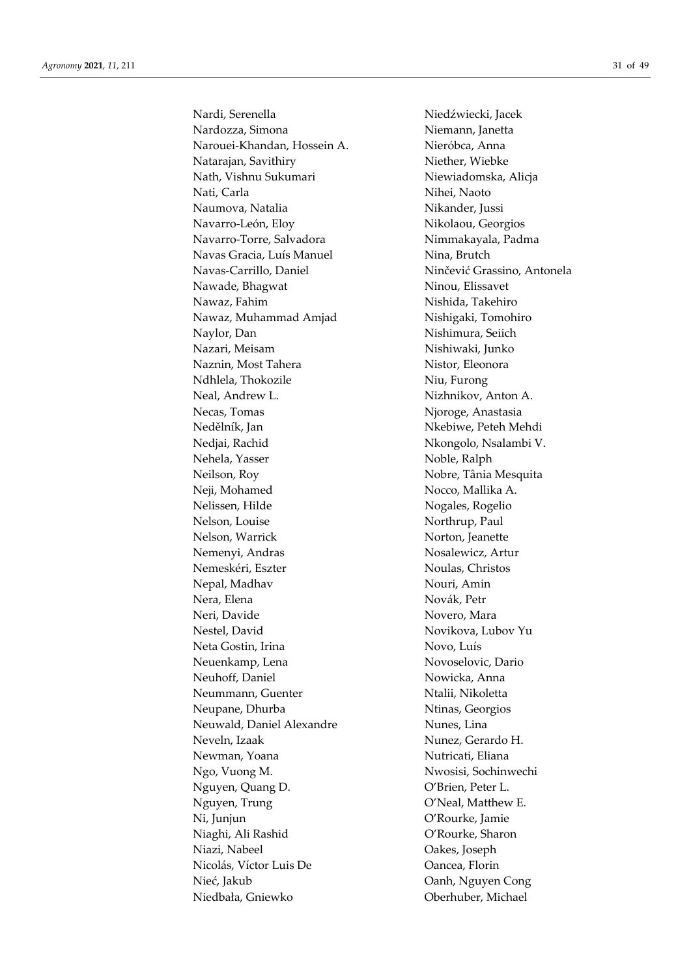Nardi, Serenella Niedźwiecki, Jacek Nardozza, Simona Niemann, Janetta Narouei-Khandan, Hossein A. Nieróbca, Anna Natarajan, Savithiry Niether, Wiebke Nath, Vishnu Sukumari Niewiadomska, Alicja Nati, Carla Nihei, Naoto Naumova, Natalia Nikander, Jussi Navarro-León, Eloy Nikolaou, Georgios Navarro-Torre, Salvadora Nimmakayala, Padma Navas Gracia, Luís Manuel Nina, Brutch Navas-Carrillo, Daniel Ninčević Grassino, Antonela Nawade, Bhagwat Ninou, Elissavet Nawaz, Fahim Nishida, Takehiro Nawaz, Muhammad Amjad Nishigaki, Tomohiro Naylor, Dan Nishimura, Seiich Nazari, Meisam Nishiwaki, Junko Naznin, Most Tahera Nistor, Eleonora Ndhlela, Thokozile Niu, Furong Neal, Andrew L. Nizhnikov, Anton A. Necas, Tomas Njoroge, Anastasia Nedělník, Jan Nebiwe, Peteh Mehdi Nedjai, Rachid Nkongolo, Nsalambi V. Nehela, Yasser Noble, Ralph Neilson, Roy Nobre, Tânia Mesquita Neji, Mohamed Nocco, Mallika A. Nelissen, Hilde Nogales, Rogelio Nelson, Louise Northrup, Paul Nelson, Warrick Norton, Jeanette Nemenyi, Andras Nosalewicz, Artur Nemeskéri, Eszter Noulas, Christos Nepal, Madhav Nouri, Amin Nera, Elena Novák, Petr Neri, Davide Novero, Mara Nestel, David Novikova, Lubov Yu Neta Gostin, Irina Novo, Luís Neuenkamp, Lena Novoselovic, Dario Neuhoff, Daniel Nowicka, Anna Neummann, Guenter Ntalii, Nikoletta Neupane, Dhurba Ntinas, Georgios Neuwald, Daniel Alexandre Nunes, Lina Neveln, Izaak Nunez, Gerardo H. Newman, Yoana Nutricati, Eliana Ngo, Vuong M. Nwosisi, Sochinwechi Nguyen, Quang D. O'Brien, Peter L. Nguyen, Trung  $O'Neal$ , Matthew E. Ni, Junjun O'Rourke, Jamie Niaghi, Ali Rashid O'Rourke, Sharon Niazi, Nabeel Oakes, Joseph Nicolás, Víctor Luis De Oancea, Florin Nieć, Jakub Oanh, Nguyen Cong

Niedbała, Gniewko Oberhuber, Michael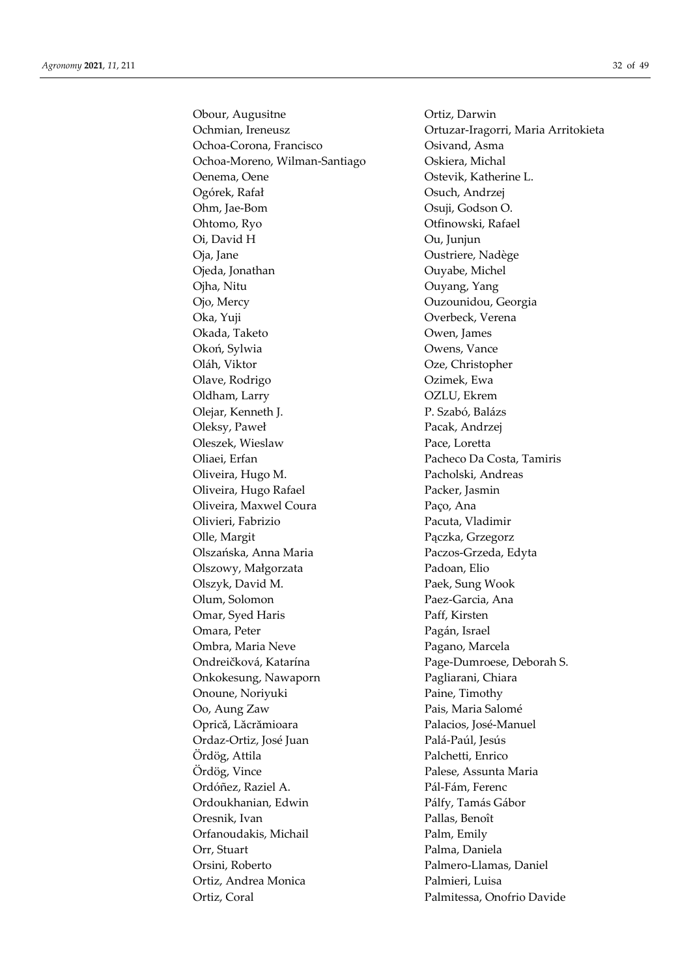Obour, Augusitne **Ortiz**, Darwin Ochoa-Corona, Francisco Osivand, Asma Ochoa-Moreno, Wilman-Santiago Oskiera, Michal Oenema, Oene **Ostevik**, Katherine L. Ogórek, Rafał Osuch, Andrzej Ohm, Jae-Bom Osuji, Godson O. Ohtomo, Ryo Otfinowski, Rafael Oi, David H Ou, Junjun Oja, Jane Oustriere, Nadège Ojeda, Jonathan Ouyabe, Michel Ojha, Nitu Ouyang, Yang Ojo, Mercy Ouzounidou, Georgia Oka, Yuji Overbeck, Verena Okada, Taketo Owen, James Okoń, Sylwia Owens, Vance Oláh, Viktor Oze, Christopher Olave, Rodrigo Ozimek, Ewa Oldham, Larry **OZLU**, Ekrem Olejar, Kenneth J. P. Szabó, Balázs Oleksy, Paweł Pacak, Andrzej Oleszek, Wieslaw Pace, Loretta Oliaei, Erfan Pacheco Da Costa, Tamiris Oliveira, Hugo M. Pacholski, Andreas Oliveira, Hugo Rafael Packer, Jasmin Oliveira, Maxwel Coura Paço, Ana Olivieri, Fabrizio Pacuta, Vladimir Olle, Margit Pączka, Grzegorz Olszańska, Anna Maria Paczos-Grzeda, Edyta Olszowy, Małgorzata Padoan, Elio Olszyk, David M. Paek, Sung Wook Olum, Solomon Paez-Garcia, Ana Omar, Syed Haris Paff, Kirsten Omara, Peter Pagán, Israel Ombra, Maria Neve Pagano, Marcela Ondreičková, Katarína Page-Dumroese, Deborah S. Onkokesung, Nawaporn Pagliarani, Chiara Onoune, Noriyuki Paine, Timothy Oo, Aung Zaw Pais, Maria Salomé Opricǎ, Lăcrămioara Palacios, José-Manuel Ordaz-Ortiz, José Juan Palá-Paúl, Jesús Ördög, Attila Palchetti, Enrico Ördög, Vince Palese, Assunta Maria Ordóñez, Raziel A. Pál-Fám, Ferenc Ordoukhanian, Edwin Pálfy, Tamás Gábor Oresnik, Ivan Pallas, Benoît Orfanoudakis, Michail Palm, Emily Orr, Stuart Palma, Daniela Orsini, Roberto Palmero-Llamas, Daniel Ortiz, Andrea Monica Palmieri, Luisa Ortiz, Coral Palmitessa, Onofrio Davide

Ochmian, Ireneusz Ortuzar-Iragorri, Maria Arritokieta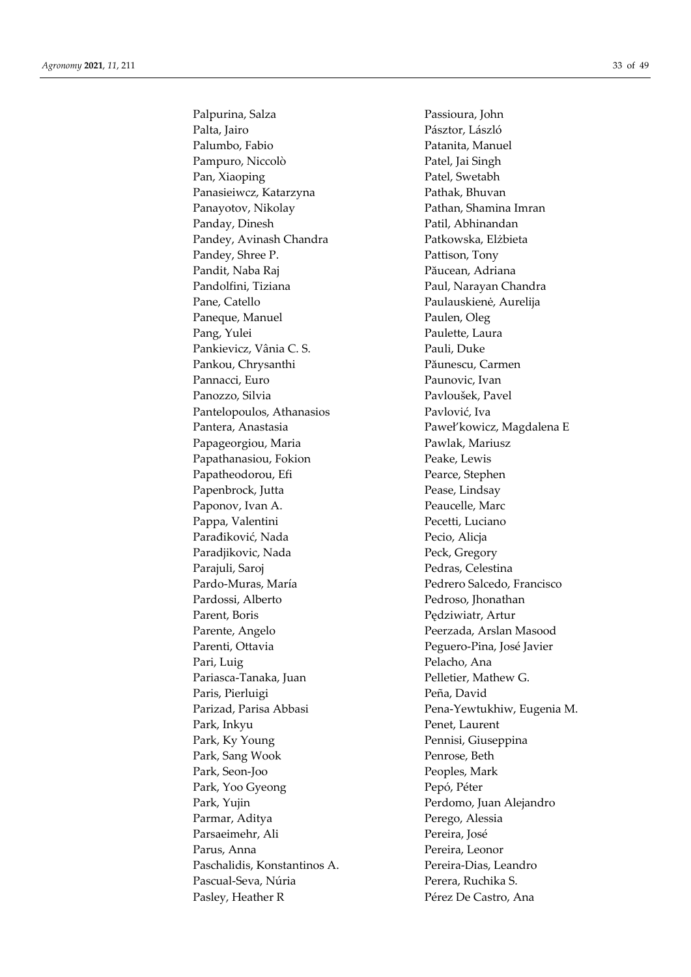Palpurina, Salza Passioura, John Palta, Jairo Pásztor, László Palumbo, Fabio **Patanita**, Manuel Pampuro, Niccolò Patel, Jai Singh Pan, Xiaoping Patel, Swetabh Panasieiwcz, Katarzyna Pathak, Bhuvan Panayotov, Nikolay Pathan, Shamina Imran Panday, Dinesh Patil, Abhinandan Pandey, Avinash Chandra Patkowska, Elżbieta Pandey, Shree P. Pattison, Tony Pandit, Naba Raj Păucean, Adriana Pandolfini, Tiziana Paul, Narayan Chandra Pane, Catello Paulauskienė, Aurelija Paneque, Manuel Paulen, Oleg Pang, Yulei Paulette, Laura Pankievicz, Vânia C. S. Pauli, Duke Pankou, Chrysanthi Păunescu, Carmen Pannacci, Euro Paunovic, Ivan Panozzo, Silvia Pavloušek, Pavel Pantelopoulos, Athanasios Pavlović, Iva Pantera, Anastasia Paweł'kowicz, Magdalena E Papageorgiou, Maria Pawlak, Mariusz Papathanasiou, Fokion Peake, Lewis Papatheodorou, Efi Pearce, Stephen Papenbrock, Jutta Pease, Lindsay Paponov, Ivan A. Peaucelle, Marc Pappa, Valentini Pecetti, Luciano Parađiković, Nada Pecio, Alicja Paradjikovic, Nada Peck, Gregory Parajuli, Saroj Pedras, Celestina Pardo-Muras, María Pedrero Salcedo, Francisco Pardossi, Alberto Pedroso, Jhonathan Parent, Boris Pedziwiatr, Artur Parente, Angelo Peerzada, Arslan Masood Parenti, Ottavia Peguero-Pina, José Javier Pari, Luig Pelacho, Ana Pariasca-Tanaka, Juan Pelletier, Mathew G. Paris, Pierluigi Peña, David Park, Inkyu Penet, Laurent Park, Ky Young Pennisi, Giuseppina Park, Sang Wook Penrose, Beth Park, Seon-Joo Peoples, Mark Park, Yoo Gyeong Pepó, Péter Park, Yujin Perdomo, Juan Alejandro Parmar, Aditya Perego, Alessia Parsaeimehr, Ali Pereira, José Parus, Anna Pereira, Leonor Paschalidis, Konstantinos A. Pereira-Dias, Leandro Pascual-Seva, Núria Perera, Ruchika S. Pasley, Heather R Pérez De Castro, Ana

Parizad, Parisa Abbasi Pena-Yewtukhiw, Eugenia M.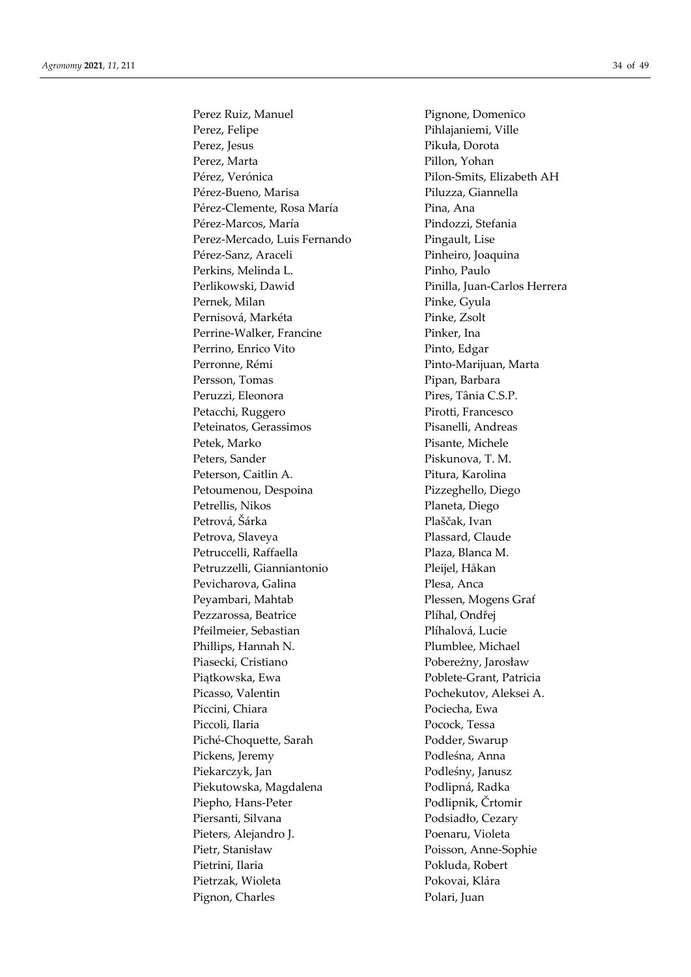Perez Ruiz, Manuel Pignone, Domenico Perez, Felipe Pihlajaniemi, Ville Perez, Jesus Pikuła, Dorota Perez, Marta Pillon, Yohan Pérez, Verónica Pilon-Smits, Elizabeth AH Pérez-Bueno, Marisa Piluzza, Giannella Pérez-Clemente, Rosa María Pina, Ana Pérez-Marcos, María Pindozzi, Stefania Perez-Mercado, Luis Fernando Pingault, Lise Pérez-Sanz, Araceli Pinheiro, Joaquina Perkins, Melinda L. Pinho, Paulo Perlikowski, Dawid Pinilla, Juan-Carlos Herrera Pernek, Milan Pinke, Gyula Pernisová, Markéta Pinke, Zsolt Perrine-Walker, Francine Pinker, Ina Perrino, Enrico Vito Pinto, Edgar Perronne, Rémi Pinto-Marijuan, Marta Persson, Tomas Pipan, Barbara Peruzzi, Eleonora Pires, Tânia C.S.P. Petacchi, Ruggero Pirotti, Francesco Peteinatos, Gerassimos Pisanelli, Andreas Petek, Marko Pisante, Michele Peters, Sander Piskunova, T. M. Peterson, Caitlin A. Pitura, Karolina Petoumenou, Despoina Pizzeghello, Diego Petrellis, Nikos Planeta, Diego Petrová, Šárka Plaščak, Ivan Petrova, Slaveya Plassard, Claude Petruccelli, Raffaella Plaza, Blanca M. Petruzzelli, Gianniantonio Pleijel, Håkan Pevicharova, Galina Plesa, Anca Peyambari, Mahtab Plessen, Mogens Graf Pezzarossa, Beatrice Plíhal, Ondřej Pfeilmeier, Sebastian Plíhalová, Lucie Phillips, Hannah N. Plumblee, Michael Piasecki, Cristiano Pobereżny, Jarosław Piątkowska, Ewa Poblete-Grant, Patricia Picasso, Valentin Pochekutov, Aleksei A. Piccini, Chiara Pociecha, Ewa Piccoli, Ilaria Pocock, Tessa Piché-Choquette, Sarah Podder, Swarup Pickens, Jeremy Podleśna, Anna Piekarczyk, Jan Podleśny, Janusz Piekutowska, Magdalena Podlipná, Radka Piepho, Hans-Peter Podlipnik, Črtomir Piersanti, Silvana Podsiadło, Cezary Pieters, Alejandro I. Poenaru, Violeta Pietr, Stanisław Poisson, Anne-Sophie Pietrini, Ilaria **Pokluda, Robert** Pietrzak, Wioleta **Pokovai, Klára** Pignon, Charles Polari, Juan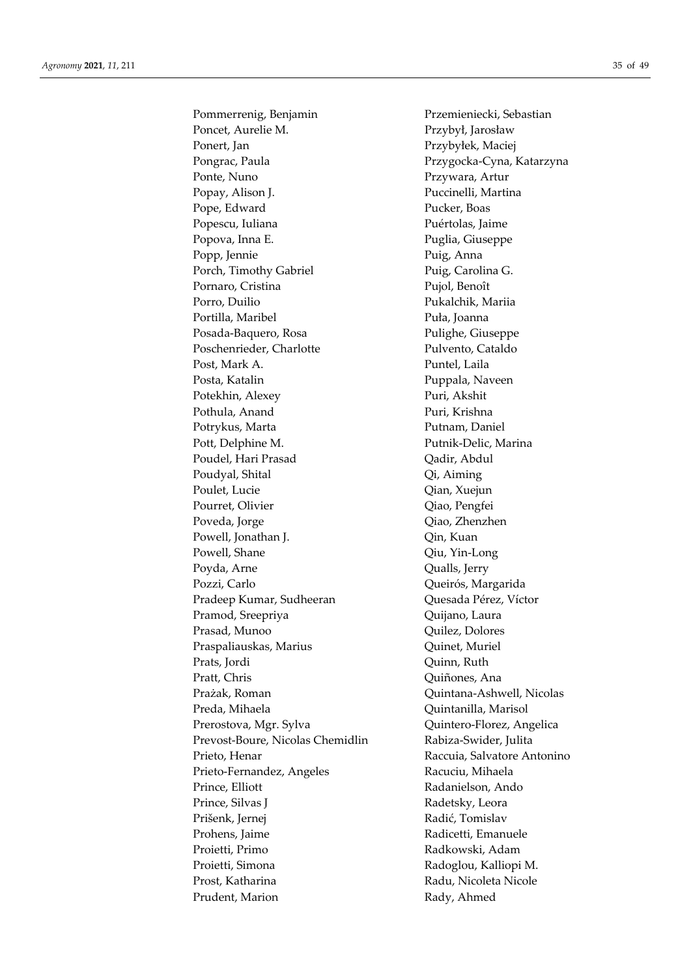Pommerrenig, Benjamin Przemieniecki, Sebastian Poncet, Aurelie M. Przybył, Jarosław Ponert, Jan Przybyłek, Maciej Pongrac, Paula Przygocka-Cyna, Katarzyna Ponte, Nuno Przywara, Artur Popay, Alison J. Puccinelli, Martina Pope, Edward Pucker, Boas Popescu, Iuliana **Puértolas**, Jaime Popova, Inna E. Puglia, Giuseppe Popp, Jennie Puig, Anna Porch, Timothy Gabriel Puig, Carolina G. Pornaro, Cristina Pujol, Benoît Porro, Duilio Pukalchik, Mariia Portilla, Maribel Puła, Joanna Posada-Baquero, Rosa Pulighe, Giuseppe Poschenrieder, Charlotte Pulvento, Cataldo Post, Mark A. Puntel, Laila Posta, Katalin Puppala, Naveen Potekhin, Alexey Puri, Akshit Pothula, Anand Puri, Krishna Potrykus, Marta Putnam, Daniel Pott, Delphine M. Putnik-Delic, Marina Poudel, Hari Prasad Qadir, Abdul Poudyal, Shital Qi, Aiming Poulet, Lucie Qian, Xuejun Pourret, Olivier Ciao, Pengfei Poveda, Jorge Qiao, Zhenzhen Powell, Jonathan J. **Qin, Kuan** Powell, Shane Qiu, Yin-Long Poyda, Arne Qualls, Jerry Pozzi, Carlo **Queirós**, Margarida Pradeep Kumar, Sudheeran **Quesada Pérez, Víctor** Pramod, Sreepriya Quijano, Laura Prasad, Munoo Quilez, Dolores Praspaliauskas, Marius **Quinet**, Muriel Prats, Jordi Quinn, Ruth Pratt, Chris Quiñones, Ana Prażak, Roman Quintana-Ashwell, Nicolas Preda, Mihaela Quintanilla, Marisol Prerostova, Mgr. Sylva Quintero-Florez, Angelica Prevost-Boure, Nicolas Chemidlin Rabiza-Swider, Julita Prieto, Henar Raccuia, Salvatore Antonino Prieto-Fernandez, Angeles Racuciu, Mihaela Prince, Elliott Radanielson, Ando Prince, Silvas J Radetsky, Leora Prišenk, Jernej Radić, Tomislav Prohens, Jaime Radicetti, Emanuele Proietti, Primo **Radkowski, Adam** Proietti, Simona Radoglou, Kalliopi M. Prost, Katharina Radu, Nicoleta Nicole Prudent, Marion Rady, Ahmed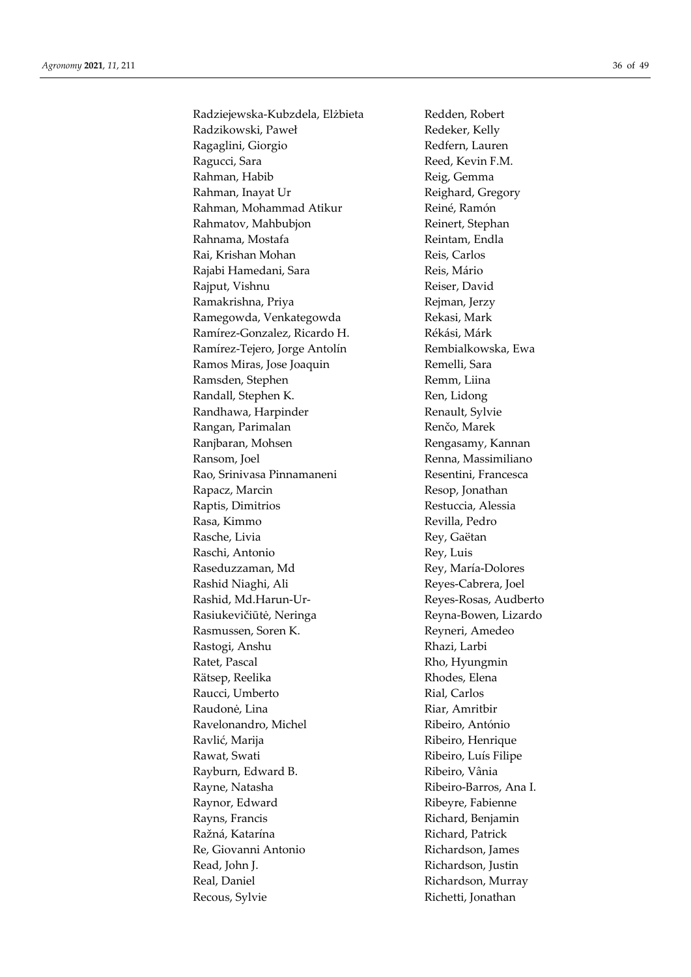Radziejewska-Kubzdela, Elżbieta Redden, Robert Radzikowski, Paweł **Redeker, Kelly** Ragaglini, Giorgio **Redfern**, Lauren Ragucci, Sara **Reed, Kevin F.M.** Reed, Kevin F.M. Rahman, Habib Reig, Gemma Rahman, Inayat Ur Reighard, Gregory Rahman, Mohammad Atikur Reiné, Ramón Rahmatov, Mahbubjon Reinert, Stephan Rahnama, Mostafa Reintam, Endla Rai, Krishan Mohan **Reis**, Carlos Rajabi Hamedani, Sara **Reis**, Mário Rajput, Vishnu Reiser, David Ramakrishna, Priya **Regiman**, Jerzy Ramegowda, Venkategowda **Rekasi**, Mark Ramírez-Gonzalez, Ricardo H. Rékási, Márk Ramírez-Tejero, Jorge Antolín Rembialkowska, Ewa Ramos Miras, Jose Joaquin Remelli, Sara Ramsden, Stephen Remm, Liina Randall, Stephen K. Ren, Lidong Randhawa, Harpinder Renault, Sylvie Rangan, Parimalan Renčo, Marek Ranjbaran, Mohsen Rengasamy, Kannan Ransom, Joel Renna, Massimiliano Rao, Srinivasa Pinnamaneni Resentini, Francesca Rapacz, Marcin Resop, Jonathan Raptis, Dimitrios Restuccia, Alessia Rasa, Kimmo  $\qquad \qquad$  Revilla, Pedro Rasche, Livia Rey, Gaëtan Raschi, Antonio Rey, Luis Raseduzzaman, Md
Rey, María-Dolores Rashid Niaghi, Ali Reyes-Cabrera, Joel Rashid, Md.Harun-Ur-<br>
Reyes-Rosas, Audberto Rasiukevičiūtė, Neringa Reyna-Bowen, Lizardo Rasmussen, Soren K. Reyneri, Amedeo Rastogi, Anshu Rhazi, Larbi Ratet, Pascal Rho, Hyungmin Rätsep, Reelika Rhodes, Elena Raucci, Umberto **Rial, Carlos** Rial, Carlos Raudonė, Lina Riar, Amritbir Ravelonandro, Michel Ribeiro, António Ravlić, Marija **Ribeiro**, Henrique Rawat, Swati **Ribeiro, Luís Filipe** Rayburn, Edward B. (Rayburn, Edward B. (Rayburn, Edward B. (Rayburn, 2014) Rayne, Natasha Ribeiro-Barros, Ana I. Raynor, Edward Ribeyre, Fabienne Rayns, Francis Richard, Benjamin Ražná, Katarína **Richard, Patrick** Re, Giovanni Antonio antico alla Richardson, James Read, John J. **Richardson**, Justin Real, Daniel **Richardson**, Murray Recous, Sylvie Richetti, Jonathan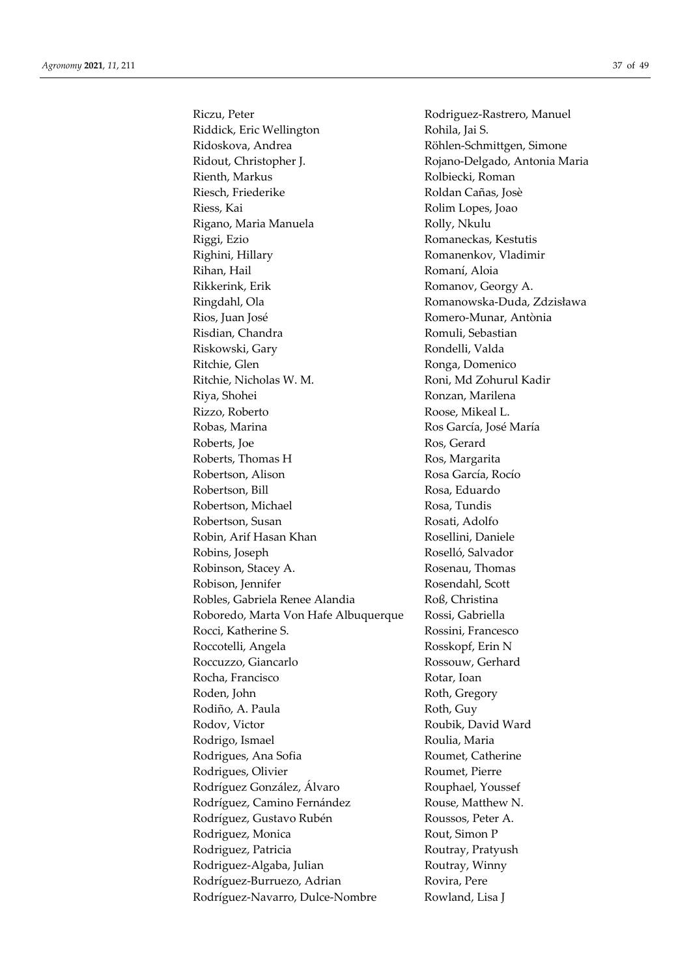Riczu, Peter Rodriguez-Rastrero, Manuel Riddick, Eric Wellington Rohila, Jai S. Ridoskova, Andrea **Röhlen-Schmittgen, Simone** Ridout, Christopher J. Rojano-Delgado, Antonia Maria Rienth, Markus Rolbiecki, Roman Riesch, Friederike Roldan Cañas, Josè Riess, Kai Rolim Lopes, Joao Rigano, Maria Manuela Rolly, Nkulu Riggi, Ezio **Romaneckas, Kestutis** Righini, Hillary Romanenkov, Vladimir Rihan, Hail Romaní, Aloia Rikkerink, Erik Romanov, Georgy A. Ringdahl, Ola **Romanowska-Duda, Zdzisława** Rios, Juan José Romero-Munar, Antònia Risdian, Chandra **Romuli**, Sebastian Riskowski, Gary **Riskowski**, Gary **Rondelli**, Valda Ritchie, Glen Ronga, Domenico Ritchie, Nicholas W. M. Roni, Md Zohurul Kadir Riya, Shohei Ronzan, Marilena Rizzo, Roberto **Roose**, Mikeal L. Robas, Marina Ros García, José María Roberts, Joe Ros, Gerard Roberts, Thomas H Ros, Margarita Robertson, Alison Rosa García, Rocío Robertson, Bill Rosa, Eduardo Robertson, Michael Rosa, Tundis Robertson, Susan Rosati, Adolfo Robin, Arif Hasan Khan Rosellini, Daniele Robins, Joseph Roselló, Salvador Robinson, Stacey A. **Rosenau**, Thomas Robison, Jennifer Rosendahl, Scott Robles, Gabriela Renee Alandia Roß, Christina Roboredo, Marta Von Hafe Albuquerque Rossi, Gabriella Rocci, Katherine S. Rossini, Francesco Roccotelli, Angela Rosskopf, Erin N Roccuzzo, Giancarlo Rossouw, Gerhard Rocha, Francisco Rotar, Ioan Roden, John Roth, Gregory Rodiño, A. Paula Roth, Guy Rodov, Victor Roubik, David Ward Rodrigo, Ismael Roulia, Maria Rodrigues, Ana Sofia Roumet, Catherine Rodrigues, Olivier Roumet, Pierre Rodríguez González, Álvaro **Rouphael, Youssef** Rodríguez, Camino Fernández Rouse, Matthew N. Rodríguez, Gustavo Rubén Roussos, Peter A. Rodriguez, Monica Rout, Simon P Rodriguez, Patricia Routray, Pratyush Rodriguez-Algaba, Julian Routray, Winny Rodríguez-Burruezo, Adrian Rovira, Pere Rodríguez-Navarro, Dulce-Nombre Rowland, Lisa J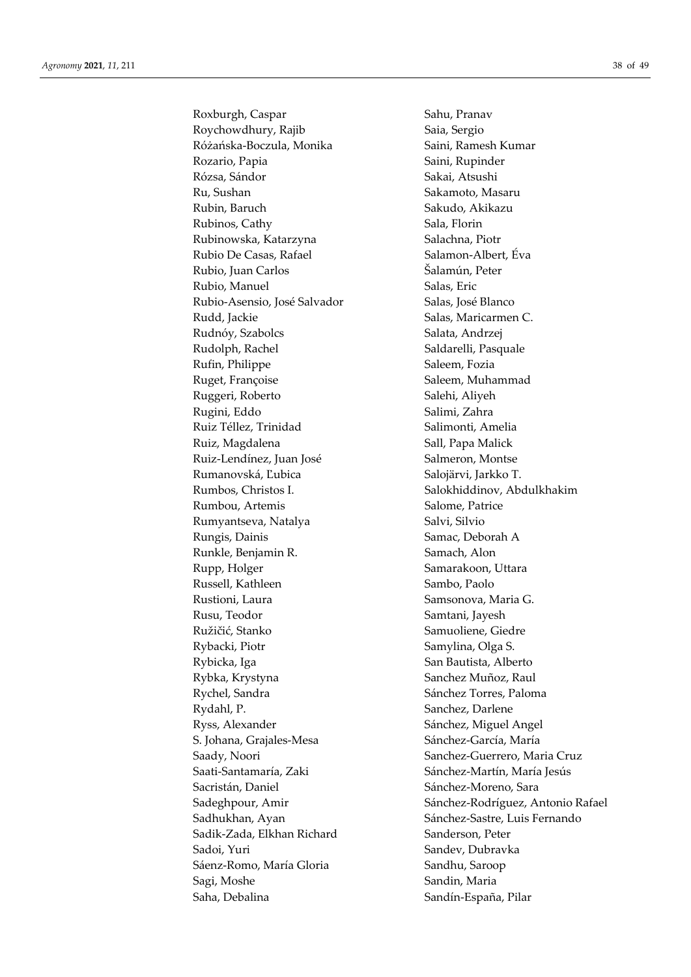Roxburgh, Caspar Sahu, Pranav Roychowdhury, Rajib Saia, Sergio Różańska-Boczula, Monika Saini, Ramesh Kumar Rozario, Papia **Saini, Rupinder** Saini, Rupinder Rózsa, Sándor Sakai, Atsushi Ru, Sushan Sakamoto, Masaru Rubin, Baruch Sakudo, Akikazu Rubinos, Cathy Sala, Florin Rubinowska, Katarzyna Salachna, Piotr Rubio De Casas, Rafael Salamon-Albert, Éva Rubio, Juan Carlos Šalamún, Peter Rubio, Manuel Salas, Eric Rubio-Asensio, José Salvador Salas, José Blanco Rudd, Jackie Salas, Maricarmen C. Rudnóy, Szabolcs Salata, Andrzej Rudolph, Rachel Saldarelli, Pasquale Rufin, Philippe Saleem, Fozia Ruget, Françoise Saleem, Muhammad Ruggeri, Roberto Salehi, Aliyeh Rugini, Eddo Salimi, Zahra Ruiz Téllez, Trinidad Salimonti, Amelia Ruiz, Magdalena Sall, Papa Malick Ruiz-Lendínez, Juan José Salmeron, Montse Rumanovská, Ľubica Salojärvi, Jarkko T. Rumbos, Christos I. Salokhiddinov, Abdulkhakim Rumbou, Artemis Salome, Patrice Rumyantseva, Natalya Salvi, Silvio Rungis, Dainis Samac, Deborah A Runkle, Benjamin R. Samach, Alon Rupp, Holger Samarakoon, Uttara Russell, Kathleen Sambo, Paolo Rustioni, Laura Samsonova, Maria G. Rusu, Teodor Samtani, Jayesh Ružičić, Stanko Samuoliene, Giedre Rybacki, Piotr Samylina, Olga S. Rybicka, Iga **San Bautista**, Alberto Rybka, Krystyna Sanchez Muñoz, Raul Rychel, Sandra Sánchez Torres, Paloma Rydahl, P. Sanchez, Darlene Ryss, Alexander Sánchez, Miguel Angel S. Johana, Grajales-Mesa Sánchez-García, María Saady, Noori Sanchez-Guerrero, Maria Cruz Saati-Santamaría, Zaki Sánchez-Martín, María Jesús Sacristán, Daniel **Sanchez-Moreno**, Sara Sadhukhan, Ayan Sánchez-Sastre, Luis Fernando Sadik-Zada, Elkhan Richard Sanderson, Peter Sadoi, Yuri Sandev, Dubravka Sáenz-Romo, María Gloria  $S$ andhu, Saroop Sagi, Moshe Sandin, Maria Saha, Debalina Sandín-España, Pilar

Sadeghpour, Amir Sánchez-Rodríguez, Antonio Rafael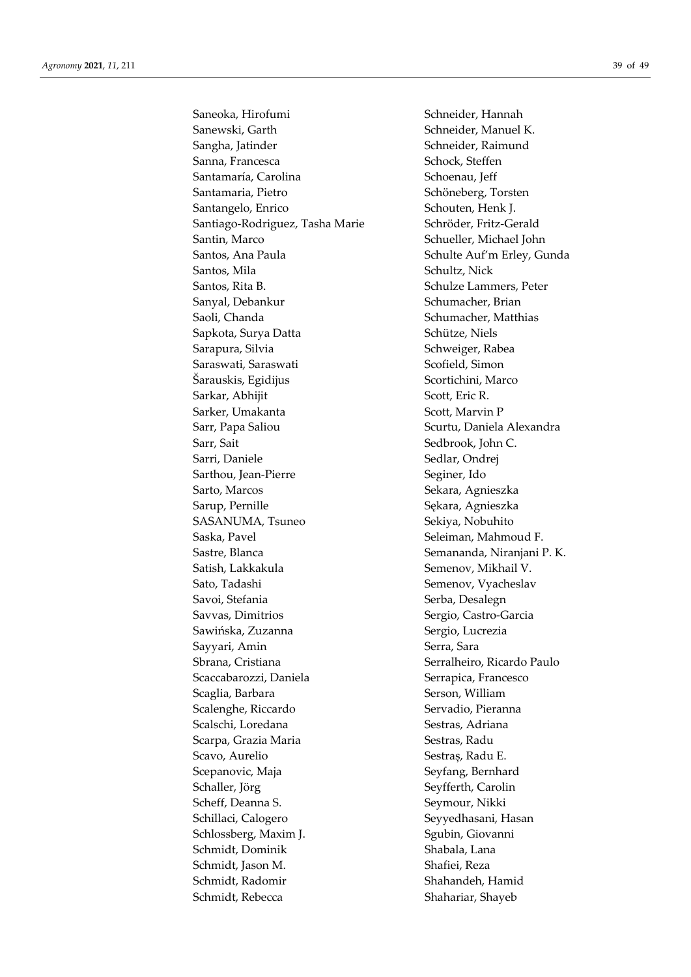Saneoka, Hirofumi Schneider, Hannah Sanewski, Garth Schneider, Manuel K. Sangha, Jatinder Schneider, Raimund Sanna, Francesca Schock, Steffen Santamaría, Carolina Schoenau, Jeff Santamaria, Pietro Schöneberg, Torsten Santangelo, Enrico Schouten, Henk J. Santiago-Rodriguez, Tasha Marie Schröder, Fritz-Gerald Santin, Marco Schueller, Michael John Santos, Ana Paula Schulte Auf'm Erley, Gunda Santos, Mila Schultz, Nick Santos, Rita B. Schulze Lammers, Peter Sanyal, Debankur Schumacher, Brian Saoli, Chanda Saoli, Chanda Schumacher, Matthias Sapkota, Surya Datta Schütze, Niels Sarapura, Silvia Schweiger, Rabea Saraswati, Saraswati Saraswati Scofield, Simon Šarauskis, Egidijus Scortichini, Marco Sarkar, Abhijit Scott, Eric R. Sarker, Umakanta Scott, Marvin P Sarr, Papa Saliou Scurtu, Daniela Alexandra Sarr, Sait Sedbrook, John C. Sarri, Daniele Sedlar, Ondrej Sarthou, Jean-Pierre Seginer, Ido Sarto, Marcos Sekara, Agnieszka Sarup, Pernille Sąkara, Agnieszka SASANUMA, Tsuneo Sekiya, Nobuhito Saska, Pavel Saska, Pavel Seleiman, Mahmoud F. Sastre, Blanca Semananda, Niranjani P. K. Satish, Lakkakula Semenov, Mikhail V. Sato, Tadashi Semenov, Vyacheslav Savoi, Stefania Serba, Desalegn Savvas, Dimitrios Sergio, Castro-Garcia Sawińska, Zuzanna Sergio, Lucrezia Sayyari, Amin Serra, Sara Sbrana, Cristiana Serralheiro, Ricardo Paulo Scaccabarozzi, Daniela Serrapica, Francesco Scaglia, Barbara Serson, William Scalenghe, Riccardo Servadio, Pieranna Scalschi, Loredana Sestras, Adriana Scarpa, Grazia Maria **National Sestras**, Radu Scavo, Aurelio Sestraș, Radu E. Scepanovic, Maja Seyfang, Bernhard Schaller, Jörg Seyfferth, Carolin Scheff, Deanna S. Seymour, Nikki Schillaci, Calogero Seyyedhasani, Hasan Schlossberg, Maxim J. Sgubin, Giovanni Schmidt, Dominik Shabala, Lana Schmidt, Jason M. Shafiei, Reza Schmidt, Radomir Shahandeh, Hamid Schmidt, Rebecca Shahariar, Shayeb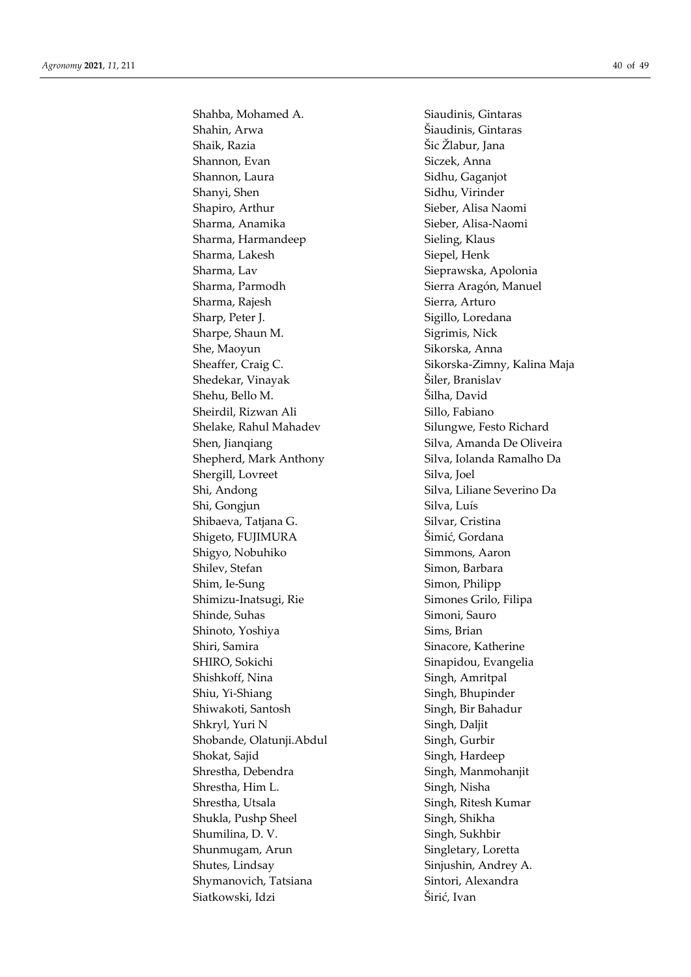Shahba, Mohamed A. Siaudinis, Gintaras Shahin, Arwa Šiaudinis, Gintaras Shaik, Razia Šic Žlabur, Jana Shannon, Evan Siczek, Anna Shannon, Laura Sidhu, Gaganjot Shanyi, Shen Sidhu, Virinder Shapiro, Arthur Sieber, Alisa Naomi Sharma, Anamika Sieber, Alisa-Naomi Sharma, Harmandeep Sieling, Klaus Sharma, Lakesh Siepel, Henk Sharma, Lav Sieprawska, Apolonia Sharma, Parmodh Sierra Aragón, Manuel Sharma, Rajesh Sierra, Arturo Sharp, Peter J. Sharp, Peter J. Sigillo, Loredana Sharpe, Shaun M. Sigrimis, Nick She, Maoyun Sikorska, Anna Sheaffer, Craig C. Sikorska-Zimny, Kalina Maja Shedekar, Vinayak Šiler, Branislav Shehu, Bello M. Šilha, David Sheirdil, Rizwan Ali Sillo, Fabiano Shelake, Rahul Mahadev Silungwe, Festo Richard Shen, Jianqiang Shen, Silva, Amanda De Oliveira Shepherd, Mark Anthony Silva, Iolanda Ramalho Da Shergill, Lovreet Silva, Joel Shi, Andong Silva, Liliane Severino Da Shi, Gongjun Silva, Luís Shibaeva, Tatjana G. Silvar, Cristina Shigeto, FUJIMURA Šimić, Gordana Shigyo, Nobuhiko Simmons, Aaron Shilev, Stefan Simon, Barbara Shim, Ie-Sung Simon, Philipp Shimizu-Inatsugi, Rie Simones Grilo, Filipa Shinde, Suhas Simoni, Sauro Shinoto, Yoshiya Sims, Brian Shiri, Samira Sinacore, Katherine SHIRO, Sokichi Sinapidou, Evangelia Shishkoff, Nina Singh, Amritpal Shiu, Yi-Shiang Singh, Bhupinder Shiwakoti, Santosh Singh, Bir Bahadur Shkryl, Yuri N Singh, Daljit Shobande, Olatunji.Abdul Singh, Gurbir Shokat, Sajid Singh, Hardeep Shrestha, Debendra Singh, Manmohanjit Shrestha, Him L. Singh, Nisha Shrestha, Utsala Singh, Ritesh Kumar Shukla, Pushp Sheel Singh, Shikha Shumilina, D. V. Singh, Sukhbir Shunmugam, Arun Singletary, Loretta Shutes, Lindsay Sinjushin, Andrey A. Shymanovich, Tatsiana Sintori, Alexandra Siatkowski, Idzi Širić, Ivan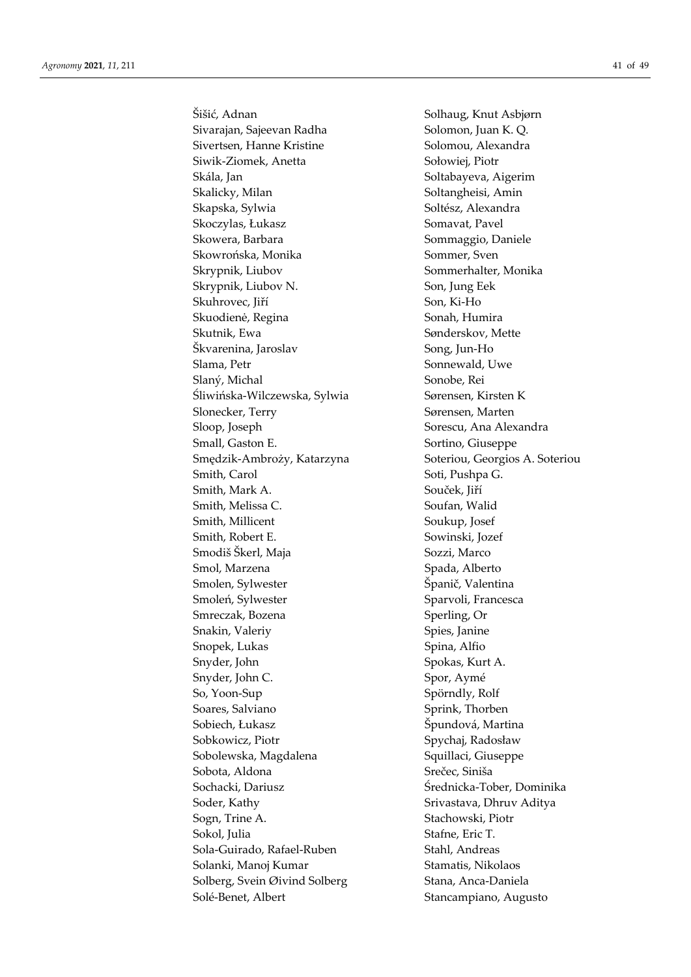Šišić, Adnan Solhaug, Knut Asbjørn Sivarajan, Sajeevan Radha Solomon, Juan K. Q. Sivertsen, Hanne Kristine Solomou, Alexandra Siwik-Ziomek, Anetta Sołowiej, Piotr Skála, Jan Soltabayeva, Aigerim Skalicky, Milan Soltangheisi, Amin Skapska, Sylwia Soltész, Alexandra Skoczylas, Łukasz Somavat, Pavel Skowera, Barbara Sommaggio, Daniele Skowrońska, Monika Sommer, Sven Skrypnik, Liubov Sommerhalter, Monika Skrypnik, Liubov N. Son, Jung Eek Skuhrovec, Jiří Son, Ki-Ho Skuodienė, Regina Sonah, Humira Skutnik, Ewa Sønderskov, Mette Škvarenina, Jaroslav Song, Jun-Ho Slama, Petr Sonnewald, Uwe Slaný, Michal Sonobe, Rei Śliwińska-Wilczewska, Sylwia Sørensen, Kirsten K Slonecker, Terry Sørensen, Marten Sloop, Joseph Sorescu, Ana Alexandra Small, Gaston E. Sortino, Giuseppe Smędzik-Ambroży, Katarzyna Soteriou, Georgios A. Soteriou Smith, Carol Soti, Pushpa G. Smith, Mark A. Souček, Jiří Smith, Melissa C. Soufan, Walid Smith, Millicent Soukup, Josef Smith, Robert E. Sowinski, Jozef Smodiš Škerl, Maja Sozzi, Marco Smol, Marzena Spada, Alberto Smolen, Sylwester Španič, Valentina Smoleń, Sylwester Sparvoli, Francesca Smreczak, Bozena Sperling, Or Snakin, Valeriy Spies, Janine Snopek, Lukas Spina, Alfio Snyder, John Spokas, Kurt A. Snyder, John C. Spor, Aymé So, Yoon-Sup Spörndly, Rolf Soares, Salviano Sprink, Thorben Sobiech, Łukasz Sobiech, Łukasz Spundová, Martina Sobkowicz, Piotr Spychaj, Radosław Sobolewska, Magdalena Squillaci, Giuseppe Sobota, Aldona Srečec, Siniša Sochacki, Dariusz Średnicka-Tober, Dominika Soder, Kathy Soder, Kathy Srivastava, Dhruv Aditya Sogn, Trine A. Stachowski, Piotr Sokol, Julia Stafne, Eric T. Sola-Guirado, Rafael-Ruben Stahl, Andreas Solanki, Manoj Kumar Stamatis, Nikolaos Solberg, Svein Øivind Solberg Stana, Anca-Daniela Solé-Benet, Albert Stancampiano, Augusto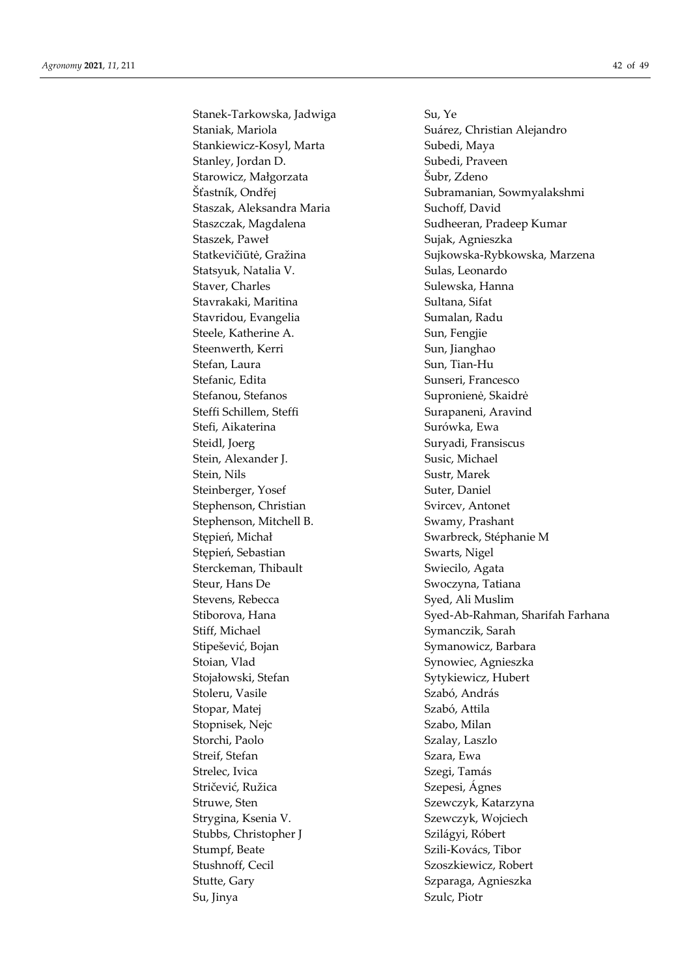Stanek-Tarkowska, Jadwiga Su, Ye Staniak, Mariola **Suárez**, Christian Alejandro Stankiewicz-Kosyl, Marta Subedi, Maya Stanley, Jordan D. Subedi, Praveen Starowicz, Małgorzata Subr, Zdeno Staszak, Aleksandra Maria **Suchoff**, David Staszczak, Magdalena Sudheeran, Pradeep Kumar Staszek, Paweł **Sujak, Agnieszka** Statsyuk, Natalia V. Sulas, Leonardo Staver, Charles Staver, Charles Sulewska, Hanna Stavrakaki, Maritina Sultana, Sifat Stavridou, Evangelia Sumalan, Radu Steele, Katherine A. Sun, Fengjie Steenwerth, Kerri Sun, Jianghao Stefan, Laura Sun, Tian-Hu Stefanic, Edita Sunseri, Francesco Stefanou, Stefanos Supronienė, Skaidrė Steffi Schillem, Steffi Surapaneni, Aravind Stefi, Aikaterina Surówka, Ewa Steidl, Joerg Steidl, Joerg Suryadi, Fransiscus Stein, Alexander J. Susic, Michael Stein, Nils Sustr, Marek Steinberger, Yosef Suter, Daniel Stephenson, Christian Svircev, Antonet Stephenson, Mitchell B. Swamy, Prashant Stępień, Michał Swarbreck, Stéphanie M Stępień, Sebastian Swarts, Nigel Sterckeman, Thibault Swiecilo, Agata Steur, Hans De Swoczyna, Tatiana Stevens, Rebecca Syed, Ali Muslim Stiff, Michael Symanczik, Sarah Stipešević, Bojan Symanowicz, Barbara Stoian, Vlad Synowiec, Agnieszka Stojałowski, Stefan Sytykiewicz, Hubert Stoleru, Vasile Szabó, András Stopar, Matej Szabó, Attila Stopnisek, Nejc Szabo, Milan Storchi, Paolo Szalay, Laszlo Streif, Stefan Szara, Ewa Strelec, Ivica Szegi, Tamás Stričević, Ružica Szepesi, Ágnes Struwe, Sten Sten Szewczyk, Katarzyna Strygina, Ksenia V. Szewczyk, Wojciech Stubbs, Christopher J Szilágyi, Róbert Stumpf, Beate Szili-Kovács, Tibor Stushnoff, Cecil Szoszkiewicz, Robert Stutte, Gary Szparaga, Agnieszka Su, Jinya Szulc, Piotr

Šťastník, Ondřej Subramanian, Sowmyalakshmi Statkevičiūtė, Gražina Sujkowska-Rybkowska, Marzena Stiborova, Hana Syed-Ab-Rahman, Sharifah Farhana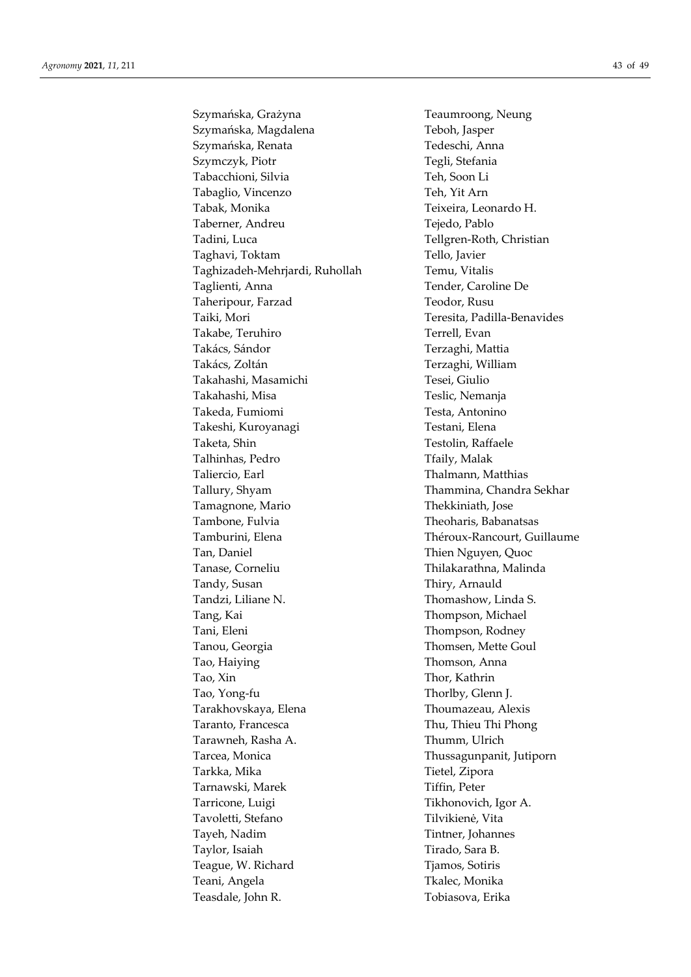Szymańska, Grażyna **Teaumroong**, Neung Szymańska, Magdalena Teboh, Jasper Szymańska, Renata Tedeschi, Anna Szymczyk, Piotr Tegli, Stefania Tabacchioni, Silvia Teh, Soon Li Tabaglio, Vincenzo Teh, Yit Arn Tabak, Monika Teixeira, Leonardo H. Taberner, Andreu Tejedo, Pablo Tadini, Luca Tellgren-Roth, Christian Taghavi, Toktam Tello, Javier Taghizadeh-Mehrjardi, Ruhollah Temu, Vitalis Taglienti, Anna Tender, Caroline De Taheripour, Farzad Teodor, Rusu Taiki, Mori Teresita, Padilla-Benavides Takabe, Teruhiro Terrell, Evan Takács, Sándor Terzaghi, Mattia Takács, Zoltán Terzaghi, William Takahashi, Masamichi Tesei, Giulio Takahashi, Misa Teslic, Nemanja Takeda, Fumiomi Testa, Antonino Takeshi, Kuroyanagi Testani, Elena Taketa, Shin Testolin, Raffaele Talhinhas, Pedro Taily, Malak Taliercio, Earl **Thalmann**, Matthias Tallury, Shyam Thammina, Chandra Sekhar Tamagnone, Mario Thekkiniath, Jose Tambone, Fulvia Theoharis, Babanatsas Tamburini, Elena Théroux-Rancourt, Guillaume Tan, Daniel Tan, Daniel Thien Nguyen, Quoc Tanase, Corneliu Thilakarathna, Malinda Tandy, Susan Thiry, Arnauld Tandzi, Liliane N. Thomashow, Linda S. Tang, Kai Thompson, Michael Tani, Eleni Thompson, Rodney Tanou, Georgia Thomsen, Mette Goul Tao, Haiying Thomson, Anna Tao, Xin Thor, Kathrin Tao, Yong-fu Thorlby, Glenn J. Tarakhovskaya, Elena Thoumazeau, Alexis Taranto, Francesca Thu, Thieu Thi Phong Tarawneh, Rasha A. Thumm, Ulrich Tarcea, Monica Thussagunpanit, Jutiporn Tarkka, Mika Tietel, Zipora Tarnawski, Marek Tiffin, Peter Tarricone, Luigi Tikhonovich, Igor A. Tavoletti, Stefano Tilvikienė, Vita Tayeh, Nadim Tintner, Johannes Taylor, Isaiah Tirado, Sara B. Teague, W. Richard Tiamos, Sotiris Teani, Angela Tkalec, Monika Teasdale, John R. Tobiasova, Erika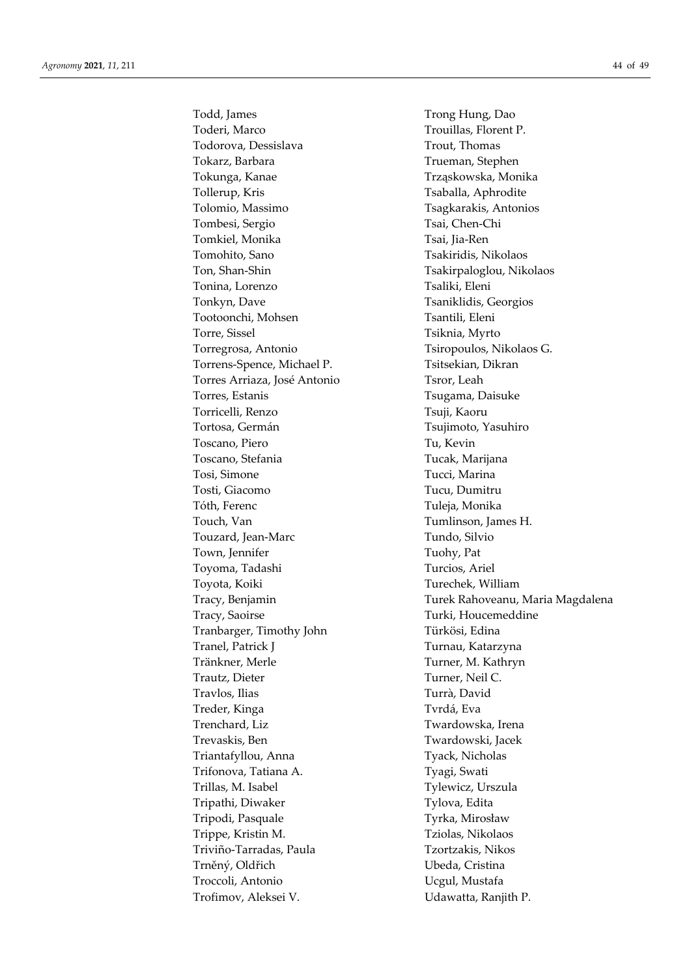Todd, James Trong Hung, Dao Toderi, Marco Trouillas, Florent P. Todorova, Dessislava Trout, Thomas Tokarz, Barbara Trueman, Stephen Tokunga, Kanae Trząskowska, Monika Tollerup, Kris Tollerup, Kris Tsaballa, Aphrodite Tolomio, Massimo Tsagkarakis, Antonios Tombesi, Sergio Tsai, Chen-Chi Tomkiel, Monika Tsai, Jia-Ren Tomohito, Sano Tsakiridis, Nikolaos Ton, Shan-Shin Tsakirpaloglou, Nikolaos Tonina, Lorenzo Tsaliki, Eleni Tonkyn, Dave Tsaniklidis, Georgios Tootoonchi, Mohsen Tsantili, Eleni Torre, Sissel Tsiknia, Myrto Torregrosa, Antonio Tsiropoulos, Nikolaos G. Torrens-Spence, Michael P. Tsitsekian, Dikran Torres Arriaza, José Antonio Tsror, Leah Torres, Estanis Tsugama, Daisuke Torricelli, Renzo Tsuji, Kaoru Tortosa, Germán Tsujimoto, Yasuhiro Toscano, Piero Tu, Kevin Toscano, Stefania Tucak, Marijana Tosi, Simone Tucci, Marina Tosti, Giacomo Tucu, Dumitru Tóth, Ferenc Túleja, Monika Touch, Van Tumlinson, James H. Touzard, Jean-Marc Tundo, Silvio Town, Jennifer Tuohy, Pat Toyoma, Tadashi Turcios, Ariel Toyota, Koiki Turechek, William Tracy, Saoirse Turki, Houcemeddine Tranbarger, Timothy John Türkösi, Edina Tranel, Patrick J Turnau, Katarzyna Tränkner, Merle Turner, M. Kathryn Trautz, Dieter Turner, Neil C. Travlos, Ilias Turrà, David Treder, Kinga Tvrdá, Eva Trenchard, Liz Twardowska, Irena Trevaskis, Ben Twardowski, Jacek Triantafyllou, Anna Tyack, Nicholas Trifonova, Tatiana A. Tyagi, Swati Trillas, M. Isabel Tylewicz, Urszula Tripathi, Diwaker Tylova, Edita Tripodi, Pasquale Tyrka, Mirosław Trippe, Kristin M. Tziolas, Nikolaos Triviño-Tarradas, Paula Tzortzakis, Nikos Trněný, Oldřich Ubeda, Cristina Troccoli, Antonio Ucgul, Mustafa Trofimov, Aleksei V. Valuetta, Ranjith P.

Tracy, Benjamin Turek Rahoveanu, Maria Magdalena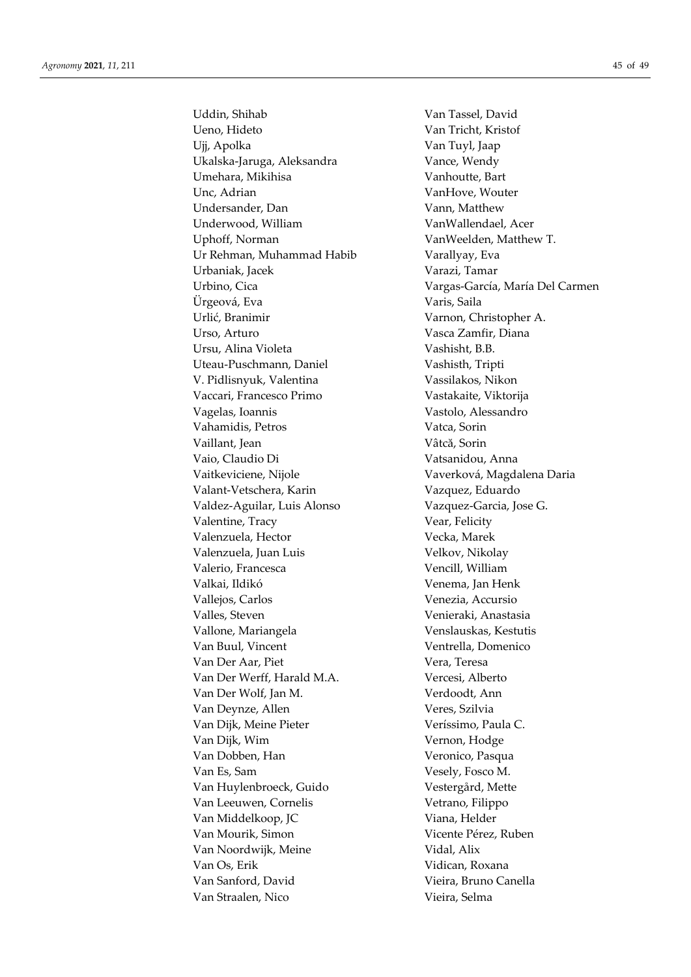Uddin, Shihab Van Tassel, David Ueno, Hideto Van Tricht, Kristof Ujj, Apolka Van Tuyl, Jaap Ukalska-Jaruga, Aleksandra Vance, Wendy Umehara, Mikihisa Vanhoutte, Bart Unc. Adrian VanHove, Wouter Undersander, Dan Vann, Matthew Underwood, William VanWallendael, Acer Uphoff, Norman VanWeelden, Matthew T. Ur Rehman, Muhammad Habib Varallyay, Eva Urbaniak, Jacek Varazi, Tamar Ürgeová, Eva Varis, Saila Urlić, Branimir Varnon, Christopher A. Urso, Arturo Vasca Zamfir, Diana Ursu, Alina Violeta Vashisht, B.B. Uteau-Puschmann, Daniel Vashisth, Tripti V. Pidlisnyuk, Valentina Vassilakos, Nikon Vaccari, Francesco Primo Vastakaite, Viktorija Vagelas, Ioannis Vastolo, Alessandro Vahamidis, Petros Vatca, Sorin Vaillant, Jean Vâtcă, Sorin Vaio, Claudio Di Vatsanidou, Anna Vaitkeviciene, Nijole Vaverková, Magdalena Daria Valant-Vetschera, Karin Vazquez, Eduardo Valdez-Aguilar, Luis Alonso Vazquez-Garcia, Jose G. Valentine, Tracy Vear, Felicity Valenzuela, Hector **Vecka**, Marek Valenzuela, Juan Luis Velkov, Nikolay Valerio, Francesca Vencill, William Valkai, Ildikó Venema, Jan Henk Vallejos, Carlos Venezia, Accursio Valles, Steven Venieraki, Anastasia Vallone, Mariangela Venslauskas, Kestutis Van Buul, Vincent Ventrella, Domenico Van Der Aar, Piet Vera, Teresa Van Der Werff, Harald M.A. Vercesi, Alberto Van Der Wolf, Jan M. Verdoodt, Ann Van Deynze, Allen Veres, Szilvia Van Dijk, Meine Pieter Veríssimo, Paula C. Van Dijk, Wim Vernon, Hodge Van Dobben, Han Veronico, Pasqua Van Es, Sam Vesely, Fosco M. Van Huylenbroeck, Guido Vestergård, Mette Van Leeuwen, Cornelis Vetrano, Filippo Van Middelkoop, JC Viana, Helder Van Mourik, Simon Vicente Pérez, Ruben Van Noordwijk, Meine Vidal, Alix Van Os, Erik Vidican, Roxana Van Sanford, David Vieira, Bruno Canella Van Straalen, Nico Vieira, Selma

Urbino, Cica Vargas-García, María Del Carmen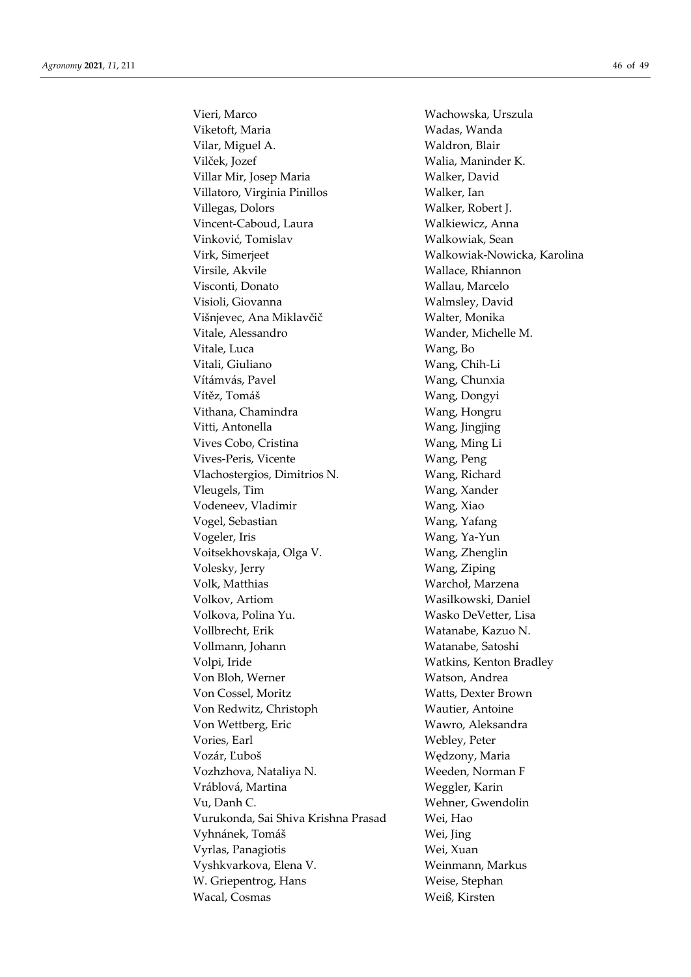Vieri, Marco Wachowska, Urszula Viketoft, Maria **Wadas**, Wanda Vilar, Miguel A. Waldron, Blair Vilček, Jozef Walia, Maninder K. Villar Mir, Josep Maria Walker, David Villatoro, Virginia Pinillos Walker, Ian Villegas, Dolors Walker, Robert J. Vincent-Caboud, Laura Walkiewicz, Anna Vinković, Tomislav Walkowiak, Sean Virk, Simerjeet Walkowiak-Nowicka, Karolina Virsile, Akvile Wallace, Rhiannon Visconti, Donato Wallau, Marcelo Visioli, Giovanna Walmsley, David Višnjevec, Ana Miklavčič Walter, Monika Vitale, Alessandro **Wander**, Michelle M. Vitale, Luca Wang, Bo Vitali, Giuliano **Wang**, Chih-Li Vítámvás, Pavel **Wang, Chunxia** Vítěz, Tomáš Wang, Dongyi Vithana, Chamindra Wang, Hongru Vitti, Antonella Wang, Jingjing Vives Cobo, Cristina Wang, Ming Li Vives-Peris, Vicente Wang, Peng Vlachostergios, Dimitrios N. Wang, Richard Vleugels, Tim Wang, Xander Vodeneev, Vladimir Wang, Xiao Vogel, Sebastian Wang, Yafang Vogeler, Iris Wang, Ya-Yun Voitsekhovskaja, Olga V. Wang, Zhenglin Volesky, Jerry Wang, Ziping Volk, Matthias Warchoł, Marzena Volkov, Artiom Wasilkowski, Daniel Volkova, Polina Yu. Wasko DeVetter, Lisa Vollbrecht, Erik Watanabe, Kazuo N. Vollmann, Johann Watanabe, Satoshi Volpi, Iride Watkins, Kenton Bradley Von Bloh, Werner Watson, Andrea Von Cossel, Moritz Watts, Dexter Brown Von Redwitz, Christoph Wautier, Antoine Von Wettberg, Eric Wawro, Aleksandra Vories, Earl Webley, Peter Vozár, Ľuboš Wędzony, Maria Vozhzhova, Nataliya N. Weeden, Norman F Vráblová, Martina Weggler, Karin Vu, Danh C. Wehner, Gwendolin Vurukonda, Sai Shiva Krishna Prasad Wei, Hao Vyhnánek, Tomáš Wei, Jing Vyrlas, Panagiotis Wei, Xuan Vyshkvarkova, Elena V. Weinmann, Markus W. Griepentrog, Hans Weise, Stephan Wacal, Cosmas Weiß, Kirsten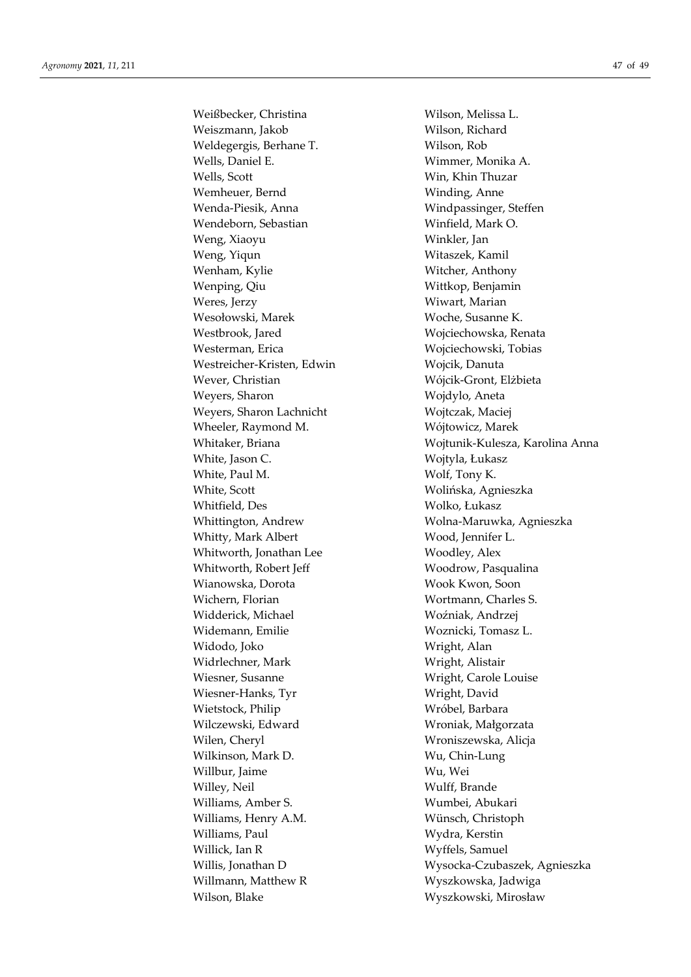Weißbecker, Christina Wilson, Melissa L. Weiszmann, Jakob Wilson, Richard Weldegergis, Berhane T. Wilson, Rob Wells, Daniel E. Wimmer, Monika A. Wells, Scott Win, Khin Thuzar Wemheuer, Bernd Winding, Anne Wenda-Piesik, Anna Windpassinger, Steffen Wendeborn, Sebastian Winfield, Mark O. Weng, Xiaoyu Winkler, Jan Weng, Yiqun Witaszek, Kamil Wenham, Kylie Witcher, Anthony Wenping, Qiu Wittkop, Benjamin Weres, Jerzy **With and Albert With Marian** Wesołowski, Marek Woche, Susanne K. Westbrook, Jared Wojciechowska, Renata Westerman, Erica Wojciechowski, Tobias Westreicher-Kristen, Edwin Wojcik, Danuta Wever, Christian Wójcik-Gront, Elżbieta Weyers, Sharon Wojdylo, Aneta Weyers, Sharon Lachnicht Wojtczak, Maciej Wheeler, Raymond M. Wójtowicz, Marek White, Jason C. Wojtyla, Łukasz White, Paul M. Wolf, Tony K. White, Scott Wolińska, Agnieszka Whitfield, Des Wolko, Łukasz Whitty, Mark Albert Wood, Jennifer L. Whitworth, Jonathan Lee Woodley, Alex Whitworth, Robert Jeff Woodrow, Pasqualina Wianowska, Dorota Wook Kwon, Soon Wichern, Florian Wortmann, Charles S. Widderick, Michael Woźniak, Andrzej Widemann, Emilie Woznicki, Tomasz L. Widodo, Joko Wright, Alan Widrlechner, Mark Wright, Alistair Wiesner, Susanne Wright, Carole Louise Wiesner-Hanks, Tyr Wright, David Wietstock, Philip Wróbel, Barbara Wilczewski, Edward Wroniak, Małgorzata Wilen, Cheryl Wroniszewska, Alicja Wilkinson, Mark D. Wu, Chin-Lung Willbur, Jaime Wu, Wei Willey, Neil Wulff, Brande Williams, Amber S. Wumbei, Abukari Williams, Henry A.M. Wünsch, Christoph Williams, Paul Wydra, Kerstin Willick, Ian R Wyffels, Samuel Willmann, Matthew R Wyszkowska, Jadwiga Wilson, Blake Wyszkowski, Mirosław

Whitaker, Briana **Working and Music Wojtunik-Kulesza**, Karolina Anna Whittington, Andrew Wolna-Maruwka, Agnieszka Willis, Jonathan D Wysocka-Czubaszek, Agnieszka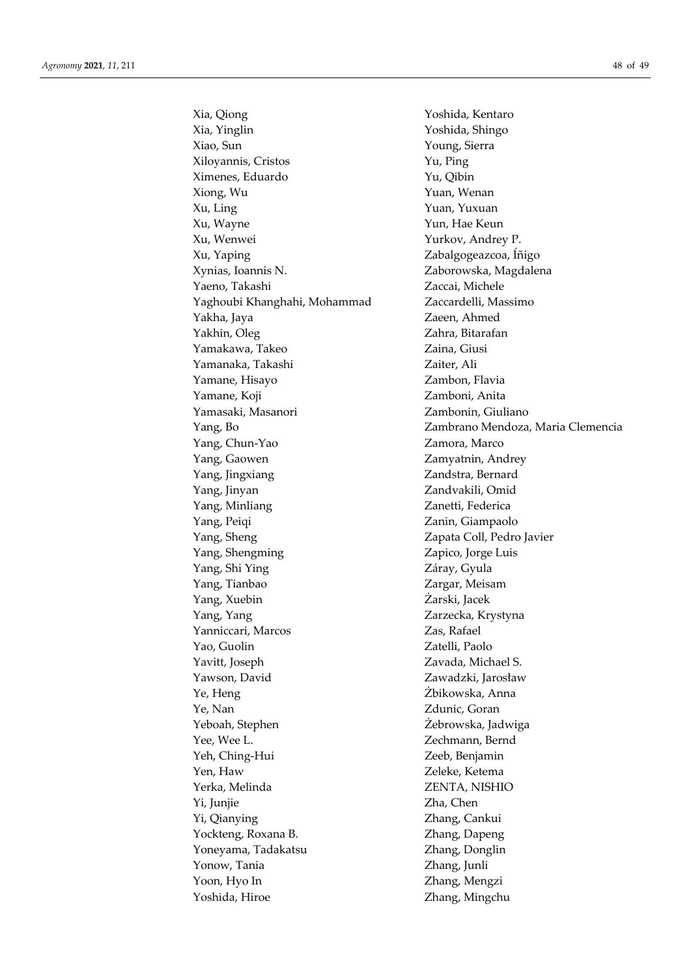Xia, Qiong Yoshida, Kentaro Xia, Yinglin Yoshida, Shingo Xiao, Sun Young, Sierra Xiloyannis, Cristos Yu, Ping Ximenes, Eduardo Yu, Qibin Xiong, Wu Yuan, Wenan Xu, Ling Yuan, Yuxuan Xu, Wayne Yun, Hae Keun Xu, Wenwei Yurkov, Andrey P. Xu, Yaping Zabalgogeazcoa, Íñigo Xynias, Ioannis N. Zaborowska, Magdalena Yaeno, Takashi Zaccai, Michele Yaghoubi Khanghahi, Mohammad Zaccardelli, Massimo Yakha, Jaya Zaeen, Ahmed Yakhin, Oleg Zahra, Bitarafan Yamakawa, Takeo Zaina, Giusi Yamanaka, Takashi **Zaiter**, Ali Yamane, Hisayo Zambon, Flavia Yamane, Koji Zamboni, Anita Yamasaki, Masanori Zambonin, Giuliano Yang, Chun-Yao **Zamora**, Marco Yang, Gaowen Zamyatnin, Andrey Yang, Jingxiang Zandstra, Bernard Yang, Jinyan Zandvakili, Omid Yang, Minliang Zanetti, Federica Yang, Peiqi Zanin, Giampaolo Yang, Sheng Zapata Coll, Pedro Javier Yang, Shengming Zapico, Jorge Luis Yang, Shi Ying Záray, Gyula Yang, Tianbao Zargar, Meisam Yang, Xuebin Żarski, Jacek Yang, Yang Zarzecka, Krystyna Yanniccari, Marcos Zas, Rafael Yao, Guolin Zatelli, Paolo Yavitt, Joseph Zavada, Michael S. Yawson, David Zawadzki, Jarosław Ye, Heng Żbikowska, Anna Ye, Nan Zdunic, Goran Yeboah, Stephen Żebrowska, Jadwiga Yee, Wee L. Zechmann, Bernd Yeh, Ching-Hui Zeeb, Benjamin Yen, Haw Zeleke, Ketema Yerka, Melinda ZENTA, NISHIO Yi, Junjie Zha, Chen Yi, Qianying Zhang, Cankui Yockteng, Roxana B. Zhang, Dapeng Yoneyama, Tadakatsu Zhang, Donglin Yonow, Tania Zhang, Junli Yoon, Hyo In Zhang, Mengzi Yoshida, Hiroe Zhang, Mingchu

Yang, Bo Zambrano Mendoza, Maria Clemencia